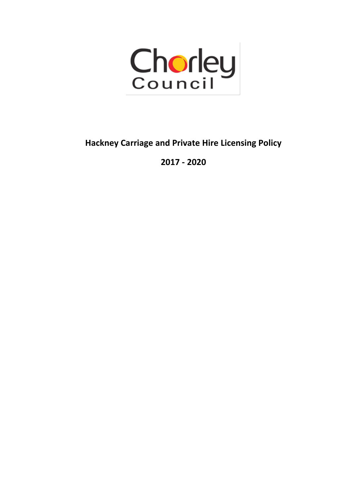

**Hackney Carriage and Private Hire Licensing Policy**

**2017 - 2020**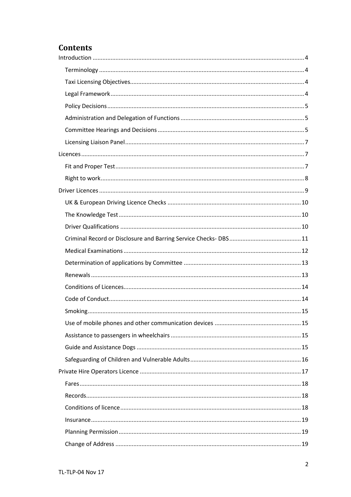# **Contents**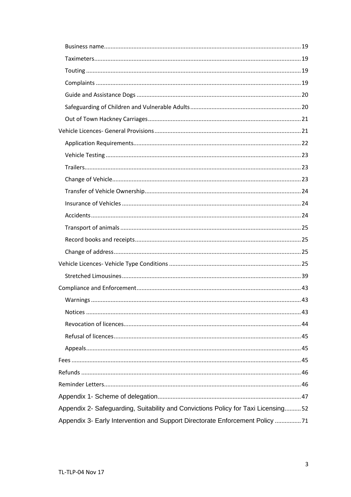| Appendix 2- Safeguarding, Suitability and Convictions Policy for Taxi Licensing52 |
|-----------------------------------------------------------------------------------|
| Appendix 3- Early Intervention and Support Directorate Enforcement Policy 71      |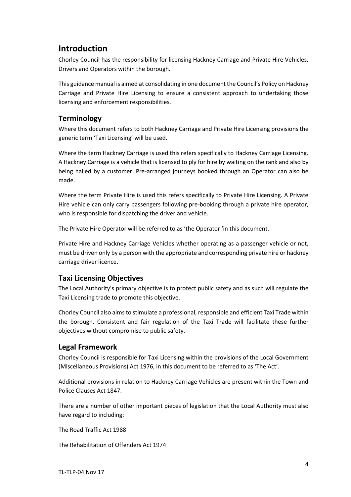# <span id="page-3-0"></span>**Introduction**

Chorley Council has the responsibility for licensing Hackney Carriage and Private Hire Vehicles, Drivers and Operators within the borough.

This guidance manual is aimed at consolidating in one document the Council's Policy on Hackney Carriage and Private Hire Licensing to ensure a consistent approach to undertaking those licensing and enforcement responsibilities.

## <span id="page-3-1"></span>**Terminology**

Where this document refers to both Hackney Carriage and Private Hire Licensing provisions the generic term 'Taxi Licensing' will be used.

Where the term Hackney Carriage is used this refers specifically to Hackney Carriage Licensing. A Hackney Carriage is a vehicle that is licensed to ply for hire by waiting on the rank and also by being hailed by a customer. Pre-arranged journeys booked through an Operator can also be made.

Where the term Private Hire is used this refers specifically to Private Hire Licensing. A Private Hire vehicle can only carry passengers following pre-booking through a private hire operator, who is responsible for dispatching the driver and vehicle.

The Private Hire Operator will be referred to as 'the Operator 'in this document.

Private Hire and Hackney Carriage Vehicles whether operating as a passenger vehicle or not, must be driven only by a person with the appropriate and corresponding private hire or hackney carriage driver licence.

### <span id="page-3-2"></span>**Taxi Licensing Objectives**

The Local Authority's primary objective is to protect public safety and as such will regulate the Taxi Licensing trade to promote this objective.

Chorley Council also aims to stimulate a professional, responsible and efficient Taxi Trade within the borough. Consistent and fair regulation of the Taxi Trade will facilitate these further objectives without compromise to public safety.

### <span id="page-3-3"></span>**Legal Framework**

Chorley Council is responsible for Taxi Licensing within the provisions of the Local Government (Miscellaneous Provisions) Act 1976, in this document to be referred to as 'The Act'.

Additional provisions in relation to Hackney Carriage Vehicles are present within the Town and Police Clauses Act 1847.

There are a number of other important pieces of legislation that the Local Authority must also have regard to including:

The Road Traffic Act 1988

The Rehabilitation of Offenders Act 1974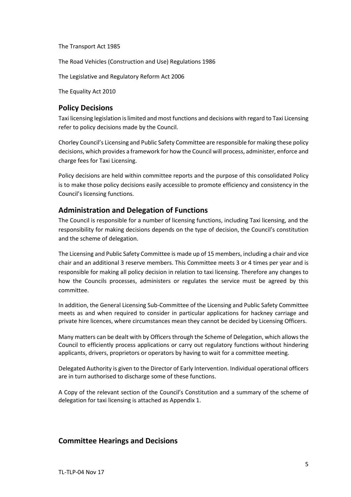The Transport Act 1985

The Road Vehicles (Construction and Use) Regulations 1986

The Legislative and Regulatory Reform Act 2006

The Equality Act 2010

#### <span id="page-4-0"></span>**Policy Decisions**

Taxi licensing legislation is limited and most functions and decisions with regard to Taxi Licensing refer to policy decisions made by the Council.

Chorley Council's Licensing and Public Safety Committee are responsible for making these policy decisions, which provides a framework for how the Council will process, administer, enforce and charge fees for Taxi Licensing.

Policy decisions are held within committee reports and the purpose of this consolidated Policy is to make those policy decisions easily accessible to promote efficiency and consistency in the Council's licensing functions.

#### <span id="page-4-1"></span>**Administration and Delegation of Functions**

The Council is responsible for a number of licensing functions, including Taxi licensing, and the responsibility for making decisions depends on the type of decision, the Council's constitution and the scheme of delegation.

The Licensing and Public Safety Committee is made up of 15 members, including a chair and vice chair and an additional 3 reserve members. This Committee meets 3 or 4 times per year and is responsible for making all policy decision in relation to taxi licensing. Therefore any changes to how the Councils processes, administers or regulates the service must be agreed by this committee.

In addition, the General Licensing Sub-Committee of the Licensing and Public Safety Committee meets as and when required to consider in particular applications for hackney carriage and private hire licences, where circumstances mean they cannot be decided by Licensing Officers.

Many matters can be dealt with by Officers through the Scheme of Delegation, which allows the Council to efficiently process applications or carry out regulatory functions without hindering applicants, drivers, proprietors or operators by having to wait for a committee meeting.

Delegated Authority is given to the Director of Early Intervention. Individual operational officers are in turn authorised to discharge some of these functions.

A Copy of the relevant section of the Council's Constitution and a summary of the scheme of delegation for taxi licensing is attached as Appendix 1.

#### <span id="page-4-2"></span>**Committee Hearings and Decisions**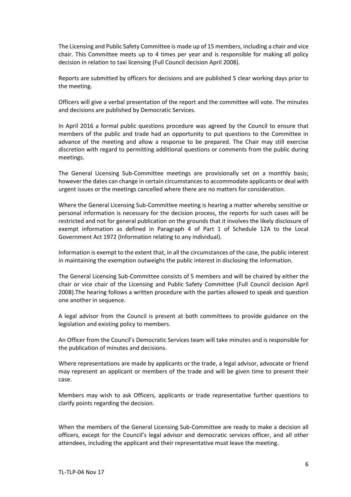The Licensing and Public Safety Committee is made up of 15 members, including a chair and vice chair. This Committee meets up to 4 times per year and is responsible for making all policy decision in relation to taxi licensing (Full Council decision April 2008).

Reports are submitted by officers for decisions and are published 5 clear working days prior to the meeting.

Officers will give a verbal presentation of the report and the committee will vote. The minutes and decisions are published by Democratic Services.

In April 2016 a formal public questions procedure was agreed by the Council to ensure that members of the public and trade had an opportunity to put questions to the Committee in advance of the meeting and allow a response to be prepared. The Chair may still exercise discretion with regard to permitting additional questions or comments from the public during meetings.

The General Licensing Sub-Committee meetings are provisionally set on a monthly basis; however the dates can change in certain circumstances to accommodate applicants or deal with urgent issues or the meetings cancelled where there are no matters for consideration.

Where the General Licensing Sub-Committee meeting is hearing a matter whereby sensitive or personal information is necessary for the decision process, the reports for such cases will be restricted and not for general publication on the grounds that it involves the likely disclosure of exempt information as defined in Paragraph 4 of Part 1 of Schedule 12A to the Local Government Act 1972 (Information relating to any individual).

Information is exempt to the extent that, in all the circumstances of the case, the public interest in maintaining the exemption outweighs the public interest in disclosing the information.

The General Licensing Sub-Committee consists of 5 members and will be chaired by either the chair or vice chair of the Licensing and Public Safety Committee (Full Council decision April 2008).The hearing follows a written procedure with the parties allowed to speak and question one another in sequence.

A legal advisor from the Council is present at both committees to provide guidance on the legislation and existing policy to members.

An Officer from the Council's Democratic Services team will take minutes and is responsible for the publication of minutes and decisions.

Where representations are made by applicants or the trade, a legal advisor, advocate or friend may represent an applicant or members of the trade and will be given time to present their case.

Members may wish to ask Officers, applicants or trade representative further questions to clarify points regarding the decision.

When the members of the General Licensing Sub-Committee are ready to make a decision all officers, except for the Council's legal advisor and democratic services officer, and all other attendees, including the applicant and their representative must leave the meeting.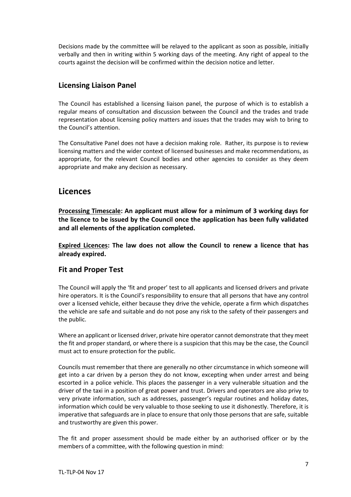Decisions made by the committee will be relayed to the applicant as soon as possible, initially verbally and then in writing within 5 working days of the meeting. Any right of appeal to the courts against the decision will be confirmed within the decision notice and letter.

## <span id="page-6-0"></span>**Licensing Liaison Panel**

The Council has established a licensing liaison panel, the purpose of which is to establish a regular means of consultation and discussion between the Council and the trades and trade representation about licensing policy matters and issues that the trades may wish to bring to the Council's attention.

The Consultative Panel does not have a decision making role. Rather, its purpose is to review licensing matters and the wider context of licensed businesses and make recommendations, as appropriate, for the relevant Council bodies and other agencies to consider as they deem appropriate and make any decision as necessary.

## <span id="page-6-1"></span>**Licences**

**Processing Timescale: An applicant must allow for a minimum of 3 working days for the licence to be issued by the Council once the application has been fully validated and all elements of the application completed.**

**Expired Licences: The law does not allow the Council to renew a licence that has already expired.**

### <span id="page-6-2"></span>**Fit and Proper Test**

The Council will apply the 'fit and proper' test to all applicants and licensed drivers and private hire operators. It is the Council's responsibility to ensure that all persons that have any control over a licensed vehicle, either because they drive the vehicle, operate a firm which dispatches the vehicle are safe and suitable and do not pose any risk to the safety of their passengers and the public.

Where an applicant or licensed driver, private hire operator cannot demonstrate that they meet the fit and proper standard, or where there is a suspicion that this may be the case, the Council must act to ensure protection for the public.

Councils must remember that there are generally no other circumstance in which someone will get into a car driven by a person they do not know, excepting when under arrest and being escorted in a police vehicle. This places the passenger in a very vulnerable situation and the driver of the taxi in a position of great power and trust. Drivers and operators are also privy to very private information, such as addresses, passenger's regular routines and holiday dates, information which could be very valuable to those seeking to use it dishonestly. Therefore, it is imperative that safeguards are in place to ensure that only those persons that are safe, suitable and trustworthy are given this power.

The fit and proper assessment should be made either by an authorised officer or by the members of a committee, with the following question in mind: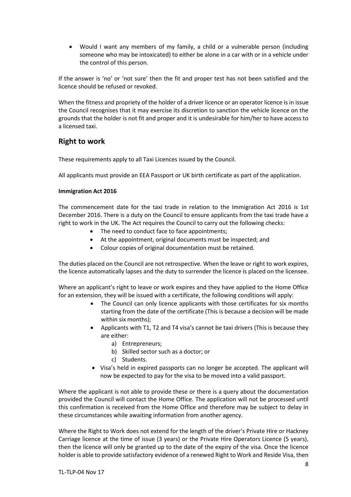• Would I want any members of my family, a child or a vulnerable person (including someone who may be intoxicated) to either be alone in a car with or in a vehicle under the control of this person.

If the answer is 'no' or 'not sure' then the fit and proper test has not been satisfied and the licence should be refused or revoked.

When the fitness and propriety of the holder of a driver licence or an operator licence is in issue the Council recognises that it may exercise its discretion to sanction the vehicle licence on the grounds that the holder is not fit and proper and it is undesirable for him/her to have access to a licensed taxi.

### <span id="page-7-0"></span>**Right to work**

These requirements apply to all Taxi Licences issued by the Council.

All applicants must provide an EEA Passport or UK birth certificate as part of the application.

#### **Immigration Act 2016**

The commencement date for the taxi trade in relation to the Immigration Act 2016 is 1st December 2016. There is a duty on the Council to ensure applicants from the taxi trade have a right to work in the UK. The Act requires the Council to carry out the following checks:

- The need to conduct face to face appointments;
- At the appointment, original documents must be inspected; and
- Colour copies of original documentation must be retained.

The duties placed on the Council are not retrospective. When the leave or right to work expires, the licence automatically lapses and the duty to surrender the licence is placed on the licensee.

Where an applicant's right to leave or work expires and they have applied to the Home Office for an extension, they will be issued with a certificate, the following conditions will apply:

- The Council can only licence applicants with those certificates for six months starting from the date of the certificate (This is because a decision will be made within six months);
- Applicants with T1, T2 and T4 visa's cannot be taxi drivers (This is because they are either:
	- a) Entrepreneurs;
	- b) Skilled sector such as a doctor; or
	- c) Students.
- Visa's held in expired passports can no longer be accepted. The applicant will now be expected to pay for the visa to be moved into a valid passport.

Where the applicant is not able to provide these or there is a query about the documentation provided the Council will contact the Home Office. The application will not be processed until this confirmation is received from the Home Office and therefore may be subject to delay in these circumstances while awaiting information from another agency.

Where the Right to Work does not extend for the length of the driver's Private Hire or Hackney Carriage licence at the time of issue (3 years) or the Private Hire Operators Licence (5 years), then the licence will only be granted up to the date of the expiry of the visa. Once the licence holder is able to provide satisfactory evidence of a renewed Right to Work and Reside Visa, then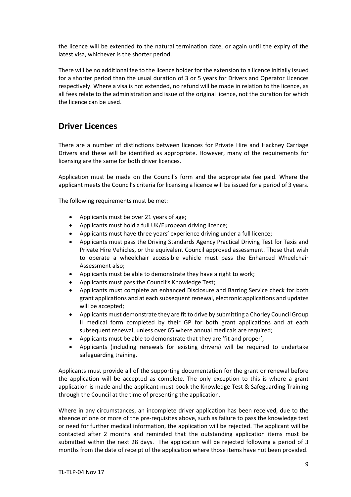the licence will be extended to the natural termination date, or again until the expiry of the latest visa, whichever is the shorter period.

There will be no additional fee to the licence holder for the extension to a licence initially issued for a shorter period than the usual duration of 3 or 5 years for Drivers and Operator Licences respectively. Where a visa is not extended, no refund will be made in relation to the licence, as all fees relate to the administration and issue of the original licence, not the duration for which the licence can be used.

# <span id="page-8-0"></span>**Driver Licences**

There are a number of distinctions between licences for Private Hire and Hackney Carriage Drivers and these will be identified as appropriate. However, many of the requirements for licensing are the same for both driver licences.

Application must be made on the Council's form and the appropriate fee paid. Where the applicant meets the Council's criteria for licensing a licence will be issued for a period of 3 years.

The following requirements must be met:

- Applicants must be over 21 years of age;
- Applicants must hold a full UK/European driving licence;
- Applicants must have three years' experience driving under a full licence;
- Applicants must pass the Driving Standards Agency Practical Driving Test for Taxis and Private Hire Vehicles, or the equivalent Council approved assessment. Those that wish to operate a wheelchair accessible vehicle must pass the Enhanced Wheelchair Assessment also;
- Applicants must be able to demonstrate they have a right to work;
- Applicants must pass the Council's Knowledge Test;
- Applicants must complete an enhanced Disclosure and Barring Service check for both grant applications and at each subsequent renewal, electronic applications and updates will be accepted;
- Applicants must demonstrate they are fit to drive by submitting a Chorley Council Group II medical form completed by their GP for both grant applications and at each subsequent renewal, unless over 65 where annual medicals are required;
- Applicants must be able to demonstrate that they are 'fit and proper';
- Applicants (including renewals for existing drivers) will be required to undertake safeguarding training.

Applicants must provide all of the supporting documentation for the grant or renewal before the application will be accepted as complete. The only exception to this is where a grant application is made and the applicant must book the Knowledge Test & Safeguarding Training through the Council at the time of presenting the application.

Where in any circumstances, an incomplete driver application has been received, due to the absence of one or more of the pre-requisites above, such as failure to pass the knowledge test or need for further medical information, the application will be rejected. The applicant will be contacted after 2 months and reminded that the outstanding application items must be submitted within the next 28 days. The application will be rejected following a period of 3 months from the date of receipt of the application where those items have not been provided.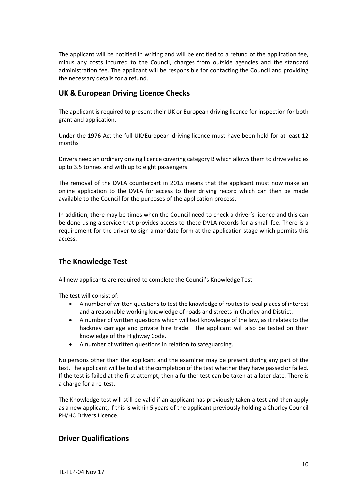The applicant will be notified in writing and will be entitled to a refund of the application fee, minus any costs incurred to the Council, charges from outside agencies and the standard administration fee. The applicant will be responsible for contacting the Council and providing the necessary details for a refund.

## <span id="page-9-0"></span>**UK & European Driving Licence Checks**

The applicant is required to present their UK or European driving licence for inspection for both grant and application.

Under the 1976 Act the full UK/European driving licence must have been held for at least 12 months

Drivers need an ordinary driving licence covering category B which allows them to drive vehicles up to 3.5 tonnes and with up to eight passengers.

The removal of the DVLA counterpart in 2015 means that the applicant must now make an online application to the DVLA for access to their driving record which can then be made available to the Council for the purposes of the application process.

In addition, there may be times when the Council need to check a driver's licence and this can be done using a service that provides access to these DVLA records for a small fee. There is a requirement for the driver to sign a mandate form at the application stage which permits this access.

### <span id="page-9-1"></span>**The Knowledge Test**

All new applicants are required to complete the Council's Knowledge Test

The test will consist of:

- A number of written questions to test the knowledge of routes to local places of interest and a reasonable working knowledge of roads and streets in Chorley and District.
- A number of written questions which will test knowledge of the law, as it relates to the hackney carriage and private hire trade. The applicant will also be tested on their knowledge of the Highway Code.
- A number of written questions in relation to safeguarding.

No persons other than the applicant and the examiner may be present during any part of the test. The applicant will be told at the completion of the test whether they have passed or failed. If the test is failed at the first attempt, then a further test can be taken at a later date. There is a charge for a re-test.

The Knowledge test will still be valid if an applicant has previously taken a test and then apply as a new applicant, if this is within 5 years of the applicant previously holding a Chorley Council PH/HC Drivers Licence.

### <span id="page-9-2"></span>**Driver Qualifications**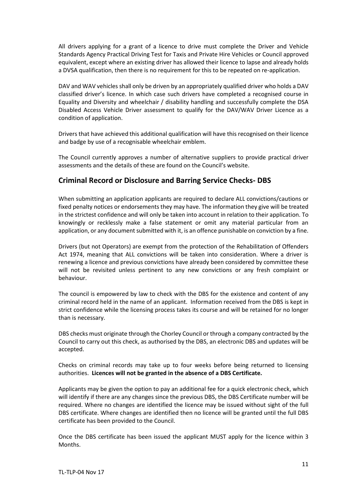All drivers applying for a grant of a licence to drive must complete the Driver and Vehicle Standards Agency Practical Driving Test for Taxis and Private Hire Vehicles or Council approved equivalent, except where an existing driver has allowed their licence to lapse and already holds a DVSA qualification, then there is no requirement for this to be repeated on re-application.

DAV and WAV vehicles shall only be driven by an appropriately qualified driver who holds a DAV classified driver's licence. In which case such drivers have completed a recognised course in Equality and Diversity and wheelchair / disability handling and successfully complete the DSA Disabled Access Vehicle Driver assessment to qualify for the DAV/WAV Driver Licence as a condition of application.

Drivers that have achieved this additional qualification will have this recognised on their licence and badge by use of a recognisable wheelchair emblem.

The Council currently approves a number of alternative suppliers to provide practical driver assessments and the details of these are found on the Council's website.

### <span id="page-10-0"></span>**Criminal Record or Disclosure and Barring Service Checks- DBS**

When submitting an application applicants are required to declare ALL convictions/cautions or fixed penalty notices or endorsements they may have. The information they give will be treated in the strictest confidence and will only be taken into account in relation to their application. To knowingly or recklessly make a false statement or omit any material particular from an application, or any document submitted with it, is an offence punishable on conviction by a fine.

Drivers (but not Operators) are exempt from the protection of the Rehabilitation of Offenders Act 1974, meaning that ALL convictions will be taken into consideration. Where a driver is renewing a licence and previous convictions have already been considered by committee these will not be revisited unless pertinent to any new convictions or any fresh complaint or behaviour.

The council is empowered by law to check with the DBS for the existence and content of any criminal record held in the name of an applicant. Information received from the DBS is kept in strict confidence while the licensing process takes its course and will be retained for no longer than is necessary.

DBS checks must originate through the Chorley Council or through a company contracted by the Council to carry out this check, as authorised by the DBS, an electronic DBS and updates will be accepted.

Checks on criminal records may take up to four weeks before being returned to licensing authorities. **Licences will not be granted in the absence of a DBS Certificate.**

Applicants may be given the option to pay an additional fee for a quick electronic check, which will identify if there are any changes since the previous DBS, the DBS Certificate number will be required. Where no changes are identified the licence may be issued without sight of the full DBS certificate. Where changes are identified then no licence will be granted until the full DBS certificate has been provided to the Council.

Once the DBS certificate has been issued the applicant MUST apply for the licence within 3 Months.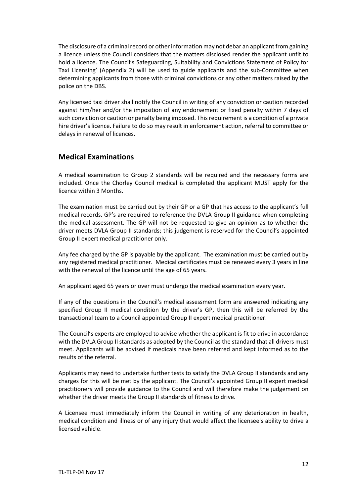The disclosure of a criminal record or other information may not debar an applicant from gaining a licence unless the Council considers that the matters disclosed render the applicant unfit to hold a licence. The Council's Safeguarding, Suitability and Convictions Statement of Policy for Taxi Licensing' (Appendix 2) will be used to guide applicants and the sub-Committee when determining applicants from those with criminal convictions or any other matters raised by the police on the DBS.

Any licensed taxi driver shall notify the Council in writing of any conviction or caution recorded against him/her and/or the imposition of any endorsement or fixed penalty within 7 days of such conviction or caution or penalty being imposed. This requirement is a condition of a private hire driver's licence. Failure to do so may result in enforcement action, referral to committee or delays in renewal of licences.

### <span id="page-11-0"></span>**Medical Examinations**

A medical examination to Group 2 standards will be required and the necessary forms are included. Once the Chorley Council medical is completed the applicant MUST apply for the licence within 3 Months.

The examination must be carried out by their GP or a GP that has access to the applicant's full medical records. GP's are required to reference the DVLA Group II guidance when completing the medical assessment. The GP will not be requested to give an opinion as to whether the driver meets DVLA Group II standards; this judgement is reserved for the Council's appointed Group II expert medical practitioner only.

Any fee charged by the GP is payable by the applicant. The examination must be carried out by any registered medical practitioner. Medical certificates must be renewed every 3 years in line with the renewal of the licence until the age of 65 years.

An applicant aged 65 years or over must undergo the medical examination every year.

If any of the questions in the Council's medical assessment form are answered indicating any specified Group II medical condition by the driver's GP, then this will be referred by the transactional team to a Council appointed Group II expert medical practitioner.

The Council's experts are employed to advise whether the applicant is fit to drive in accordance with the DVLA Group II standards as adopted by the Council as the standard that all drivers must meet. Applicants will be advised if medicals have been referred and kept informed as to the results of the referral.

Applicants may need to undertake further tests to satisfy the DVLA Group II standards and any charges for this will be met by the applicant. The Council's appointed Group II expert medical practitioners will provide guidance to the Council and will therefore make the judgement on whether the driver meets the Group II standards of fitness to drive.

A Licensee must immediately inform the Council in writing of any deterioration in health, medical condition and illness or of any injury that would affect the licensee's ability to drive a licensed vehicle.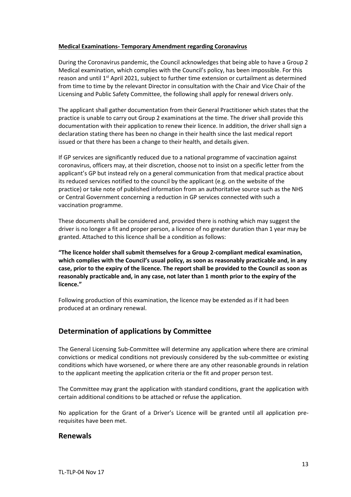#### **Medical Examinations- Temporary Amendment regarding Coronavirus**

During the Coronavirus pandemic, the Council acknowledges that being able to have a Group 2 Medical examination, which complies with the Council's policy, has been impossible. For this reason and until 1<sup>st</sup> April 2021, subject to further time extension or curtailment as determined from time to time by the relevant Director in consultation with the Chair and Vice Chair of the Licensing and Public Safety Committee, the following shall apply for renewal drivers only.

The applicant shall gather documentation from their General Practitioner which states that the practice is unable to carry out Group 2 examinations at the time. The driver shall provide this documentation with their application to renew their licence. In addition, the driver shall sign a declaration stating there has been no change in their health since the last medical report issued or that there has been a change to their health, and details given.

If GP services are significantly reduced due to a national programme of vaccination against coronavirus, officers may, at their discretion, choose not to insist on a specific letter from the applicant's GP but instead rely on a general communication from that medical practice about its reduced services notified to the council by the applicant (e.g. on the website of the practice) or take note of published information from an authoritative source such as the NHS or Central Government concerning a reduction in GP services connected with such a vaccination programme.

These documents shall be considered and, provided there is nothing which may suggest the driver is no longer a fit and proper person, a licence of no greater duration than 1 year may be granted. Attached to this licence shall be a condition as follows:

**"The licence holder shall submit themselves for a Group 2-compliant medical examination, which complies with the Council's usual policy, as soon as reasonably practicable and, in any case, prior to the expiry of the licence. The report shall be provided to the Council as soon as reasonably practicable and, in any case, not later than 1 month prior to the expiry of the licence."**

Following production of this examination, the licence may be extended as if it had been produced at an ordinary renewal.

### <span id="page-12-0"></span>**Determination of applications by Committee**

The General Licensing Sub-Committee will determine any application where there are criminal convictions or medical conditions not previously considered by the sub-committee or existing conditions which have worsened, or where there are any other reasonable grounds in relation to the applicant meeting the application criteria or the fit and proper person test.

The Committee may grant the application with standard conditions, grant the application with certain additional conditions to be attached or refuse the application.

No application for the Grant of a Driver's Licence will be granted until all application prerequisites have been met.

#### <span id="page-12-1"></span>**Renewals**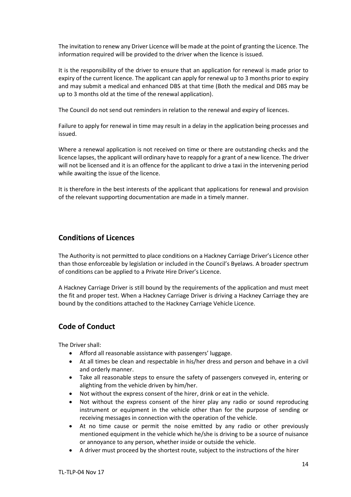The invitation to renew any Driver Licence will be made at the point of granting the Licence. The information required will be provided to the driver when the licence is issued.

It is the responsibility of the driver to ensure that an application for renewal is made prior to expiry of the current licence. The applicant can apply for renewal up to 3 months prior to expiry and may submit a medical and enhanced DBS at that time (Both the medical and DBS may be up to 3 months old at the time of the renewal application).

The Council do not send out reminders in relation to the renewal and expiry of licences.

Failure to apply for renewal in time may result in a delay in the application being processes and issued.

Where a renewal application is not received on time or there are outstanding checks and the licence lapses, the applicant will ordinary have to reapply for a grant of a new licence. The driver will not be licensed and it is an offence for the applicant to drive a taxi in the intervening period while awaiting the issue of the licence.

<span id="page-13-0"></span>It is therefore in the best interests of the applicant that applications for renewal and provision of the relevant supporting documentation are made in a timely manner.

### **Conditions of Licences**

The Authority is not permitted to place conditions on a Hackney Carriage Driver's Licence other than those enforceable by legislation or included in the Council's Byelaws. A broader spectrum of conditions can be applied to a Private Hire Driver's Licence.

A Hackney Carriage Driver is still bound by the requirements of the application and must meet the fit and proper test. When a Hackney Carriage Driver is driving a Hackney Carriage they are bound by the conditions attached to the Hackney Carriage Vehicle Licence.

### <span id="page-13-1"></span>**Code of Conduct**

The Driver shall:

- Afford all reasonable assistance with passengers' luggage.
- At all times be clean and respectable in his/her dress and person and behave in a civil and orderly manner.
- Take all reasonable steps to ensure the safety of passengers conveyed in, entering or alighting from the vehicle driven by him/her.
- Not without the express consent of the hirer, drink or eat in the vehicle.
- Not without the express consent of the hirer play any radio or sound reproducing instrument or equipment in the vehicle other than for the purpose of sending or receiving messages in connection with the operation of the vehicle.
- At no time cause or permit the noise emitted by any radio or other previously mentioned equipment in the vehicle which he/she is driving to be a source of nuisance or annoyance to any person, whether inside or outside the vehicle.
- A driver must proceed by the shortest route, subject to the instructions of the hirer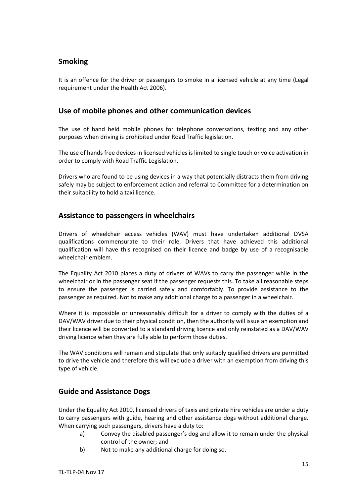## <span id="page-14-0"></span>**Smoking**

It is an offence for the driver or passengers to smoke in a licensed vehicle at any time (Legal requirement under the Health Act 2006).

### <span id="page-14-1"></span>**Use of mobile phones and other communication devices**

The use of hand held mobile phones for telephone conversations, texting and any other purposes when driving is prohibited under Road Traffic legislation.

The use of hands free devices in licensed vehicles is limited to single touch or voice activation in order to comply with Road Traffic Legislation.

Drivers who are found to be using devices in a way that potentially distracts them from driving safely may be subject to enforcement action and referral to Committee for a determination on their suitability to hold a taxi licence.

### <span id="page-14-2"></span>**Assistance to passengers in wheelchairs**

Drivers of wheelchair access vehicles (WAV) must have undertaken additional DVSA qualifications commensurate to their role. Drivers that have achieved this additional qualification will have this recognised on their licence and badge by use of a recognisable wheelchair emblem.

The Equality Act 2010 places a duty of drivers of WAVs to carry the passenger while in the wheelchair or in the passenger seat if the passenger requests this. To take all reasonable steps to ensure the passenger is carried safely and comfortably. To provide assistance to the passenger as required. Not to make any additional charge to a passenger in a wheelchair.

Where it is impossible or unreasonably difficult for a driver to comply with the duties of a DAV/WAV driver due to their physical condition, then the authority will issue an exemption and their licence will be converted to a standard driving licence and only reinstated as a DAV/WAV driving licence when they are fully able to perform those duties.

The WAV conditions will remain and stipulate that only suitably qualified drivers are permitted to drive the vehicle and therefore this will exclude a driver with an exemption from driving this type of vehicle.

### <span id="page-14-3"></span>**Guide and Assistance Dogs**

Under the Equality Act 2010, licensed drivers of taxis and private hire vehicles are under a duty to carry passengers with guide, hearing and other assistance dogs without additional charge. When carrying such passengers, drivers have a duty to:

- a) Convey the disabled passenger's dog and allow it to remain under the physical control of the owner; and
- b) Not to make any additional charge for doing so.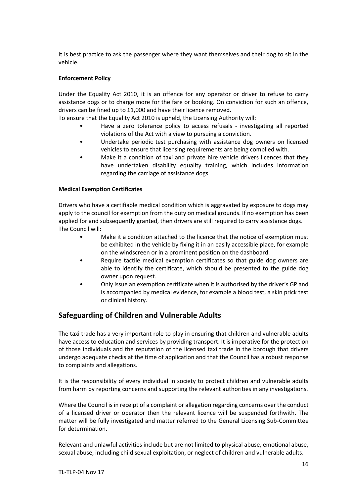It is best practice to ask the passenger where they want themselves and their dog to sit in the vehicle.

#### **Enforcement Policy**

Under the Equality Act 2010, it is an offence for any operator or driver to refuse to carry assistance dogs or to charge more for the fare or booking. On conviction for such an offence, drivers can be fined up to £1,000 and have their licence removed.

To ensure that the Equality Act 2010 is upheld, the Licensing Authority will:

- Have a zero tolerance policy to access refusals investigating all reported violations of the Act with a view to pursuing a conviction.
- Undertake periodic test purchasing with assistance dog owners on licensed vehicles to ensure that licensing requirements are being complied with.
- Make it a condition of taxi and private hire vehicle drivers licences that they have undertaken disability equality training, which includes information regarding the carriage of assistance dogs

#### **Medical Exemption Certificates**

Drivers who have a certifiable medical condition which is aggravated by exposure to dogs may apply to the council for exemption from the duty on medical grounds. If no exemption has been applied for and subsequently granted, then drivers are still required to carry assistance dogs. The Council will:

- Make it a condition attached to the licence that the notice of exemption must be exhibited in the vehicle by fixing it in an easily accessible place, for example on the windscreen or in a prominent position on the dashboard.
- Require tactile medical exemption certificates so that guide dog owners are able to identify the certificate, which should be presented to the guide dog owner upon request.
- Only issue an exemption certificate when it is authorised by the driver's GP and is accompanied by medical evidence, for example a blood test, a skin prick test or clinical history.

### <span id="page-15-0"></span>**Safeguarding of Children and Vulnerable Adults**

The taxi trade has a very important role to play in ensuring that children and vulnerable adults have access to education and services by providing transport. It is imperative for the protection of those individuals and the reputation of the licensed taxi trade in the borough that drivers undergo adequate checks at the time of application and that the Council has a robust response to complaints and allegations.

It is the responsibility of every individual in society to protect children and vulnerable adults from harm by reporting concerns and supporting the relevant authorities in any investigations.

Where the Council is in receipt of a complaint or allegation regarding concerns over the conduct of a licensed driver or operator then the relevant licence will be suspended forthwith. The matter will be fully investigated and matter referred to the General Licensing Sub-Committee for determination.

Relevant and unlawful activities include but are not limited to physical abuse, emotional abuse, sexual abuse, including child sexual exploitation, or neglect of children and vulnerable adults.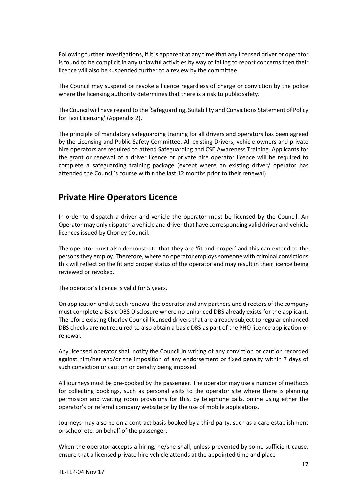Following further investigations, if it is apparent at any time that any licensed driver or operator is found to be complicit in any unlawful activities by way of failing to report concerns then their licence will also be suspended further to a review by the committee.

The Council may suspend or revoke a licence regardless of charge or conviction by the police where the licensing authority determines that there is a risk to public safety.

The Council will have regard to the 'Safeguarding, Suitability and Convictions Statement of Policy for Taxi Licensing' (Appendix 2).

The principle of mandatory safeguarding training for all drivers and operators has been agreed by the Licensing and Public Safety Committee. All existing Drivers, vehicle owners and private hire operators are required to attend Safeguarding and CSE Awareness Training. Applicants for the grant or renewal of a driver licence or private hire operator licence will be required to complete a safeguarding training package (except where an existing driver/ operator has attended the Council's course within the last 12 months prior to their renewal).

## <span id="page-16-0"></span>**Private Hire Operators Licence**

In order to dispatch a driver and vehicle the operator must be licensed by the Council. An Operator may only dispatch a vehicle and driver that have corresponding valid driver and vehicle licences issued by Chorley Council.

The operator must also demonstrate that they are 'fit and proper' and this can extend to the persons they employ. Therefore, where an operator employs someone with criminal convictions this will reflect on the fit and proper status of the operator and may result in their licence being reviewed or revoked.

The operator's licence is valid for 5 years.

On application and at each renewal the operator and any partners and directors of the company must complete a Basic DBS Disclosure where no enhanced DBS already exists for the applicant. Therefore existing Chorley Council licensed drivers that are already subject to regular enhanced DBS checks are not required to also obtain a basic DBS as part of the PHO licence application or renewal.

Any licensed operator shall notify the Council in writing of any conviction or caution recorded against him/her and/or the imposition of any endorsement or fixed penalty within 7 days of such conviction or caution or penalty being imposed.

All journeys must be pre-booked by the passenger. The operator may use a number of methods for collecting bookings, such as personal visits to the operator site where there is planning permission and waiting room provisions for this, by telephone calls, online using either the operator's or referral company website or by the use of mobile applications.

Journeys may also be on a contract basis booked by a third party, such as a care establishment or school etc. on behalf of the passenger.

When the operator accepts a hiring, he/she shall, unless prevented by some sufficient cause, ensure that a licensed private hire vehicle attends at the appointed time and place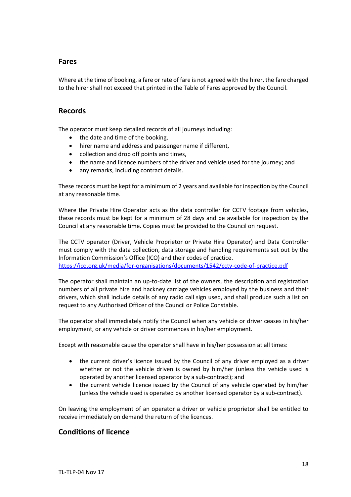#### <span id="page-17-0"></span>**Fares**

Where at the time of booking, a fare or rate of fare is not agreed with the hirer, the fare charged to the hirer shall not exceed that printed in the Table of Fares approved by the Council.

#### <span id="page-17-1"></span>**Records**

The operator must keep detailed records of all journeys including:

- the date and time of the booking,
- hirer name and address and passenger name if different,
- collection and drop off points and times,
- the name and licence numbers of the driver and vehicle used for the journey; and
- any remarks, including contract details.

These records must be kept for a minimum of 2 years and available for inspection by the Council at any reasonable time.

Where the Private Hire Operator acts as the data controller for CCTV footage from vehicles, these records must be kept for a minimum of 28 days and be available for inspection by the Council at any reasonable time. Copies must be provided to the Council on request.

The CCTV operator (Driver, Vehicle Proprietor or Private Hire Operator) and Data Controller must comply with the data collection, data storage and handling requirements set out by the Information Commission's Office (ICO) and their codes of practice. <https://ico.org.uk/media/for-organisations/documents/1542/cctv-code-of-practice.pdf>

The operator shall maintain an up-to-date list of the owners, the description and registration numbers of all private hire and hackney carriage vehicles employed by the business and their drivers, which shall include details of any radio call sign used, and shall produce such a list on request to any Authorised Officer of the Council or Police Constable.

The operator shall immediately notify the Council when any vehicle or driver ceases in his/her employment, or any vehicle or driver commences in his/her employment.

Except with reasonable cause the operator shall have in his/her possession at all times:

- the current driver's licence issued by the Council of any driver employed as a driver whether or not the vehicle driven is owned by him/her (unless the vehicle used is operated by another licensed operator by a sub-contract); and
- the current vehicle licence issued by the Council of any vehicle operated by him/her (unless the vehicle used is operated by another licensed operator by a sub-contract).

On leaving the employment of an operator a driver or vehicle proprietor shall be entitled to receive immediately on demand the return of the licences.

### <span id="page-17-2"></span>**Conditions of licence**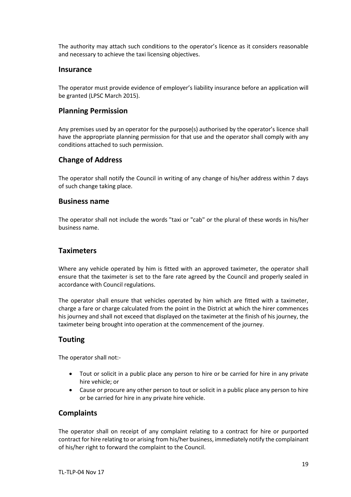The authority may attach such conditions to the operator's licence as it considers reasonable and necessary to achieve the taxi licensing objectives.

#### <span id="page-18-0"></span>**Insurance**

The operator must provide evidence of employer's liability insurance before an application will be granted (LPSC March 2015).

### <span id="page-18-1"></span>**Planning Permission**

Any premises used by an operator for the purpose(s) authorised by the operator's licence shall have the appropriate planning permission for that use and the operator shall comply with any conditions attached to such permission.

### <span id="page-18-2"></span>**Change of Address**

The operator shall notify the Council in writing of any change of his/her address within 7 days of such change taking place.

#### <span id="page-18-3"></span>**Business name**

The operator shall not include the words "taxi or "cab" or the plural of these words in his/her business name.

### <span id="page-18-4"></span>**Taximeters**

Where any vehicle operated by him is fitted with an approved taximeter, the operator shall ensure that the taximeter is set to the fare rate agreed by the Council and properly sealed in accordance with Council regulations.

The operator shall ensure that vehicles operated by him which are fitted with a taximeter, charge a fare or charge calculated from the point in the District at which the hirer commences his journey and shall not exceed that displayed on the taximeter at the finish of his journey, the taximeter being brought into operation at the commencement of the journey.

### <span id="page-18-5"></span>**Touting**

The operator shall not:-

- Tout or solicit in a public place any person to hire or be carried for hire in any private hire vehicle; or
- Cause or procure any other person to tout or solicit in a public place any person to hire or be carried for hire in any private hire vehicle.

### <span id="page-18-6"></span>**Complaints**

The operator shall on receipt of any complaint relating to a contract for hire or purported contract for hire relating to or arising from his/her business, immediately notify the complainant of his/her right to forward the complaint to the Council.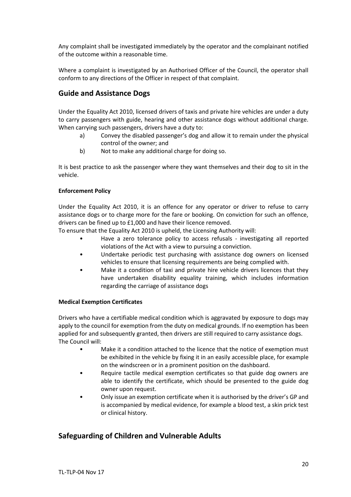Any complaint shall be investigated immediately by the operator and the complainant notified of the outcome within a reasonable time.

Where a complaint is investigated by an Authorised Officer of the Council, the operator shall conform to any directions of the Officer in respect of that complaint.

### <span id="page-19-0"></span>**Guide and Assistance Dogs**

Under the Equality Act 2010, licensed drivers of taxis and private hire vehicles are under a duty to carry passengers with guide, hearing and other assistance dogs without additional charge. When carrying such passengers, drivers have a duty to:

- a) Convey the disabled passenger's dog and allow it to remain under the physical control of the owner; and
- b) Not to make any additional charge for doing so.

It is best practice to ask the passenger where they want themselves and their dog to sit in the vehicle.

#### **Enforcement Policy**

Under the Equality Act 2010, it is an offence for any operator or driver to refuse to carry assistance dogs or to charge more for the fare or booking. On conviction for such an offence, drivers can be fined up to £1,000 and have their licence removed.

To ensure that the Equality Act 2010 is upheld, the Licensing Authority will:

- Have a zero tolerance policy to access refusals investigating all reported violations of the Act with a view to pursuing a conviction.
- Undertake periodic test purchasing with assistance dog owners on licensed vehicles to ensure that licensing requirements are being complied with.
- Make it a condition of taxi and private hire vehicle drivers licences that they have undertaken disability equality training, which includes information regarding the carriage of assistance dogs

#### **Medical Exemption Certificates**

Drivers who have a certifiable medical condition which is aggravated by exposure to dogs may apply to the council for exemption from the duty on medical grounds. If no exemption has been applied for and subsequently granted, then drivers are still required to carry assistance dogs. The Council will:

- Make it a condition attached to the licence that the notice of exemption must be exhibited in the vehicle by fixing it in an easily accessible place, for example on the windscreen or in a prominent position on the dashboard.
- Require tactile medical exemption certificates so that guide dog owners are able to identify the certificate, which should be presented to the guide dog owner upon request.
- Only issue an exemption certificate when it is authorised by the driver's GP and is accompanied by medical evidence, for example a blood test, a skin prick test or clinical history.

### <span id="page-19-1"></span>**Safeguarding of Children and Vulnerable Adults**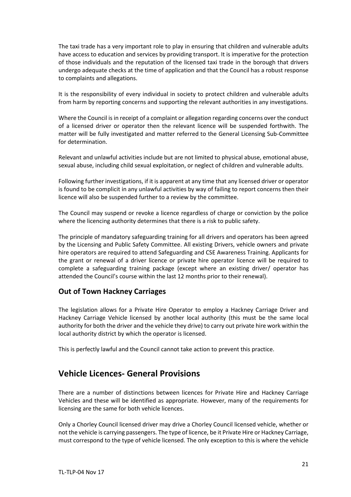The taxi trade has a very important role to play in ensuring that children and vulnerable adults have access to education and services by providing transport. It is imperative for the protection of those individuals and the reputation of the licensed taxi trade in the borough that drivers undergo adequate checks at the time of application and that the Council has a robust response to complaints and allegations.

It is the responsibility of every individual in society to protect children and vulnerable adults from harm by reporting concerns and supporting the relevant authorities in any investigations.

Where the Council is in receipt of a complaint or allegation regarding concerns over the conduct of a licensed driver or operator then the relevant licence will be suspended forthwith. The matter will be fully investigated and matter referred to the General Licensing Sub-Committee for determination.

Relevant and unlawful activities include but are not limited to physical abuse, emotional abuse, sexual abuse, including child sexual exploitation, or neglect of children and vulnerable adults.

Following further investigations, if it is apparent at any time that any licensed driver or operator is found to be complicit in any unlawful activities by way of failing to report concerns then their licence will also be suspended further to a review by the committee.

The Council may suspend or revoke a licence regardless of charge or conviction by the police where the licencing authority determines that there is a risk to public safety.

The principle of mandatory safeguarding training for all drivers and operators has been agreed by the Licensing and Public Safety Committee. All existing Drivers, vehicle owners and private hire operators are required to attend Safeguarding and CSE Awareness Training. Applicants for the grant or renewal of a driver licence or private hire operator licence will be required to complete a safeguarding training package (except where an existing driver/ operator has attended the Council's course within the last 12 months prior to their renewal).

### <span id="page-20-0"></span>**Out of Town Hackney Carriages**

The legislation allows for a Private Hire Operator to employ a Hackney Carriage Driver and Hackney Carriage Vehicle licensed by another local authority (this must be the same local authority for both the driver and the vehicle they drive) to carry out private hire work within the local authority district by which the operator is licensed.

<span id="page-20-1"></span>This is perfectly lawful and the Council cannot take action to prevent this practice.

### **Vehicle Licences- General Provisions**

There are a number of distinctions between licences for Private Hire and Hackney Carriage Vehicles and these will be identified as appropriate. However, many of the requirements for licensing are the same for both vehicle licences.

Only a Chorley Council licensed driver may drive a Chorley Council licensed vehicle, whether or not the vehicle is carrying passengers. The type of licence, be it Private Hire or Hackney Carriage, must correspond to the type of vehicle licensed. The only exception to this is where the vehicle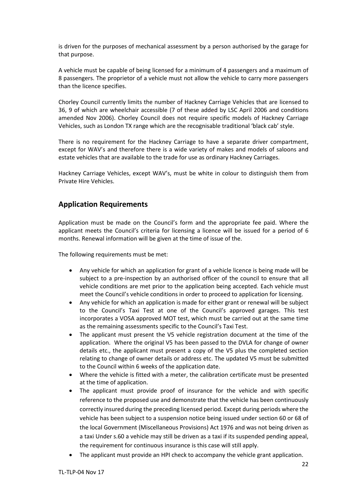is driven for the purposes of mechanical assessment by a person authorised by the garage for that purpose.

A vehicle must be capable of being licensed for a minimum of 4 passengers and a maximum of 8 passengers. The proprietor of a vehicle must not allow the vehicle to carry more passengers than the licence specifies.

Chorley Council currently limits the number of Hackney Carriage Vehicles that are licensed to 36, 9 of which are wheelchair accessible (7 of these added by LSC April 2006 and conditions amended Nov 2006). Chorley Council does not require specific models of Hackney Carriage Vehicles, such as London TX range which are the recognisable traditional 'black cab' style.

There is no requirement for the Hackney Carriage to have a separate driver compartment, except for WAV's and therefore there is a wide variety of makes and models of saloons and estate vehicles that are available to the trade for use as ordinary Hackney Carriages.

Hackney Carriage Vehicles, except WAV's, must be white in colour to distinguish them from Private Hire Vehicles.

### <span id="page-21-0"></span>**Application Requirements**

Application must be made on the Council's form and the appropriate fee paid. Where the applicant meets the Council's criteria for licensing a licence will be issued for a period of 6 months. Renewal information will be given at the time of issue of the.

The following requirements must be met:

- Any vehicle for which an application for grant of a vehicle licence is being made will be subject to a pre-inspection by an authorised officer of the council to ensure that all vehicle conditions are met prior to the application being accepted. Each vehicle must meet the Council's vehicle conditions in order to proceed to application for licensing.
- Any vehicle for which an application is made for either grant or renewal will be subject to the Council's Taxi Test at one of the Council's approved garages. This test incorporates a VOSA approved MOT test, which must be carried out at the same time as the remaining assessments specific to the Council's Taxi Test.
- The applicant must present the V5 vehicle registration document at the time of the application. Where the original V5 has been passed to the DVLA for change of owner details etc., the applicant must present a copy of the V5 plus the completed section relating to change of owner details or address etc. The updated V5 must be submitted to the Council within 6 weeks of the application date.
- Where the vehicle is fitted with a meter, the calibration certificate must be presented at the time of application.
- The applicant must provide proof of insurance for the vehicle and with specific reference to the proposed use and demonstrate that the vehicle has been continuously correctly insured during the preceding licensed period. Except during periods where the vehicle has been subject to a suspension notice being issued under section 60 or 68 of the local Government (Miscellaneous Provisions) Act 1976 and was not being driven as a taxi Under s.60 a vehicle may still be driven as a taxi if its suspended pending appeal, the requirement for continuous insurance is this case will still apply.
- The applicant must provide an HPI check to accompany the vehicle grant application.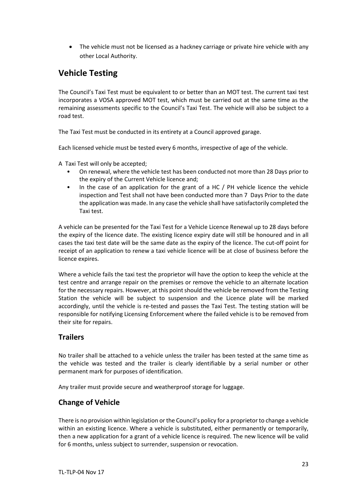• The vehicle must not be licensed as a hackney carriage or private hire vehicle with any other Local Authority.

# <span id="page-22-0"></span>**Vehicle Testing**

The Council's Taxi Test must be equivalent to or better than an MOT test. The current taxi test incorporates a VOSA approved MOT test, which must be carried out at the same time as the remaining assessments specific to the Council's Taxi Test. The vehicle will also be subject to a road test.

The Taxi Test must be conducted in its entirety at a Council approved garage.

Each licensed vehicle must be tested every 6 months, irrespective of age of the vehicle.

A Taxi Test will only be accepted;

- On renewal, where the vehicle test has been conducted not more than 28 Days prior to the expiry of the Current Vehicle licence and;
- In the case of an application for the grant of a HC  $/$  PH vehicle licence the vehicle inspection and Test shall not have been conducted more than 7 Days Prior to the date the application was made. In any case the vehicle shall have satisfactorily completed the Taxi test.

A vehicle can be presented for the Taxi Test for a Vehicle Licence Renewal up to 28 days before the expiry of the licence date. The existing licence expiry date will still be honoured and in all cases the taxi test date will be the same date as the expiry of the licence. The cut-off point for receipt of an application to renew a taxi vehicle licence will be at close of business before the licence expires.

Where a vehicle fails the taxi test the proprietor will have the option to keep the vehicle at the test centre and arrange repair on the premises or remove the vehicle to an alternate location for the necessary repairs. However, at this point should the vehicle be removed from the Testing Station the vehicle will be subject to suspension and the Licence plate will be marked accordingly, until the vehicle is re-tested and passes the Taxi Test. The testing station will be responsible for notifying Licensing Enforcement where the failed vehicle is to be removed from their site for repairs.

### <span id="page-22-1"></span>**Trailers**

No trailer shall be attached to a vehicle unless the trailer has been tested at the same time as the vehicle was tested and the trailer is clearly identifiable by a serial number or other permanent mark for purposes of identification.

<span id="page-22-2"></span>Any trailer must provide secure and weatherproof storage for luggage.

### **Change of Vehicle**

There is no provision within legislation or the Council's policy for a proprietor to change a vehicle within an existing licence. Where a vehicle is substituted, either permanently or temporarily, then a new application for a grant of a vehicle licence is required. The new licence will be valid for 6 months, unless subject to surrender, suspension or revocation.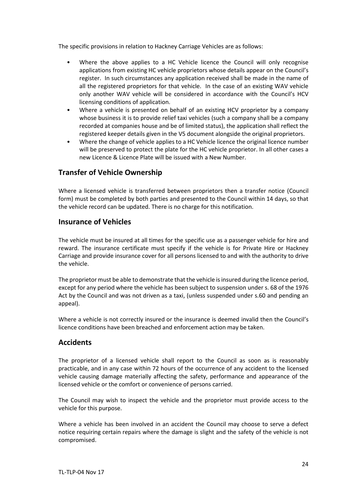The specific provisions in relation to Hackney Carriage Vehicles are as follows:

- Where the above applies to a HC Vehicle licence the Council will only recognise applications from existing HC vehicle proprietors whose details appear on the Council's register. In such circumstances any application received shall be made in the name of all the registered proprietors for that vehicle. In the case of an existing WAV vehicle only another WAV vehicle will be considered in accordance with the Council's HCV licensing conditions of application.
- Where a vehicle is presented on behalf of an existing HCV proprietor by a company whose business it is to provide relief taxi vehicles (such a company shall be a company recorded at companies house and be of limited status), the application shall reflect the registered keeper details given in the V5 document alongside the original proprietors.
- Where the change of vehicle applies to a HC Vehicle licence the original licence number will be preserved to protect the plate for the HC vehicle proprietor. In all other cases a new Licence & Licence Plate will be issued with a New Number.

## <span id="page-23-0"></span>**Transfer of Vehicle Ownership**

Where a licensed vehicle is transferred between proprietors then a transfer notice (Council form) must be completed by both parties and presented to the Council within 14 days, so that the vehicle record can be updated. There is no charge for this notification.

### <span id="page-23-1"></span>**Insurance of Vehicles**

The vehicle must be insured at all times for the specific use as a passenger vehicle for hire and reward. The insurance certificate must specify if the vehicle is for Private Hire or Hackney Carriage and provide insurance cover for all persons licensed to and with the authority to drive the vehicle.

The proprietor must be able to demonstrate that the vehicle is insured during the licence period, except for any period where the vehicle has been subject to suspension under s. 68 of the 1976 Act by the Council and was not driven as a taxi, (unless suspended under s.60 and pending an appeal).

Where a vehicle is not correctly insured or the insurance is deemed invalid then the Council's licence conditions have been breached and enforcement action may be taken.

### <span id="page-23-2"></span>**Accidents**

The proprietor of a licensed vehicle shall report to the Council as soon as is reasonably practicable, and in any case within 72 hours of the occurrence of any accident to the licensed vehicle causing damage materially affecting the safety, performance and appearance of the licensed vehicle or the comfort or convenience of persons carried.

The Council may wish to inspect the vehicle and the proprietor must provide access to the vehicle for this purpose.

Where a vehicle has been involved in an accident the Council may choose to serve a defect notice requiring certain repairs where the damage is slight and the safety of the vehicle is not compromised.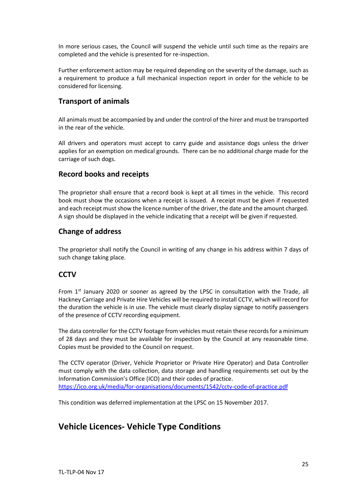In more serious cases, the Council will suspend the vehicle until such time as the repairs are completed and the vehicle is presented for re-inspection.

Further enforcement action may be required depending on the severity of the damage, such as a requirement to produce a full mechanical inspection report in order for the vehicle to be considered for licensing.

### <span id="page-24-0"></span>**Transport of animals**

All animals must be accompanied by and under the control of the hirer and must be transported in the rear of the vehicle.

All drivers and operators must accept to carry guide and assistance dogs unless the driver applies for an exemption on medical grounds. There can be no additional charge made for the carriage of such dogs.

### <span id="page-24-1"></span>**Record books and receipts**

The proprietor shall ensure that a record book is kept at all times in the vehicle. This record book must show the occasions when a receipt is issued. A receipt must be given if requested and each receipt must show the licence number of the driver, the date and the amount charged. A sign should be displayed in the vehicle indicating that a receipt will be given if requested.

### <span id="page-24-2"></span>**Change of address**

The proprietor shall notify the Council in writing of any change in his address within 7 days of such change taking place.

### **CCTV**

From  $1<sup>st</sup>$  January 2020 or sooner as agreed by the LPSC in consultation with the Trade, all Hackney Carriage and Private Hire Vehicles will be required to install CCTV, which will record for the duration the vehicle is in use. The vehicle must clearly display signage to notify passengers of the presence of CCTV recording equipment.

The data controller for the CCTV footage from vehicles must retain these records for a minimum of 28 days and they must be available for inspection by the Council at any reasonable time. Copies must be provided to the Council on request.

The CCTV operator (Driver, Vehicle Proprietor or Private Hire Operator) and Data Controller must comply with the data collection, data storage and handling requirements set out by the Information Commission's Office (ICO) and their codes of practice. <https://ico.org.uk/media/for-organisations/documents/1542/cctv-code-of-practice.pdf>

<span id="page-24-3"></span>This condition was deferred implementation at the LPSC on 15 November 2017.

# **Vehicle Licences- Vehicle Type Conditions**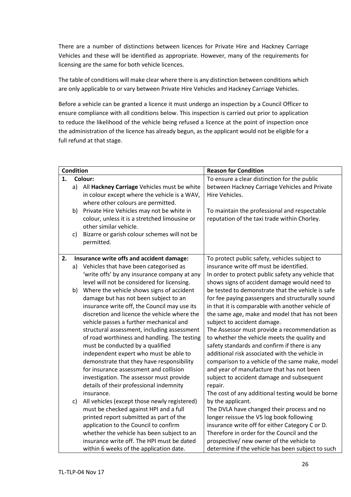There are a number of distinctions between licences for Private Hire and Hackney Carriage Vehicles and these will be identified as appropriate. However, many of the requirements for licensing are the same for both vehicle licences.

The table of conditions will make clear where there is any distinction between conditions which are only applicable to or vary between Private Hire Vehicles and Hackney Carriage Vehicles.

Before a vehicle can be granted a licence it must undergo an inspection by a Council Officer to ensure compliance with all conditions below. This inspection is carried out prior to application to reduce the likelihood of the vehicle being refused a licence at the point of inspection once the administration of the licence has already begun, as the applicant would not be eligible for a full refund at that stage.

| <b>Condition</b> |    |                                               | <b>Reason for Condition</b>                        |  |
|------------------|----|-----------------------------------------------|----------------------------------------------------|--|
| Colour:<br>1.    |    |                                               | To ensure a clear distinction for the public       |  |
|                  | a) | All Hackney Carriage Vehicles must be white   | between Hackney Carriage Vehicles and Private      |  |
|                  |    | in colour except where the vehicle is a WAV,  | Hire Vehicles.                                     |  |
|                  |    | where other colours are permitted.            |                                                    |  |
|                  | b) | Private Hire Vehicles may not be white in     | To maintain the professional and respectable       |  |
|                  |    | colour, unless it is a stretched limousine or | reputation of the taxi trade within Chorley.       |  |
|                  |    | other similar vehicle.                        |                                                    |  |
|                  | C) | Bizarre or garish colour schemes will not be  |                                                    |  |
|                  |    | permitted.                                    |                                                    |  |
|                  |    |                                               |                                                    |  |
| 2.               |    | Insurance write offs and accident damage:     | To protect public safety, vehicles subject to      |  |
|                  | a) | Vehicles that have been categorised as        | insurance write off must be identified.            |  |
|                  |    | 'write offs' by any insurance company at any  | In order to protect public safety any vehicle that |  |
|                  |    | level will not be considered for licensing.   | shows signs of accident damage would need to       |  |
|                  | b) | Where the vehicle shows signs of accident     | be tested to demonstrate that the vehicle is safe  |  |
|                  |    | damage but has not been subject to an         | for fee paying passengers and structurally sound   |  |
|                  |    | insurance write off, the Council may use its  | in that it is comparable with another vehicle of   |  |
|                  |    | discretion and licence the vehicle where the  | the same age, make and model that has not been     |  |
|                  |    | vehicle passes a further mechanical and       | subject to accident damage.                        |  |
|                  |    | structural assessment, including assessment   | The Assessor must provide a recommendation as      |  |
|                  |    | of road worthiness and handling. The testing  | to whether the vehicle meets the quality and       |  |
|                  |    | must be conducted by a qualified              | safety standards and confirm if there is any       |  |
|                  |    | independent expert who must be able to        | additional risk associated with the vehicle in     |  |
|                  |    | demonstrate that they have responsibility     | comparison to a vehicle of the same make, model    |  |
|                  |    | for insurance assessment and collision        | and year of manufacture that has not been          |  |
|                  |    | investigation. The assessor must provide      | subject to accident damage and subsequent          |  |
|                  |    | details of their professional indemnity       | repair.                                            |  |
|                  |    | insurance.                                    | The cost of any additional testing would be borne  |  |
|                  | c) | All vehicles (except those newly registered)  | by the applicant.                                  |  |
|                  |    | must be checked against HPI and a full        | The DVLA have changed their process and no         |  |
|                  |    | printed report submitted as part of the       | longer reissue the V5 log book following           |  |
|                  |    | application to the Council to confirm         | insurance write off for either Category C or D.    |  |
|                  |    | whether the vehicle has been subject to an    | Therefore in order for the Council and the         |  |
|                  |    | insurance write off. The HPI must be dated    | prospective/ new owner of the vehicle to           |  |
|                  |    | within 6 weeks of the application date.       | determine if the vehicle has been subject to such  |  |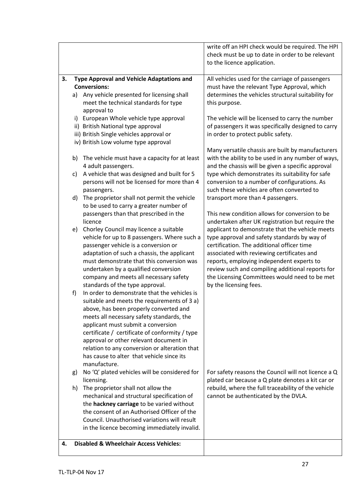|    |                                                                                                                                                                                                                                                                                                               | write off an HPI check would be required. The HPI<br>check must be up to date in order to be relevant<br>to the licence application.                                                                                                                                                                                                           |
|----|---------------------------------------------------------------------------------------------------------------------------------------------------------------------------------------------------------------------------------------------------------------------------------------------------------------|------------------------------------------------------------------------------------------------------------------------------------------------------------------------------------------------------------------------------------------------------------------------------------------------------------------------------------------------|
| 3. | <b>Type Approval and Vehicle Adaptations and</b><br><b>Conversions:</b><br>Any vehicle presented for licensing shall<br>a)<br>meet the technical standards for type<br>approval to                                                                                                                            | All vehicles used for the carriage of passengers<br>must have the relevant Type Approval, which<br>determines the vehicles structural suitability for<br>this purpose.                                                                                                                                                                         |
|    | European Whole vehicle type approval<br>i)<br>ii) British National type approval<br>iii) British Single vehicles approval or<br>iv) British Low volume type approval                                                                                                                                          | The vehicle will be licensed to carry the number<br>of passengers it was specifically designed to carry<br>in order to protect public safety.                                                                                                                                                                                                  |
|    | The vehicle must have a capacity for at least<br>b)                                                                                                                                                                                                                                                           | Many versatile chassis are built by manufacturers<br>with the ability to be used in any number of ways,                                                                                                                                                                                                                                        |
|    | 4 adult passengers.<br>A vehicle that was designed and built for 5<br>c)<br>persons will not be licensed for more than 4                                                                                                                                                                                      | and the chassis will be given a specific approval<br>type which demonstrates its suitability for safe<br>conversion to a number of configurations. As                                                                                                                                                                                          |
|    | passengers.<br>The proprietor shall not permit the vehicle<br>d)<br>to be used to carry a greater number of                                                                                                                                                                                                   | such these vehicles are often converted to<br>transport more than 4 passengers.                                                                                                                                                                                                                                                                |
|    | passengers than that prescribed in the<br>licence<br>Chorley Council may licence a suitable<br>e)<br>vehicle for up to 8 passengers. Where such a<br>passenger vehicle is a conversion or<br>adaptation of such a chassis, the applicant<br>must demonstrate that this conversion was                         | This new condition allows for conversion to be<br>undertaken after UK registration but require the<br>applicant to demonstrate that the vehicle meets<br>type approval and safety standards by way of<br>certification. The additional officer time<br>associated with reviewing certificates and<br>reports, employing independent experts to |
|    | undertaken by a qualified conversion<br>company and meets all necessary safety<br>standards of the type approval.<br>In order to demonstrate that the vehicles is<br>f)<br>suitable and meets the requirements of 3 a)<br>above, has been properly converted and<br>meets all necessary safety standards, the | review such and compiling additional reports for<br>the Licensing Committees would need to be met<br>by the licensing fees.                                                                                                                                                                                                                    |
|    | applicant must submit a conversion<br>certificate / certificate of conformity / type<br>approval or other relevant document in<br>relation to any conversion or alteration that<br>has cause to alter that vehicle since its<br>manufacture.                                                                  |                                                                                                                                                                                                                                                                                                                                                |
|    | No 'Q' plated vehicles will be considered for<br>g)<br>licensing.                                                                                                                                                                                                                                             | For safety reasons the Council will not licence a Q<br>plated car because a Q plate denotes a kit car or                                                                                                                                                                                                                                       |
|    | The proprietor shall not allow the<br>h)<br>mechanical and structural specification of<br>the hackney carriage to be varied without<br>the consent of an Authorised Officer of the<br>Council. Unauthorised variations will result<br>in the licence becoming immediately invalid.                            | rebuild, where the full traceability of the vehicle<br>cannot be authenticated by the DVLA.                                                                                                                                                                                                                                                    |
| 4. | <b>Disabled &amp; Wheelchair Access Vehicles:</b>                                                                                                                                                                                                                                                             |                                                                                                                                                                                                                                                                                                                                                |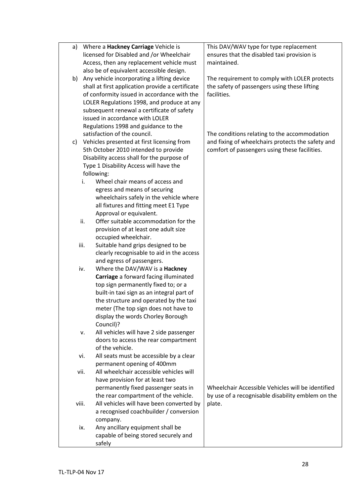| a)    | Where a Hackney Carriage Vehicle is              | This DAV/WAV type for type replacement            |
|-------|--------------------------------------------------|---------------------------------------------------|
|       | licensed for Disabled and /or Wheelchair         | ensures that the disabled taxi provision is       |
|       | Access, then any replacement vehicle must        | maintained.                                       |
|       | also be of equivalent accessible design.         |                                                   |
|       | b) Any vehicle incorporating a lifting device    | The requirement to comply with LOLER protects     |
|       | shall at first application provide a certificate | the safety of passengers using these lifting      |
|       | of conformity issued in accordance with the      | facilities.                                       |
|       | LOLER Regulations 1998, and produce at any       |                                                   |
|       | subsequent renewal a certificate of safety       |                                                   |
|       | issued in accordance with LOLER                  |                                                   |
|       | Regulations 1998 and guidance to the             |                                                   |
|       | satisfaction of the council.                     | The conditions relating to the accommodation      |
| C)    | Vehicles presented at first licensing from       | and fixing of wheelchairs protects the safety and |
|       | 5th October 2010 intended to provide             | comfort of passengers using these facilities.     |
|       | Disability access shall for the purpose of       |                                                   |
|       | Type 1 Disability Access will have the           |                                                   |
|       | following:                                       |                                                   |
|       | Wheel chair means of access and<br>i.            |                                                   |
|       | egress and means of securing                     |                                                   |
|       | wheelchairs safely in the vehicle where          |                                                   |
|       | all fixtures and fitting meet E1 Type            |                                                   |
|       | Approval or equivalent.                          |                                                   |
|       | Offer suitable accommodation for the<br>ii.      |                                                   |
|       | provision of at least one adult size             |                                                   |
|       | occupied wheelchair.                             |                                                   |
|       | iii.<br>Suitable hand grips designed to be       |                                                   |
|       | clearly recognisable to aid in the access        |                                                   |
|       | and egress of passengers.                        |                                                   |
|       | Where the DAV/WAV is a Hackney<br>iv.            |                                                   |
|       | Carriage a forward facing illuminated            |                                                   |
|       | top sign permanently fixed to; or a              |                                                   |
|       | built-in taxi sign as an integral part of        |                                                   |
|       | the structure and operated by the taxi           |                                                   |
|       | meter (The top sign does not have to             |                                                   |
|       | display the words Chorley Borough                |                                                   |
|       | Council)?                                        |                                                   |
|       | All vehicles will have 2 side passenger<br>v.    |                                                   |
|       | doors to access the rear compartment             |                                                   |
|       | of the vehicle.                                  |                                                   |
|       | All seats must be accessible by a clear<br>vi.   |                                                   |
|       | permanent opening of 400mm                       |                                                   |
|       | All wheelchair accessible vehicles will<br>vii.  |                                                   |
|       | have provision for at least two                  |                                                   |
|       | permanently fixed passenger seats in             | Wheelchair Accessible Vehicles will be identified |
|       | the rear compartment of the vehicle.             | by use of a recognisable disability emblem on the |
| viii. | All vehicles will have been converted by         | plate.                                            |
|       | a recognised coachbuilder / conversion           |                                                   |
|       | company.                                         |                                                   |
|       | Any ancillary equipment shall be<br>ix.          |                                                   |
|       | capable of being stored securely and             |                                                   |
|       | safely                                           |                                                   |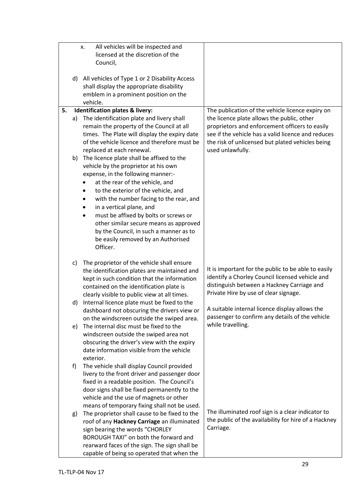|    |    | All vehicles will be inspected and<br>х.                                          |                                                                                                           |
|----|----|-----------------------------------------------------------------------------------|-----------------------------------------------------------------------------------------------------------|
|    |    | licensed at the discretion of the                                                 |                                                                                                           |
|    |    | Council,                                                                          |                                                                                                           |
|    |    |                                                                                   |                                                                                                           |
|    |    | d) All vehicles of Type 1 or 2 Disability Access                                  |                                                                                                           |
|    |    | shall display the appropriate disability                                          |                                                                                                           |
|    |    | emblem in a prominent position on the                                             |                                                                                                           |
|    |    | vehicle.                                                                          |                                                                                                           |
| 5. |    | <b>Identification plates &amp; livery:</b>                                        | The publication of the vehicle licence expiry on                                                          |
|    | a) | The identification plate and livery shall                                         | the licence plate allows the public, other                                                                |
|    |    | remain the property of the Council at all                                         | proprietors and enforcement officers to easily                                                            |
|    |    | times. The Plate will display the expiry date                                     | see if the vehicle has a valid licence and reduces                                                        |
|    |    | of the vehicle licence and therefore must be                                      | the risk of unlicensed but plated vehicles being                                                          |
|    |    | replaced at each renewal.                                                         | used unlawfully.                                                                                          |
|    |    |                                                                                   |                                                                                                           |
|    | b) | The licence plate shall be affixed to the<br>vehicle by the proprietor at his own |                                                                                                           |
|    |    |                                                                                   |                                                                                                           |
|    |    | expense, in the following manner:-                                                |                                                                                                           |
|    |    | at the rear of the vehicle, and                                                   |                                                                                                           |
|    |    | to the exterior of the vehicle, and                                               |                                                                                                           |
|    |    | with the number facing to the rear, and                                           |                                                                                                           |
|    |    | in a vertical plane, and                                                          |                                                                                                           |
|    |    | must be affixed by bolts or screws or                                             |                                                                                                           |
|    |    | other similar secure means as approved                                            |                                                                                                           |
|    |    | by the Council, in such a manner as to                                            |                                                                                                           |
|    |    | be easily removed by an Authorised                                                |                                                                                                           |
|    |    | Officer.                                                                          |                                                                                                           |
|    |    |                                                                                   |                                                                                                           |
|    | c) | The proprietor of the vehicle shall ensure                                        |                                                                                                           |
|    |    | the identification plates are maintained and                                      | It is important for the public to be able to easily                                                       |
|    |    | kept in such condition that the information                                       | identify a Chorley Council licensed vehicle and<br>distinguish between a Hackney Carriage and             |
|    |    | contained on the identification plate is                                          | Private Hire by use of clear signage.                                                                     |
|    |    | clearly visible to public view at all times.                                      |                                                                                                           |
|    | d) | Internal licence plate must be fixed to the                                       | A suitable internal licence display allows the                                                            |
|    |    | dashboard not obscuring the drivers view or                                       |                                                                                                           |
|    |    | on the windscreen outside the swiped area.                                        | passenger to confirm any details of the vehicle                                                           |
|    | e) | The internal disc must be fixed to the                                            | while travelling.                                                                                         |
|    |    | windscreen outside the swiped area not                                            |                                                                                                           |
|    |    | obscuring the driver's view with the expiry                                       |                                                                                                           |
|    |    | date information visible from the vehicle                                         |                                                                                                           |
|    |    | exterior.                                                                         |                                                                                                           |
|    | f) | The vehicle shall display Council provided                                        |                                                                                                           |
|    |    | livery to the front driver and passenger door                                     |                                                                                                           |
|    |    | fixed in a readable position. The Council's                                       |                                                                                                           |
|    |    | door signs shall be fixed permanently to the                                      |                                                                                                           |
|    |    | vehicle and the use of magnets or other                                           |                                                                                                           |
|    |    | means of temporary fixing shall not be used.                                      |                                                                                                           |
|    | g) | The proprietor shall cause to be fixed to the                                     | The illuminated roof sign is a clear indicator to<br>the public of the availability for hire of a Hackney |
|    |    | roof of any Hackney Carriage an illuminated                                       |                                                                                                           |
|    |    | sign bearing the words "CHORLEY                                                   | Carriage.                                                                                                 |
|    |    | BOROUGH TAXI" on both the forward and                                             |                                                                                                           |
|    |    | rearward faces of the sign. The sign shall be                                     |                                                                                                           |
|    |    | capable of being so operated that when the                                        |                                                                                                           |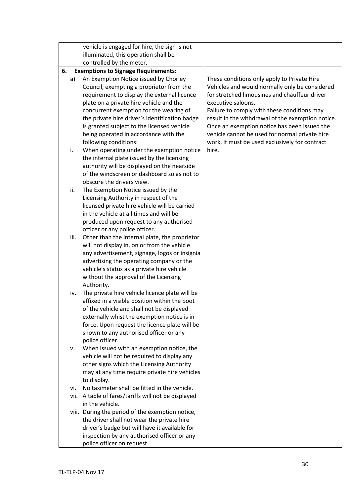|      | vehicle is engaged for hire, the sign is not                                                                                                                                                                                                                                                                                                                                             |                                                                                                                                                                                                                                                                                                                                                                                                                              |
|------|------------------------------------------------------------------------------------------------------------------------------------------------------------------------------------------------------------------------------------------------------------------------------------------------------------------------------------------------------------------------------------------|------------------------------------------------------------------------------------------------------------------------------------------------------------------------------------------------------------------------------------------------------------------------------------------------------------------------------------------------------------------------------------------------------------------------------|
|      | illuminated, this operation shall be                                                                                                                                                                                                                                                                                                                                                     |                                                                                                                                                                                                                                                                                                                                                                                                                              |
|      | controlled by the meter.                                                                                                                                                                                                                                                                                                                                                                 |                                                                                                                                                                                                                                                                                                                                                                                                                              |
| 6.   | <b>Exemptions to Signage Requirements:</b>                                                                                                                                                                                                                                                                                                                                               |                                                                                                                                                                                                                                                                                                                                                                                                                              |
| a)   | An Exemption Notice issued by Chorley<br>Council, exempting a proprietor from the<br>requirement to display the external licence<br>plate on a private hire vehicle and the<br>concurrent exemption for the wearing of<br>the private hire driver's identification badge<br>is granted subject to the licensed vehicle<br>being operated in accordance with the<br>following conditions: | These conditions only apply to Private Hire<br>Vehicles and would normally only be considered<br>for stretched limousines and chauffeur driver<br>executive saloons.<br>Failure to comply with these conditions may<br>result in the withdrawal of the exemption notice.<br>Once an exemption notice has been issued the<br>vehicle cannot be used for normal private hire<br>work, it must be used exclusively for contract |
| i.   | When operating under the exemption notice<br>the internal plate issued by the licensing<br>authority will be displayed on the nearside<br>of the windscreen or dashboard so as not to<br>obscure the drivers view.                                                                                                                                                                       | hire.                                                                                                                                                                                                                                                                                                                                                                                                                        |
| ii.  | The Exemption Notice issued by the<br>Licensing Authority in respect of the<br>licensed private hire vehicle will be carried<br>in the vehicle at all times and will be<br>produced upon request to any authorised                                                                                                                                                                       |                                                                                                                                                                                                                                                                                                                                                                                                                              |
| iii. | officer or any police officer.<br>Other than the internal plate, the proprietor<br>will not display in, on or from the vehicle<br>any advertisement, signage, logos or insignia<br>advertising the operating company or the<br>vehicle's status as a private hire vehicle<br>without the approval of the Licensing<br>Authority.                                                         |                                                                                                                                                                                                                                                                                                                                                                                                                              |
| iv.  | The private hire vehicle licence plate will be<br>affixed in a visible position within the boot<br>of the vehicle and shall not be displayed<br>externally whist the exemption notice is in<br>force. Upon request the licence plate will be<br>shown to any authorised officer or any<br>police officer.                                                                                |                                                                                                                                                                                                                                                                                                                                                                                                                              |
| ν.   | When issued with an exemption notice, the<br>vehicle will not be required to display any<br>other signs which the Licensing Authority<br>may at any time require private hire vehicles<br>to display.                                                                                                                                                                                    |                                                                                                                                                                                                                                                                                                                                                                                                                              |
| vi.  | No taximeter shall be fitted in the vehicle.                                                                                                                                                                                                                                                                                                                                             |                                                                                                                                                                                                                                                                                                                                                                                                                              |
| vii. | A table of fares/tariffs will not be displayed<br>in the vehicle.                                                                                                                                                                                                                                                                                                                        |                                                                                                                                                                                                                                                                                                                                                                                                                              |
|      | viii. During the period of the exemption notice,<br>the driver shall not wear the private hire<br>driver's badge but will have it available for<br>inspection by any authorised officer or any<br>police officer on request.                                                                                                                                                             |                                                                                                                                                                                                                                                                                                                                                                                                                              |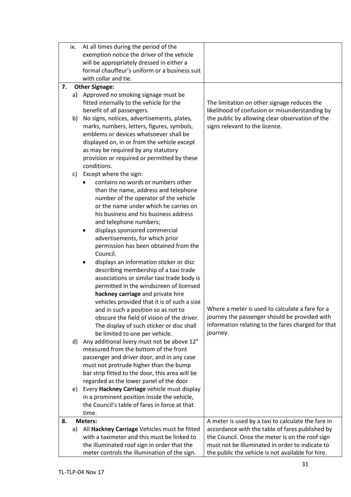|    | ix.                               | At all times during the period of the                                             |                                                    |
|----|-----------------------------------|-----------------------------------------------------------------------------------|----------------------------------------------------|
|    |                                   | exemption notice the driver of the vehicle                                        |                                                    |
|    |                                   | will be appropriately dressed in either a                                         |                                                    |
|    |                                   | formal chauffeur's uniform or a business suit                                     |                                                    |
|    |                                   | with collar and tie.                                                              |                                                    |
| 7. |                                   | <b>Other Signage:</b>                                                             |                                                    |
|    | a)                                | Approved no smoking signage must be                                               |                                                    |
|    |                                   | fitted internally to the vehicle for the                                          | The limitation on other signage reduces the        |
|    |                                   | benefit of all passengers.                                                        | likelihood of confusion or misunderstanding by     |
|    | b)                                | No signs, notices, advertisements, plates,                                        | the public by allowing clear observation of the    |
|    |                                   | marks, numbers, letters, figures, symbols,                                        | signs relevant to the licence.                     |
|    |                                   | emblems or devices whatsoever shall be                                            |                                                    |
|    |                                   | displayed on, in or from the vehicle except                                       |                                                    |
|    |                                   | as may be required by any statutory                                               |                                                    |
|    |                                   | provision or required or permitted by these                                       |                                                    |
|    |                                   | conditions.                                                                       |                                                    |
|    | c)                                | Except where the sign:                                                            |                                                    |
|    |                                   | contains no words or numbers other                                                |                                                    |
|    |                                   | than the name, address and telephone                                              |                                                    |
|    |                                   | number of the operator of the vehicle                                             |                                                    |
|    |                                   | or the name under which he carries on                                             |                                                    |
|    |                                   | his business and his business address                                             |                                                    |
|    |                                   | and telephone numbers;                                                            |                                                    |
|    |                                   | displays sponsored commercial<br>$\bullet$                                        |                                                    |
|    |                                   | advertisements, for which prior                                                   |                                                    |
|    |                                   | permission has been obtained from the                                             |                                                    |
|    |                                   | Council.                                                                          |                                                    |
|    |                                   | displays an information sticker or disc<br>٠                                      |                                                    |
|    |                                   | describing membership of a taxi trade                                             |                                                    |
|    |                                   | associations or similar taxi trade body is                                        |                                                    |
|    |                                   | permitted in the windscreen of licensed                                           |                                                    |
|    | hackney carriage and private hire |                                                                                   |                                                    |
|    |                                   | vehicles provided that it is of such a size                                       | Where a meter is used to calculate a fare for a    |
|    |                                   | and in such a position so as not to<br>obscure the field of vision of the driver. | journey the passenger should be provided with      |
|    |                                   | The display of such sticker or disc shall                                         | information relating to the fares charged for that |
|    |                                   | be limited to one per vehicle.                                                    | journey.                                           |
|    | d)                                | Any additional livery must not be above 12"                                       |                                                    |
|    |                                   | measured from the bottom of the front                                             |                                                    |
|    |                                   | passenger and driver door, and in any case                                        |                                                    |
|    |                                   | must not protrude higher than the bump                                            |                                                    |
|    |                                   | bar strip fitted to the door, this area will be                                   |                                                    |
|    |                                   | regarded as the lower panel of the door                                           |                                                    |
|    | e)                                | Every Hackney Carriage vehicle must display                                       |                                                    |
|    |                                   | in a prominent position inside the vehicle,                                       |                                                    |
|    |                                   | the Council's table of fares in force at that                                     |                                                    |
|    |                                   | time.                                                                             |                                                    |
| 8. |                                   | <b>Meters:</b>                                                                    | A meter is used by a taxi to calculate the fare in |
|    | a)                                | All Hackney Carriage Vehicles must be fitted                                      | accordance with the table of fares published by    |
|    |                                   | with a taximeter and this must be linked to                                       | the Council. Once the meter is on the roof sign    |
|    |                                   | the illuminated roof sign in order that the                                       | must not be illuminated in order to indicate to    |
|    |                                   | meter controls the illumination of the sign.                                      | the public the vehicle is not available for hire.  |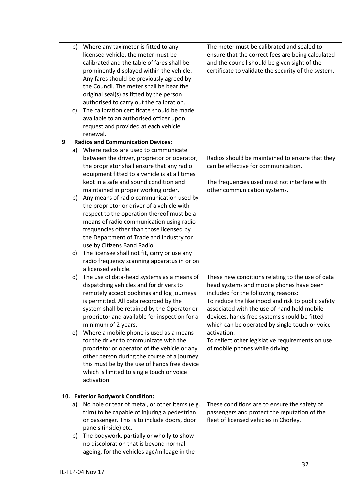|    | b) | Where any taximeter is fitted to any                     | The meter must be calibrated and sealed to          |
|----|----|----------------------------------------------------------|-----------------------------------------------------|
|    |    | licensed vehicle, the meter must be                      | ensure that the correct fees are being calculated   |
|    |    | calibrated and the table of fares shall be               | and the council should be given sight of the        |
|    |    | prominently displayed within the vehicle.                | certificate to validate the security of the system. |
|    |    | Any fares should be previously agreed by                 |                                                     |
|    |    | the Council. The meter shall be bear the                 |                                                     |
|    |    | original seal(s) as fitted by the person                 |                                                     |
|    |    | authorised to carry out the calibration.                 |                                                     |
|    | C) | The calibration certificate should be made               |                                                     |
|    |    | available to an authorised officer upon                  |                                                     |
|    |    | request and provided at each vehicle                     |                                                     |
|    |    | renewal.                                                 |                                                     |
| 9. |    | <b>Radios and Communication Devices:</b>                 |                                                     |
|    | a) | Where radios are used to communicate                     |                                                     |
|    |    | between the driver, proprietor or operator,              | Radios should be maintained to ensure that they     |
|    |    | the proprietor shall ensure that any radio               | can be effective for communication.                 |
|    |    | equipment fitted to a vehicle is at all times            |                                                     |
|    |    | kept in a safe and sound condition and                   | The frequencies used must not interfere with        |
|    |    | maintained in proper working order.                      | other communication systems.                        |
|    | b) | Any means of radio communication used by                 |                                                     |
|    |    | the proprietor or driver of a vehicle with               |                                                     |
|    |    | respect to the operation thereof must be a               |                                                     |
|    |    | means of radio communication using radio                 |                                                     |
|    |    | frequencies other than those licensed by                 |                                                     |
|    |    | the Department of Trade and Industry for                 |                                                     |
|    |    | use by Citizens Band Radio.                              |                                                     |
|    | C) | The licensee shall not fit, carry or use any             |                                                     |
|    |    | radio frequency scanning apparatus in or on              |                                                     |
|    |    | a licensed vehicle.                                      |                                                     |
|    | d) | The use of data-head systems as a means of               | These new conditions relating to the use of data    |
|    |    | dispatching vehicles and for drivers to                  | head systems and mobile phones have been            |
|    |    | remotely accept bookings and log journeys                | included for the following reasons:                 |
|    |    | is permitted. All data recorded by the                   | To reduce the likelihood and risk to public safety  |
|    |    | system shall be retained by the Operator or              | associated with the use of hand held mobile         |
|    |    | proprietor and available for inspection for a            | devices, hands free systems should be fitted        |
|    |    | minimum of 2 years.                                      | which can be operated by single touch or voice      |
|    | e) | Where a mobile phone is used as a means                  | activation.                                         |
|    |    | for the driver to communicate with the                   | To reflect other legislative requirements on use    |
|    |    | proprietor or operator of the vehicle or any             | of mobile phones while driving.                     |
|    |    | other person during the course of a journey              |                                                     |
|    |    | this must be by the use of hands free device             |                                                     |
|    |    | which is limited to single touch or voice<br>activation. |                                                     |
|    |    |                                                          |                                                     |
|    |    | 10. Exterior Bodywork Condition:                         |                                                     |
|    | a) | No hole or tear of metal, or other items (e.g.           | These conditions are to ensure the safety of        |
|    |    | trim) to be capable of injuring a pedestrian             | passengers and protect the reputation of the        |
|    |    | or passenger. This is to include doors, door             | fleet of licensed vehicles in Chorley.              |
|    |    | panels (inside) etc.                                     |                                                     |
|    | b) | The bodywork, partially or wholly to show                |                                                     |
|    |    | no discoloration that is beyond normal                   |                                                     |
|    |    | ageing, for the vehicles age/mileage in the              |                                                     |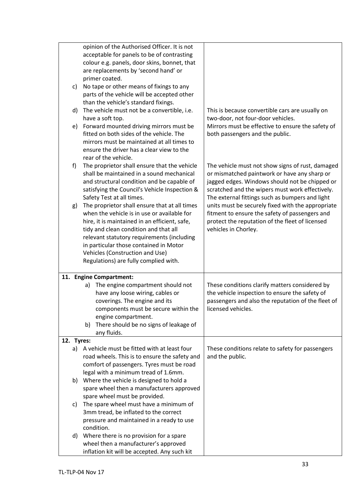|            | opinion of the Authorised Officer. It is not                                         |                                                    |
|------------|--------------------------------------------------------------------------------------|----------------------------------------------------|
|            | acceptable for panels to be of contrasting                                           |                                                    |
|            | colour e.g. panels, door skins, bonnet, that                                         |                                                    |
|            | are replacements by 'second hand' or                                                 |                                                    |
|            | primer coated.                                                                       |                                                    |
| C)         | No tape or other means of fixings to any                                             |                                                    |
|            | parts of the vehicle will be accepted other                                          |                                                    |
|            | than the vehicle's standard fixings.                                                 |                                                    |
| d)         | The vehicle must not be a convertible, i.e.                                          | This is because convertible cars are usually on    |
|            | have a soft top.                                                                     | two-door, not four-door vehicles.                  |
| e)         | Forward mounted driving mirrors must be                                              | Mirrors must be effective to ensure the safety of  |
|            | fitted on both sides of the vehicle. The                                             | both passengers and the public.                    |
|            | mirrors must be maintained at all times to                                           |                                                    |
|            | ensure the driver has a clear view to the                                            |                                                    |
|            | rear of the vehicle.                                                                 |                                                    |
| f)         | The proprietor shall ensure that the vehicle                                         | The vehicle must not show signs of rust, damaged   |
|            | shall be maintained in a sound mechanical                                            | or mismatched paintwork or have any sharp or       |
|            | and structural condition and be capable of                                           | jagged edges. Windows should not be chipped or     |
|            | satisfying the Council's Vehicle Inspection &                                        | scratched and the wipers must work effectively.    |
|            | Safety Test at all times.                                                            | The external fittings such as bumpers and light    |
| g)         | The proprietor shall ensure that at all times                                        | units must be securely fixed with the appropriate  |
|            | when the vehicle is in use or available for                                          | fitment to ensure the safety of passengers and     |
|            | hire, it is maintained in an efficient, safe,                                        | protect the reputation of the fleet of licensed    |
|            | tidy and clean condition and that all                                                | vehicles in Chorley.                               |
|            | relevant statutory requirements (including                                           |                                                    |
|            | in particular those contained in Motor                                               |                                                    |
|            | Vehicles (Construction and Use)                                                      |                                                    |
|            | Regulations) are fully complied with.                                                |                                                    |
|            |                                                                                      |                                                    |
|            | 11. Engine Compartment:                                                              |                                                    |
|            | The engine compartment should not<br>a)                                              | These conditions clarify matters considered by     |
|            | have any loose wiring, cables or                                                     | the vehicle inspection to ensure the safety of     |
|            | coverings. The engine and its                                                        | passengers and also the reputation of the fleet of |
|            | components must be secure within the                                                 | licensed vehicles.                                 |
|            | engine compartment.                                                                  |                                                    |
|            | There should be no signs of leakage of<br>b)                                         |                                                    |
|            | any fluids.                                                                          |                                                    |
| 12. Tyres: |                                                                                      |                                                    |
|            | a) A vehicle must be fitted with at least four                                       | These conditions relate to safety for passengers   |
|            | road wheels. This is to ensure the safety and                                        | and the public.                                    |
|            | comfort of passengers. Tyres must be road                                            |                                                    |
|            | legal with a minimum tread of 1.6mm.                                                 |                                                    |
| b)         | Where the vehicle is designed to hold a                                              |                                                    |
|            | spare wheel then a manufacturers approved                                            |                                                    |
|            | spare wheel must be provided.                                                        |                                                    |
| C)         | The spare wheel must have a minimum of                                               |                                                    |
|            | 3mm tread, be inflated to the correct                                                |                                                    |
|            | pressure and maintained in a ready to use                                            |                                                    |
|            | condition.                                                                           |                                                    |
| d)         | Where there is no provision for a spare                                              |                                                    |
|            |                                                                                      |                                                    |
|            |                                                                                      |                                                    |
|            | wheel then a manufacturer's approved<br>inflation kit will be accepted. Any such kit |                                                    |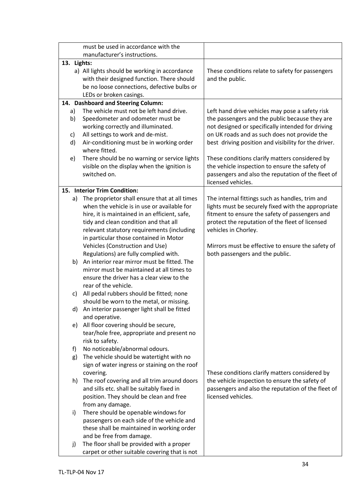|             | must be used in accordance with the           |                                                      |
|-------------|-----------------------------------------------|------------------------------------------------------|
|             | manufacturer's instructions.                  |                                                      |
| 13. Lights: |                                               |                                                      |
|             | a) All lights should be working in accordance | These conditions relate to safety for passengers     |
|             | with their designed function. There should    | and the public.                                      |
|             | be no loose connections, defective bulbs or   |                                                      |
|             | LEDs or broken casings.                       |                                                      |
|             | 14. Dashboard and Steering Column:            |                                                      |
| a)          | The vehicle must not be left hand drive.      | Left hand drive vehicles may pose a safety risk      |
| b)          | Speedometer and odometer must be              | the passengers and the public because they are       |
|             | working correctly and illuminated.            | not designed or specifically intended for driving    |
| c)          | All settings to work and de-mist.             | on UK roads and as such does not provide the         |
| d)          | Air-conditioning must be in working order     | best driving position and visibility for the driver. |
|             | where fitted.                                 |                                                      |
| e)          | There should be no warning or service lights  | These conditions clarify matters considered by       |
|             | visible on the display when the ignition is   | the vehicle inspection to ensure the safety of       |
|             | switched on.                                  | passengers and also the reputation of the fleet of   |
|             |                                               | licensed vehicles.                                   |
|             | 15. Interior Trim Condition:                  |                                                      |
| a)          | The proprietor shall ensure that at all times | The internal fittings such as handles, trim and      |
|             | when the vehicle is in use or available for   | lights must be securely fixed with the appropriate   |
|             | hire, it is maintained in an efficient, safe, | fitment to ensure the safety of passengers and       |
|             | tidy and clean condition and that all         | protect the reputation of the fleet of licensed      |
|             | relevant statutory requirements (including    | vehicles in Chorley.                                 |
|             | in particular those contained in Motor        |                                                      |
|             | Vehicles (Construction and Use)               | Mirrors must be effective to ensure the safety of    |
|             | Regulations) are fully complied with.         | both passengers and the public.                      |
| b)          | An interior rear mirror must be fitted. The   |                                                      |
|             | mirror must be maintained at all times to     |                                                      |
|             | ensure the driver has a clear view to the     |                                                      |
|             | rear of the vehicle.                          |                                                      |
| C)          | All pedal rubbers should be fitted; none      |                                                      |
|             | should be worn to the metal, or missing.      |                                                      |
| d)          | An interior passenger light shall be fitted   |                                                      |
|             | and operative.                                |                                                      |
| e)          | All floor covering should be secure,          |                                                      |
|             | tear/hole free, appropriate and present no    |                                                      |
|             | risk to safety.                               |                                                      |
| f)          | No noticeable/abnormal odours.                |                                                      |
| g)          | The vehicle should be watertight with no      |                                                      |
|             | sign of water ingress or staining on the roof |                                                      |
|             | covering.                                     | These conditions clarify matters considered by       |
| h)          | The roof covering and all trim around doors   | the vehicle inspection to ensure the safety of       |
|             | and sills etc. shall be suitably fixed in     | passengers and also the reputation of the fleet of   |
|             | position. They should be clean and free       | licensed vehicles.                                   |
|             | from any damage.                              |                                                      |
| i)          | There should be openable windows for          |                                                      |
|             | passengers on each side of the vehicle and    |                                                      |
|             | these shall be maintained in working order    |                                                      |
|             | and be free from damage.                      |                                                      |
| j)          | The floor shall be provided with a proper     |                                                      |
|             | carpet or other suitable covering that is not |                                                      |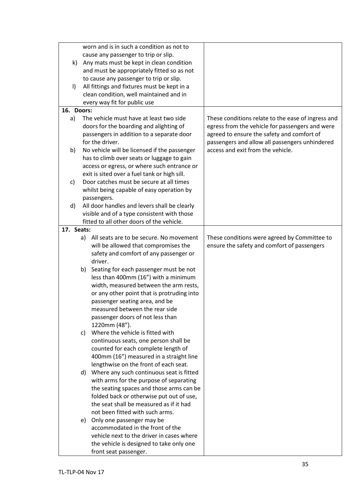|              |    | worn and is in such a condition as not to                    |                                                                                     |
|--------------|----|--------------------------------------------------------------|-------------------------------------------------------------------------------------|
|              |    | cause any passenger to trip or slip.                         |                                                                                     |
| $\mathsf{k}$ |    | Any mats must be kept in clean condition                     |                                                                                     |
|              |    | and must be appropriately fitted so as not                   |                                                                                     |
|              |    | to cause any passenger to trip or slip.                      |                                                                                     |
| $\vert$      |    | All fittings and fixtures must be kept in a                  |                                                                                     |
|              |    | clean condition, well maintained and in                      |                                                                                     |
|              |    | every way fit for public use                                 |                                                                                     |
| 16. Doors:   |    |                                                              |                                                                                     |
| a)           |    | The vehicle must have at least two side                      | These conditions relate to the ease of ingress and                                  |
|              |    | doors for the boarding and alighting of                      | egress from the vehicle for passengers and were                                     |
|              |    |                                                              |                                                                                     |
|              |    | passengers in addition to a separate door<br>for the driver. | agreed to ensure the safety and comfort of                                          |
|              |    |                                                              | passengers and allow all passengers unhindered<br>access and exit from the vehicle. |
| b)           |    | No vehicle will be licensed if the passenger                 |                                                                                     |
|              |    | has to climb over seats or luggage to gain                   |                                                                                     |
|              |    | access or egress, or where such entrance or                  |                                                                                     |
|              |    | exit is sited over a fuel tank or high sill.                 |                                                                                     |
| c)           |    | Door catches must be secure at all times                     |                                                                                     |
|              |    | whilst being capable of easy operation by                    |                                                                                     |
|              |    | passengers.                                                  |                                                                                     |
| d)           |    | All door handles and levers shall be clearly                 |                                                                                     |
|              |    | visible and of a type consistent with those                  |                                                                                     |
|              |    | fitted to all other doors of the vehicle.                    |                                                                                     |
| 17. Seats:   |    |                                                              |                                                                                     |
|              |    | a) All seats are to be secure. No movement                   | These conditions were agreed by Committee to                                        |
|              |    | will be allowed that compromises the                         | ensure the safety and comfort of passengers                                         |
|              |    | safety and comfort of any passenger or                       |                                                                                     |
|              |    | driver.                                                      |                                                                                     |
|              | b) | Seating for each passenger must be not                       |                                                                                     |
|              |    | less than 400mm (16") with a minimum                         |                                                                                     |
|              |    | width, measured between the arm rests,                       |                                                                                     |
|              |    | or any other point that is protruding into                   |                                                                                     |
|              |    | passenger seating area, and be                               |                                                                                     |
|              |    | measured between the rear side                               |                                                                                     |
|              |    | passenger doors of not less than                             |                                                                                     |
|              |    | 1220mm (48").                                                |                                                                                     |
|              | C) | Where the vehicle is fitted with                             |                                                                                     |
|              |    | continuous seats, one person shall be                        |                                                                                     |
|              |    | counted for each complete length of                          |                                                                                     |
|              |    | 400mm (16") measured in a straight line                      |                                                                                     |
|              |    | lengthwise on the front of each seat.                        |                                                                                     |
|              | d) | Where any such continuous seat is fitted                     |                                                                                     |
|              |    | with arms for the purpose of separating                      |                                                                                     |
|              |    | the seating spaces and those arms can be                     |                                                                                     |
|              |    | folded back or otherwise put out of use,                     |                                                                                     |
|              |    | the seat shall be measured as if it had                      |                                                                                     |
|              |    | not been fitted with such arms.                              |                                                                                     |
|              |    |                                                              |                                                                                     |
|              |    | e) Only one passenger may be                                 |                                                                                     |
|              |    | accommodated in the front of the                             |                                                                                     |
|              |    | vehicle next to the driver in cases where                    |                                                                                     |
|              |    | the vehicle is designed to take only one                     |                                                                                     |
|              |    | front seat passenger.                                        |                                                                                     |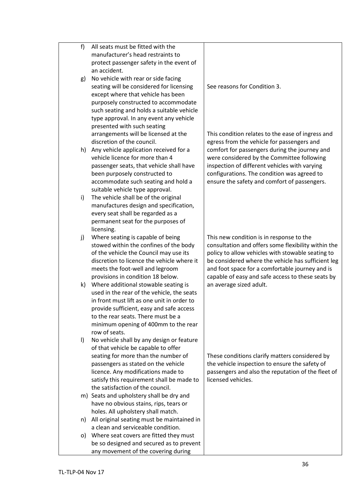| f<br>All seats must be fitted with the                                         |                                                     |
|--------------------------------------------------------------------------------|-----------------------------------------------------|
| manufacturer's head restraints to                                              |                                                     |
| protect passenger safety in the event of                                       |                                                     |
| an accident.                                                                   |                                                     |
| No vehicle with rear or side facing<br>g)                                      |                                                     |
| seating will be considered for licensing                                       | See reasons for Condition 3.                        |
| except where that vehicle has been                                             |                                                     |
| purposely constructed to accommodate                                           |                                                     |
| such seating and holds a suitable vehicle                                      |                                                     |
| type approval. In any event any vehicle                                        |                                                     |
| presented with such seating                                                    |                                                     |
| arrangements will be licensed at the                                           | This condition relates to the ease of ingress and   |
| discretion of the council.                                                     | egress from the vehicle for passengers and          |
| h) Any vehicle application received for a                                      | comfort for passengers during the journey and       |
| vehicle licence for more than 4                                                | were considered by the Committee following          |
| passenger seats, that vehicle shall have                                       | inspection of different vehicles with varying       |
| been purposely constructed to                                                  | configurations. The condition was agreed to         |
| accommodate such seating and hold a                                            | ensure the safety and comfort of passengers.        |
| suitable vehicle type approval.                                                |                                                     |
| The vehicle shall be of the original<br>$\mathsf{i}$                           |                                                     |
| manufactures design and specification,                                         |                                                     |
| every seat shall be regarded as a                                              |                                                     |
| permanent seat for the purposes of                                             |                                                     |
| licensing.                                                                     |                                                     |
| Where seating is capable of being<br>j)                                        | This new condition is in response to the            |
| stowed within the confines of the body                                         | consultation and offers some flexibility within the |
| of the vehicle the Council may use its                                         | policy to allow vehicles with stowable seating to   |
| discretion to licence the vehicle where it                                     | be considered where the vehicle has sufficient leg  |
| meets the foot-well and legroom                                                | and foot space for a comfortable journey and is     |
| provisions in condition 18 below.                                              | capable of easy and safe access to these seats by   |
| k) Where additional stowable seating is                                        | an average sized adult.                             |
| used in the rear of the vehicle, the seats                                     |                                                     |
| in front must lift as one unit in order to                                     |                                                     |
| provide sufficient, easy and safe access<br>to the rear seats. There must be a |                                                     |
|                                                                                |                                                     |
| minimum opening of 400mm to the rear<br>row of seats.                          |                                                     |
| No vehicle shall by any design or feature<br>$\vert$                           |                                                     |
| of that vehicle be capable to offer                                            |                                                     |
| seating for more than the number of                                            | These conditions clarify matters considered by      |
| passengers as stated on the vehicle                                            | the vehicle inspection to ensure the safety of      |
| licence. Any modifications made to                                             | passengers and also the reputation of the fleet of  |
| licensed vehicles.<br>satisfy this requirement shall be made to                |                                                     |
| the satisfaction of the council.                                               |                                                     |
| m) Seats and upholstery shall be dry and                                       |                                                     |
| have no obvious stains, rips, tears or                                         |                                                     |
| holes. All upholstery shall match.                                             |                                                     |
| All original seating must be maintained in<br>n)                               |                                                     |
| a clean and serviceable condition.                                             |                                                     |
| Where seat covers are fitted they must<br>O)                                   |                                                     |
| be so designed and secured as to prevent                                       |                                                     |
| any movement of the covering during                                            |                                                     |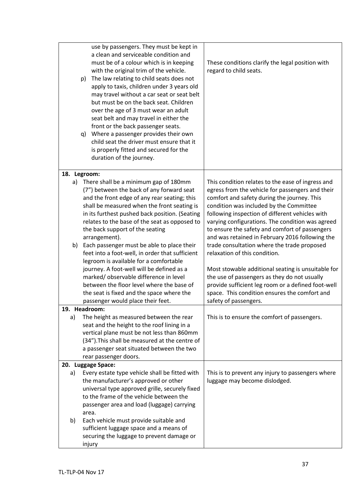|    | use by passengers. They must be kept in<br>a clean and serviceable condition and<br>must be of a colour which is in keeping<br>with the original trim of the vehicle.<br>The law relating to child seats does not<br>p)<br>apply to taxis, children under 3 years old<br>may travel without a car seat or seat belt<br>but must be on the back seat. Children<br>over the age of 3 must wear an adult<br>seat belt and may travel in either the<br>front or the back passenger seats.<br>Where a passenger provides their own<br>q)<br>child seat the driver must ensure that it<br>is properly fitted and secured for the<br>duration of the journey. | These conditions clarify the legal position with<br>regard to child seats.                                                                                                                                                                                                                                                                                                                                                                                                                  |
|----|--------------------------------------------------------------------------------------------------------------------------------------------------------------------------------------------------------------------------------------------------------------------------------------------------------------------------------------------------------------------------------------------------------------------------------------------------------------------------------------------------------------------------------------------------------------------------------------------------------------------------------------------------------|---------------------------------------------------------------------------------------------------------------------------------------------------------------------------------------------------------------------------------------------------------------------------------------------------------------------------------------------------------------------------------------------------------------------------------------------------------------------------------------------|
|    | 18. Legroom:                                                                                                                                                                                                                                                                                                                                                                                                                                                                                                                                                                                                                                           |                                                                                                                                                                                                                                                                                                                                                                                                                                                                                             |
| b) | a) There shall be a minimum gap of 180mm<br>(7") between the back of any forward seat<br>and the front edge of any rear seating; this<br>shall be measured when the front seating is<br>in its furthest pushed back position. (Seating<br>relates to the base of the seat as opposed to<br>the back support of the seating<br>arrangement).<br>Each passenger must be able to place their<br>feet into a foot-well, in order that sufficient<br>legroom is available for a comfortable                                                                                                                                                                 | This condition relates to the ease of ingress and<br>egress from the vehicle for passengers and their<br>comfort and safety during the journey. This<br>condition was included by the Committee<br>following inspection of different vehicles with<br>varying configurations. The condition was agreed<br>to ensure the safety and comfort of passengers<br>and was retained in February 2016 following the<br>trade consultation where the trade proposed<br>relaxation of this condition. |
|    | journey. A foot-well will be defined as a<br>marked/observable difference in level<br>between the floor level where the base of<br>the seat is fixed and the space where the<br>passenger would place their feet.                                                                                                                                                                                                                                                                                                                                                                                                                                      | Most stowable additional seating is unsuitable for<br>the use of passengers as they do not usually<br>provide sufficient leg room or a defined foot-well<br>space. This condition ensures the comfort and<br>safety of passengers.                                                                                                                                                                                                                                                          |
|    | 19. Headroom:                                                                                                                                                                                                                                                                                                                                                                                                                                                                                                                                                                                                                                          |                                                                                                                                                                                                                                                                                                                                                                                                                                                                                             |
| a) | The height as measured between the rear<br>seat and the height to the roof lining in a<br>vertical plane must be not less than 860mm<br>(34"). This shall be measured at the centre of<br>a passenger seat situated between the two<br>rear passenger doors.                                                                                                                                                                                                                                                                                                                                                                                           | This is to ensure the comfort of passengers.                                                                                                                                                                                                                                                                                                                                                                                                                                                |
|    | 20. Luggage Space:                                                                                                                                                                                                                                                                                                                                                                                                                                                                                                                                                                                                                                     |                                                                                                                                                                                                                                                                                                                                                                                                                                                                                             |
| a) | Every estate type vehicle shall be fitted with<br>the manufacturer's approved or other<br>universal type approved grille, securely fixed<br>to the frame of the vehicle between the<br>passenger area and load (luggage) carrying<br>area.                                                                                                                                                                                                                                                                                                                                                                                                             | This is to prevent any injury to passengers where<br>luggage may become dislodged.                                                                                                                                                                                                                                                                                                                                                                                                          |
| b) | Each vehicle must provide suitable and<br>sufficient luggage space and a means of<br>securing the luggage to prevent damage or<br>injury                                                                                                                                                                                                                                                                                                                                                                                                                                                                                                               |                                                                                                                                                                                                                                                                                                                                                                                                                                                                                             |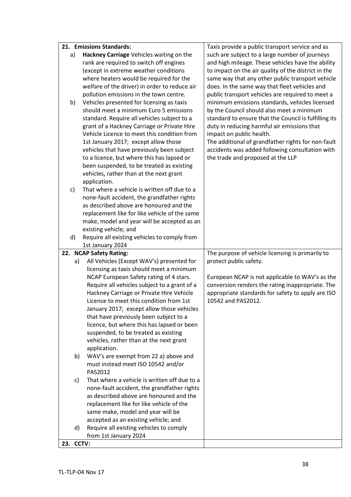|           |    | 21. Emissions Standards:                      | Taxis provide a public transport service and as       |
|-----------|----|-----------------------------------------------|-------------------------------------------------------|
|           | a) | Hackney Carriage Vehicles waiting on the      | such are subject to a large number of journeys        |
|           |    | rank are required to switch off engines       | and high mileage. These vehicles have the ability     |
|           |    | (except in extreme weather conditions         | to impact on the air quality of the district in the   |
|           |    | where heaters would be required for the       | same way that any other public transport vehicle      |
|           |    | welfare of the driver) in order to reduce air | does. In the same way that fleet vehicles and         |
|           |    | pollution emissions in the town centre.       | public transport vehicles are required to meet a      |
|           | b) | Vehicles presented for licensing as taxis     | minimum emissions standards, vehicles licensed        |
|           |    | should meet a minimum Euro 5 emissions        | by the Council should also meet a minimum             |
|           |    | standard. Require all vehicles subject to a   | standard to ensure that the Council is fulfilling its |
|           |    | grant of a Hackney Carriage or Private Hire   | duty in reducing harmful air emissions that           |
|           |    | Vehicle Licence to meet this condition from   | impact on public health.                              |
|           |    | 1st January 2017; except allow those          | The additional of grandfather rights for non-fault    |
|           |    | vehicles that have previously been subject    | accidents was added following consultation with       |
|           |    | to a licence, but where this has lapsed or    | the trade and proposed at the LLP                     |
|           |    | been suspended, to be treated as existing     |                                                       |
|           |    | vehicles, rather than at the next grant       |                                                       |
|           |    | application.                                  |                                                       |
|           | c) | That where a vehicle is written off due to a  |                                                       |
|           |    | none-fault accident, the grandfather rights   |                                                       |
|           |    | as described above are honoured and the       |                                                       |
|           |    | replacement like for like vehicle of the same |                                                       |
|           |    | make, model and year will be accepted as an   |                                                       |
|           |    | existing vehicle; and                         |                                                       |
|           | d) | Require all existing vehicles to comply from  |                                                       |
|           |    | 1st January 2024                              |                                                       |
|           |    | 22. NCAP Safety Rating:                       | The purpose of vehicle licensing is primarily to      |
|           |    |                                               |                                                       |
|           | a) | All Vehicles (Except WAV's) presented for     | protect public safety.                                |
|           |    | licensing as taxis should meet a minimum      |                                                       |
|           |    | NCAP European Safety rating of 4 stars.       | European NCAP is not applicable to WAV's as the       |
|           |    | Require all vehicles subject to a grant of a  | conversion renders the rating inappropriate. The      |
|           |    | Hackney Carriage or Private Hire Vehicle      | appropriate standards for safety to apply are ISO     |
|           |    | Licence to meet this condition from 1st       | 10542 and PAS2012.                                    |
|           |    | January 2017; except allow those vehicles     |                                                       |
|           |    | that have previously been subject to a        |                                                       |
|           |    | licence, but where this has lapsed or been    |                                                       |
|           |    | suspended, to be treated as existing          |                                                       |
|           |    | vehicles, rather than at the next grant       |                                                       |
|           |    | application.                                  |                                                       |
|           | b) | WAV's are exempt from 22 a) above and         |                                                       |
|           |    | must instead meet ISO 10542 and/or            |                                                       |
|           |    | PAS2012                                       |                                                       |
|           | c) | That where a vehicle is written off due to a  |                                                       |
|           |    | none-fault accident, the grandfather rights   |                                                       |
|           |    | as described above are honoured and the       |                                                       |
|           |    | replacement like for like vehicle of the      |                                                       |
|           |    | same make, model and year will be             |                                                       |
|           |    | accepted as an existing vehicle; and          |                                                       |
|           | d) | Require all existing vehicles to comply       |                                                       |
| 23. CCTV: |    | from 1st January 2024                         |                                                       |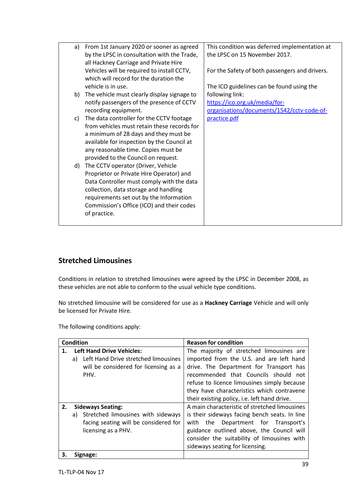| a) | From 1st January 2020 or sooner as agreed<br>by the LPSC in consultation with the Trade,<br>all Hackney Carriage and Private Hire | This condition was deferred implementation at<br>the LPSC on 15 November 2017. |
|----|-----------------------------------------------------------------------------------------------------------------------------------|--------------------------------------------------------------------------------|
|    | Vehicles will be required to install CCTV,<br>which will record for the duration the                                              | For the Safety of both passengers and drivers.                                 |
|    | vehicle is in use.                                                                                                                | The ICO guidelines can be found using the                                      |
| b) | The vehicle must clearly display signage to                                                                                       | following link:                                                                |
|    | notify passengers of the presence of CCTV                                                                                         | https://ico.org.uk/media/for-                                                  |
|    | recording equipment.                                                                                                              | organisations/documents/1542/cctv-code-of-                                     |
| C) | The data controller for the CCTV footage                                                                                          | practice.pdf                                                                   |
|    | from vehicles must retain these records for                                                                                       |                                                                                |
|    | a minimum of 28 days and they must be                                                                                             |                                                                                |
|    | available for inspection by the Council at                                                                                        |                                                                                |
|    | any reasonable time. Copies must be                                                                                               |                                                                                |
|    | provided to the Council on request.                                                                                               |                                                                                |
| d) | The CCTV operator (Driver, Vehicle                                                                                                |                                                                                |
|    | Proprietor or Private Hire Operator) and                                                                                          |                                                                                |
|    | Data Controller must comply with the data                                                                                         |                                                                                |
|    | collection, data storage and handling                                                                                             |                                                                                |
|    | requirements set out by the Information                                                                                           |                                                                                |
|    | Commission's Office (ICO) and their codes                                                                                         |                                                                                |
|    | of practice.                                                                                                                      |                                                                                |
|    |                                                                                                                                   |                                                                                |
|    |                                                                                                                                   |                                                                                |

# **Stretched Limousines**

Conditions in relation to stretched limousines were agreed by the LPSC in December 2008, as these vehicles are not able to conform to the usual vehicle type conditions.

No stretched limousine will be considered for use as a **Hackney Carriage** Vehicle and will only be licensed for Private Hire.

The following conditions apply:

|    | <b>Condition</b>                                                                       | <b>Reason for condition</b>                   |  |  |  |
|----|----------------------------------------------------------------------------------------|-----------------------------------------------|--|--|--|
|    | <b>Left Hand Drive Vehicles:</b>                                                       | The majority of stretched limousines are      |  |  |  |
|    | imported from the U.S. and are left hand<br>Left Hand Drive stretched limousines<br>a) |                                               |  |  |  |
|    | drive. The Department for Transport has<br>will be considered for licensing as a       |                                               |  |  |  |
|    | PHV.                                                                                   | recommended that Councils should not          |  |  |  |
|    |                                                                                        | refuse to licence limousines simply because   |  |  |  |
|    |                                                                                        | they have characteristics which contravene    |  |  |  |
|    |                                                                                        | their existing policy, i.e. left hand drive.  |  |  |  |
| 2. | <b>Sideways Seating:</b>                                                               | A main characteristic of stretched limousines |  |  |  |
|    | a) Stretched limousines with sideways                                                  | is their sideways facing bench seats. In line |  |  |  |
|    | facing seating will be considered for                                                  | with the Department for Transport's           |  |  |  |
|    | licensing as a PHV.                                                                    | guidance outlined above, the Council will     |  |  |  |
|    |                                                                                        | consider the suitability of limousines with   |  |  |  |
|    |                                                                                        | sideways seating for licensing.               |  |  |  |
| 3. | Signage:                                                                               |                                               |  |  |  |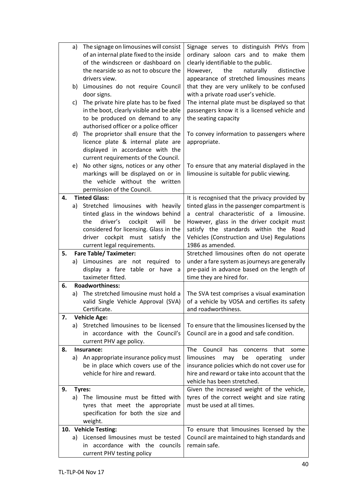|    | a) | The signage on limousines will consist                        | Signage serves to distinguish PHVs from               |
|----|----|---------------------------------------------------------------|-------------------------------------------------------|
|    |    | of an internal plate fixed to the inside                      | ordinary saloon cars and to make them                 |
|    |    | of the windscreen or dashboard on                             | clearly identifiable to the public.                   |
|    |    | the nearside so as not to obscure the                         | the<br>naturally<br>distinctive<br>However,           |
|    |    | drivers view.                                                 | appearance of stretched limousines means              |
|    | b) | Limousines do not require Council                             | that they are very unlikely to be confused            |
|    |    | door signs.                                                   | with a private road user's vehicle.                   |
|    | c) | The private hire plate has to be fixed                        | The internal plate must be displayed so that          |
|    |    | in the boot, clearly visible and be able                      | passengers know it is a licensed vehicle and          |
|    |    | to be produced on demand to any                               | the seating capacity                                  |
|    |    | authorised officer or a police officer                        |                                                       |
|    | d) | The proprietor shall ensure that the                          | To convey information to passengers where             |
|    |    | licence plate & internal plate are                            | appropriate.                                          |
|    |    | displayed in accordance with the                              |                                                       |
|    |    | current requirements of the Council.                          |                                                       |
|    | e) | No other signs, notices or any other                          | To ensure that any material displayed in the          |
|    |    | markings will be displayed on or in                           | limousine is suitable for public viewing.             |
|    |    | the vehicle without the written                               |                                                       |
|    |    | permission of the Council.                                    |                                                       |
| 4. |    | <b>Tinted Glass:</b>                                          | It is recognised that the privacy provided by         |
|    | a) | Stretched limousines with heavily                             | tinted glass in the passenger compartment is          |
|    |    | tinted glass in the windows behind                            | a central characteristic of a limousine.              |
|    |    | driver's<br>the<br>cockpit<br>will<br>be                      | However, glass in the driver cockpit must             |
|    |    | considered for licensing. Glass in the                        | satisfy the standards within the Road                 |
|    |    | driver cockpit must satisfy<br>the                            | Vehicles (Construction and Use) Regulations           |
|    |    | current legal requirements.                                   | 1986 as amended.                                      |
| 5. |    | <b>Fare Table/ Taximeter:</b>                                 | Stretched limousines often do not operate             |
|    | a) | Limousines are not required<br>to                             | under a fare system as journeys are generally         |
|    |    | display a fare table or have a                                | pre-paid in advance based on the length of            |
|    |    | taximeter fitted.                                             | time they are hired for.                              |
| 6. |    | <b>Roadworthiness:</b>                                        |                                                       |
|    | a) | The stretched limousine must hold a                           | The SVA test comprises a visual examination           |
|    |    | valid Single Vehicle Approval (SVA)                           | of a vehicle by VOSA and certifies its safety         |
|    |    | Certificate.                                                  | and roadworthiness.                                   |
| 7. |    | <b>Vehicle Age:</b>                                           |                                                       |
|    | a) | Stretched limousines to be licensed                           | To ensure that the limousines licensed by the         |
|    |    | in accordance with the Council's                              | Council are in a good and safe condition.             |
|    |    | current PHV age policy.                                       |                                                       |
| 8. |    | Insurance:                                                    | Council<br><b>The</b><br>has<br>concerns that<br>some |
|    | a) | An appropriate insurance policy must                          | limousines<br>under<br>operating<br>may<br>be         |
|    |    | be in place which covers use of the                           | insurance policies which do not cover use for         |
|    |    | vehicle for hire and reward.                                  | hire and reward or take into account that the         |
|    |    |                                                               | vehicle has been stretched.                           |
| 9. |    | Tyres:                                                        | Given the increased weight of the vehicle,            |
|    |    | a) The limousine must be fitted with                          | tyres of the correct weight and size rating           |
|    |    | tyres that meet the appropriate                               | must be used at all times.                            |
|    |    | specification for both the size and                           |                                                       |
|    |    | weight.                                                       |                                                       |
|    |    | 10. Vehicle Testing:<br>a) Licensed limousines must be tested | To ensure that limousines licensed by the             |
|    |    |                                                               |                                                       |
|    |    |                                                               | Council are maintained to high standards and          |
|    |    | in accordance with the councils<br>current PHV testing policy | remain safe.                                          |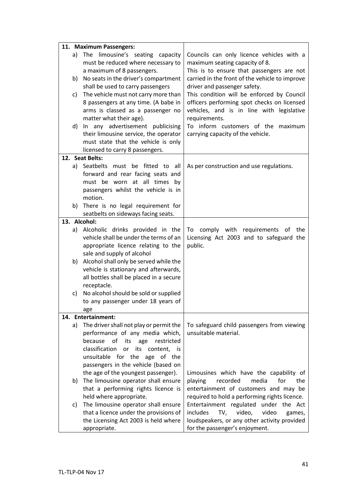|    | 11. Maximum Passengers:                                                                                                                      |                                                                                                                                                         |
|----|----------------------------------------------------------------------------------------------------------------------------------------------|---------------------------------------------------------------------------------------------------------------------------------------------------------|
| a) | The limousine's seating capacity<br>must be reduced where necessary to<br>a maximum of 8 passengers.                                         | Councils can only licence vehicles with a<br>maximum seating capacity of 8.<br>This is to ensure that passengers are not                                |
|    | b) No seats in the driver's compartment<br>shall be used to carry passengers                                                                 | carried in the front of the vehicle to improve<br>driver and passenger safety.                                                                          |
| c) | The vehicle must not carry more than<br>8 passengers at any time. (A babe in<br>arms is classed as a passenger no<br>matter what their age). | This condition will be enforced by Council<br>officers performing spot checks on licensed<br>vehicles, and is in line with legislative<br>requirements. |
|    | d) In any advertisement publicising<br>their limousine service, the operator<br>must state that the vehicle is only                          | To inform customers of the maximum<br>carrying capacity of the vehicle.                                                                                 |
|    | licensed to carry 8 passengers.                                                                                                              |                                                                                                                                                         |
|    | 12. Seat Belts:                                                                                                                              |                                                                                                                                                         |
|    | a) Seatbelts must be fitted to<br>all                                                                                                        | As per construction and use regulations.                                                                                                                |
|    | forward and rear facing seats and                                                                                                            |                                                                                                                                                         |
|    | must be worn at all times by<br>passengers whilst the vehicle is in                                                                          |                                                                                                                                                         |
|    | motion.                                                                                                                                      |                                                                                                                                                         |
|    | b) There is no legal requirement for                                                                                                         |                                                                                                                                                         |
|    | seatbelts on sideways facing seats.                                                                                                          |                                                                                                                                                         |
|    | 13. Alcohol:                                                                                                                                 |                                                                                                                                                         |
|    | a) Alcoholic drinks provided in the                                                                                                          | To comply with requirements of the                                                                                                                      |
|    | vehicle shall be under the terms of an                                                                                                       | Licensing Act 2003 and to safeguard the                                                                                                                 |
|    | appropriate licence relating to the                                                                                                          | public.                                                                                                                                                 |
|    | sale and supply of alcohol                                                                                                                   |                                                                                                                                                         |
|    | b) Alcohol shall only be served while the                                                                                                    |                                                                                                                                                         |
|    | vehicle is stationary and afterwards,                                                                                                        |                                                                                                                                                         |
|    | all bottles shall be placed in a secure                                                                                                      |                                                                                                                                                         |
|    | receptacle.                                                                                                                                  |                                                                                                                                                         |
| c) | No alcohol should be sold or supplied<br>to any passenger under 18 years of                                                                  |                                                                                                                                                         |
|    |                                                                                                                                              |                                                                                                                                                         |
|    | age<br>14. Entertainment:                                                                                                                    |                                                                                                                                                         |
| a) | The driver shall not play or permit the                                                                                                      | To safeguard child passengers from viewing                                                                                                              |
|    | performance of any media which,                                                                                                              | unsuitable material.                                                                                                                                    |
|    | because of its<br>age<br>restricted                                                                                                          |                                                                                                                                                         |
|    | classification<br>its<br>content, is<br>or                                                                                                   |                                                                                                                                                         |
|    | unsuitable for the age of the                                                                                                                |                                                                                                                                                         |
|    | passengers in the vehicle (based on                                                                                                          |                                                                                                                                                         |
|    | the age of the youngest passenger).                                                                                                          | Limousines which have the capability of                                                                                                                 |
| b) | The limousine operator shall ensure                                                                                                          | playing<br>media<br>for<br>the<br>recorded                                                                                                              |
|    | that a performing rights licence is                                                                                                          | entertainment of customers and may be                                                                                                                   |
|    | held where appropriate.                                                                                                                      | required to hold a performing rights licence.                                                                                                           |
| c) | The limousine operator shall ensure                                                                                                          | Entertainment regulated under the Act                                                                                                                   |
|    |                                                                                                                                              |                                                                                                                                                         |
|    |                                                                                                                                              |                                                                                                                                                         |
|    | that a licence under the provisions of<br>the Licensing Act 2003 is held where<br>appropriate.                                               | includes<br>TV,<br>video,<br>video<br>games,<br>loudspeakers, or any other activity provided<br>for the passenger's enjoyment.                          |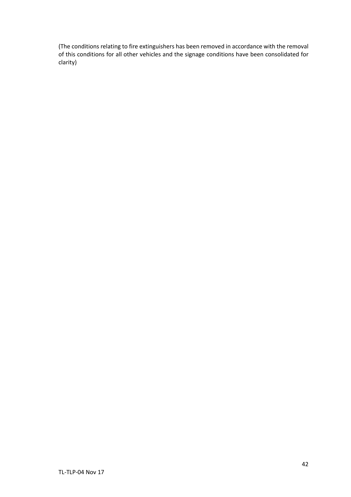(The conditions relating to fire extinguishers has been removed in accordance with the removal of this conditions for all other vehicles and the signage conditions have been consolidated for clarity)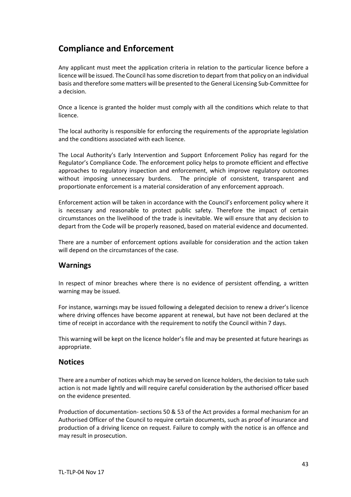# **Compliance and Enforcement**

Any applicant must meet the application criteria in relation to the particular licence before a licence will be issued. The Council has some discretion to depart from that policy on an individual basis and therefore some matters will be presented to the General Licensing Sub-Committee for a decision.

Once a licence is granted the holder must comply with all the conditions which relate to that licence.

The local authority is responsible for enforcing the requirements of the appropriate legislation and the conditions associated with each licence.

The Local Authority's Early Intervention and Support Enforcement Policy has regard for the Regulator's Compliance Code. The enforcement policy helps to promote efficient and effective approaches to regulatory inspection and enforcement, which improve regulatory outcomes without imposing unnecessary burdens. The principle of consistent, transparent and proportionate enforcement is a material consideration of any enforcement approach.

Enforcement action will be taken in accordance with the Council's enforcement policy where it is necessary and reasonable to protect public safety. Therefore the impact of certain circumstances on the livelihood of the trade is inevitable. We will ensure that any decision to depart from the Code will be properly reasoned, based on material evidence and documented.

There are a number of enforcement options available for consideration and the action taken will depend on the circumstances of the case.

# **Warnings**

In respect of minor breaches where there is no evidence of persistent offending, a written warning may be issued.

For instance, warnings may be issued following a delegated decision to renew a driver's licence where driving offences have become apparent at renewal, but have not been declared at the time of receipt in accordance with the requirement to notify the Council within 7 days.

This warning will be kept on the licence holder's file and may be presented at future hearings as appropriate.

#### **Notices**

There are a number of notices which may be served on licence holders, the decision to take such action is not made lightly and will require careful consideration by the authorised officer based on the evidence presented.

Production of documentation- sections 50 & 53 of the Act provides a formal mechanism for an Authorised Officer of the Council to require certain documents, such as proof of insurance and production of a driving licence on request. Failure to comply with the notice is an offence and may result in prosecution.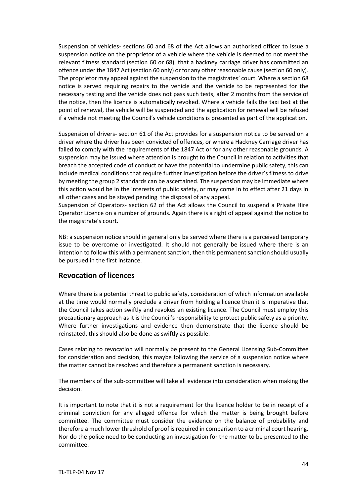Suspension of vehicles- sections 60 and 68 of the Act allows an authorised officer to issue a suspension notice on the proprietor of a vehicle where the vehicle is deemed to not meet the relevant fitness standard (section 60 or 68), that a hackney carriage driver has committed an offence under the 1847 Act (section 60 only) or for any other reasonable cause (section 60 only). The proprietor may appeal against the suspension to the magistrates' court. Where a section 68 notice is served requiring repairs to the vehicle and the vehicle to be represented for the necessary testing and the vehicle does not pass such tests, after 2 months from the service of the notice, then the licence is automatically revoked. Where a vehicle fails the taxi test at the point of renewal, the vehicle will be suspended and the application for renewal will be refused if a vehicle not meeting the Council's vehicle conditions is presented as part of the application.

Suspension of drivers- section 61 of the Act provides for a suspension notice to be served on a driver where the driver has been convicted of offences, or where a Hackney Carriage driver has failed to comply with the requirements of the 1847 Act or for any other reasonable grounds. A suspension may be issued where attention is brought to the Council in relation to activities that breach the accepted code of conduct or have the potential to undermine public safety, this can include medical conditions that require further investigation before the driver's fitness to drive by meeting the group 2 standards can be ascertained. The suspension may be immediate where this action would be in the interests of public safety, or may come in to effect after 21 days in all other cases and be stayed pending the disposal of any appeal.

Suspension of Operators- section 62 of the Act allows the Council to suspend a Private Hire Operator Licence on a number of grounds. Again there is a right of appeal against the notice to the magistrate's court.

NB: a suspension notice should in general only be served where there is a perceived temporary issue to be overcome or investigated. It should not generally be issued where there is an intention to follow this with a permanent sanction, then this permanent sanction should usually be pursued in the first instance.

# **Revocation of licences**

Where there is a potential threat to public safety, consideration of which information available at the time would normally preclude a driver from holding a licence then it is imperative that the Council takes action swiftly and revokes an existing licence. The Council must employ this precautionary approach as it is the Council's responsibility to protect public safety as a priority. Where further investigations and evidence then demonstrate that the licence should be reinstated, this should also be done as swiftly as possible.

Cases relating to revocation will normally be present to the General Licensing Sub-Committee for consideration and decision, this maybe following the service of a suspension notice where the matter cannot be resolved and therefore a permanent sanction is necessary.

The members of the sub-committee will take all evidence into consideration when making the decision.

It is important to note that it is not a requirement for the licence holder to be in receipt of a criminal conviction for any alleged offence for which the matter is being brought before committee. The committee must consider the evidence on the balance of probability and therefore a much lower threshold of proof is required in comparison to a criminal court hearing. Nor do the police need to be conducting an investigation for the matter to be presented to the committee.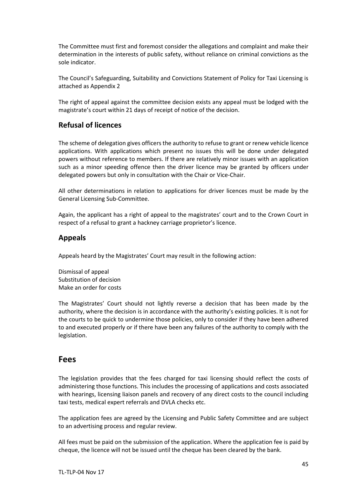The Committee must first and foremost consider the allegations and complaint and make their determination in the interests of public safety, without reliance on criminal convictions as the sole indicator.

The Council's Safeguarding, Suitability and Convictions Statement of Policy for Taxi Licensing is attached as Appendix 2

The right of appeal against the committee decision exists any appeal must be lodged with the magistrate's court within 21 days of receipt of notice of the decision.

# **Refusal of licences**

The scheme of delegation gives officers the authority to refuse to grant or renew vehicle licence applications. With applications which present no issues this will be done under delegated powers without reference to members. If there are relatively minor issues with an application such as a minor speeding offence then the driver licence may be granted by officers under delegated powers but only in consultation with the Chair or Vice-Chair.

All other determinations in relation to applications for driver licences must be made by the General Licensing Sub-Committee.

Again, the applicant has a right of appeal to the magistrates' court and to the Crown Court in respect of a refusal to grant a hackney carriage proprietor's licence.

# **Appeals**

Appeals heard by the Magistrates' Court may result in the following action:

Dismissal of appeal Substitution of decision Make an order for costs

The Magistrates' Court should not lightly reverse a decision that has been made by the authority, where the decision is in accordance with the authority's existing policies. It is not for the courts to be quick to undermine those policies, only to consider if they have been adhered to and executed properly or if there have been any failures of the authority to comply with the legislation.

# **Fees**

The legislation provides that the fees charged for taxi licensing should reflect the costs of administering those functions. This includes the processing of applications and costs associated with hearings, licensing liaison panels and recovery of any direct costs to the council including taxi tests, medical expert referrals and DVLA checks etc.

The application fees are agreed by the Licensing and Public Safety Committee and are subject to an advertising process and regular review.

All fees must be paid on the submission of the application. Where the application fee is paid by cheque, the licence will not be issued until the cheque has been cleared by the bank.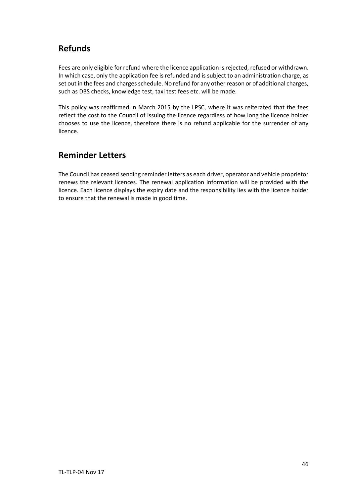# **Refunds**

Fees are only eligible for refund where the licence application is rejected, refused or withdrawn. In which case, only the application fee is refunded and is subject to an administration charge, as set out in the fees and charges schedule. No refund for any other reason or of additional charges, such as DBS checks, knowledge test, taxi test fees etc. will be made.

This policy was reaffirmed in March 2015 by the LPSC, where it was reiterated that the fees reflect the cost to the Council of issuing the licence regardless of how long the licence holder chooses to use the licence, therefore there is no refund applicable for the surrender of any licence.

# **Reminder Letters**

The Council has ceased sending reminder letters as each driver, operator and vehicle proprietor renews the relevant licences. The renewal application information will be provided with the licence. Each licence displays the expiry date and the responsibility lies with the licence holder to ensure that the renewal is made in good time.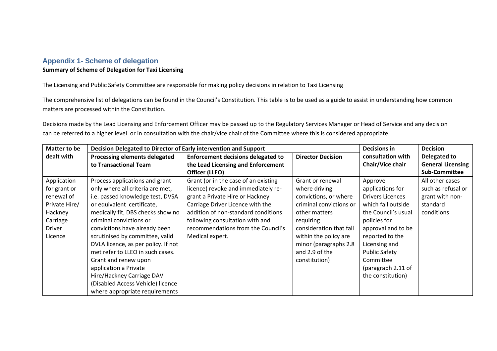# **Appendix 1- Scheme of delegation**

# **Summary of Scheme of Delegation for Taxi Licensing**

The Licensing and Public Safety Committee are responsible for making policy decisions in relation to Taxi Licensing

The comprehensive list of delegations can be found in the Council's Constitution. This table is to be used as a guide to assist in understanding how common matters are processed within the Constitution.

Decisions made by the Lead Licensing and Enforcement Officer may be passed up to the Regulatory Services Manager or Head of Service and any decision can be referred to a higher level or in consultation with the chair/vice chair of the Committee where this is considered appropriate.

| Matter to be  | Decision Delegated to Director of Early intervention and Support |                                           |                          | Decisions in            | <b>Decision</b>          |
|---------------|------------------------------------------------------------------|-------------------------------------------|--------------------------|-------------------------|--------------------------|
| dealt with    | Processing elements delegated                                    | <b>Enforcement decisions delegated to</b> | <b>Director Decision</b> | consultation with       | Delegated to             |
|               | to Transactional Team                                            | the Lead Licensing and Enforcement        |                          | Chair/Vice chair        | <b>General Licensing</b> |
|               |                                                                  | Officer (LLEO)                            |                          |                         | <b>Sub-Committee</b>     |
| Application   | Process applications and grant                                   | Grant (or in the case of an existing      | Grant or renewal         | Approve                 | All other cases          |
| for grant or  | only where all criteria are met,                                 | licence) revoke and immediately re-       | where driving            | applications for        | such as refusal or       |
| renewal of    | i.e. passed knowledge test, DVSA                                 | grant a Private Hire or Hackney           | convictions, or where    | <b>Drivers Licences</b> | grant with non-          |
| Private Hire/ | or equivalent certificate,                                       | Carriage Driver Licence with the          | criminal convictions or  | which fall outside      | standard                 |
| Hackney       | medically fit, DBS checks show no                                | addition of non-standard conditions       | other matters            | the Council's usual     | conditions               |
| Carriage      | criminal convictions or                                          | following consultation with and           | requiring                | policies for            |                          |
| Driver        | convictions have already been                                    | recommendations from the Council's        | consideration that fall  | approval and to be      |                          |
| Licence       | scrutinised by committee, valid                                  | Medical expert.                           | within the policy are    | reported to the         |                          |
|               | DVLA licence, as per policy. If not                              |                                           | minor (paragraphs 2.8    | Licensing and           |                          |
|               | met refer to LLEO in such cases.                                 |                                           | and 2.9 of the           | <b>Public Safety</b>    |                          |
|               | Grant and renew upon                                             |                                           | constitution)            | Committee               |                          |
|               | application a Private                                            |                                           |                          | (paragraph 2.11 of      |                          |
|               | Hire/Hackney Carriage DAV                                        |                                           |                          | the constitution)       |                          |
|               | (Disabled Access Vehicle) licence                                |                                           |                          |                         |                          |
|               | where appropriate requirements                                   |                                           |                          |                         |                          |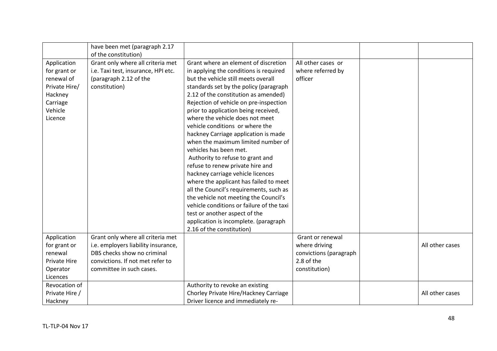|                | have been met (paragraph 2.17<br>of the constitution) |                                           |                        |                 |
|----------------|-------------------------------------------------------|-------------------------------------------|------------------------|-----------------|
| Application    | Grant only where all criteria met                     | Grant where an element of discretion      | All other cases or     |                 |
| for grant or   | i.e. Taxi test, insurance, HPI etc.                   | in applying the conditions is required    | where referred by      |                 |
| renewal of     | (paragraph 2.12 of the                                | but the vehicle still meets overall       | officer                |                 |
| Private Hire/  | constitution)                                         | standards set by the policy (paragraph    |                        |                 |
| Hackney        |                                                       | 2.12 of the constitution as amended)      |                        |                 |
| Carriage       |                                                       | Rejection of vehicle on pre-inspection    |                        |                 |
| Vehicle        |                                                       | prior to application being received,      |                        |                 |
| Licence        |                                                       | where the vehicle does not meet           |                        |                 |
|                |                                                       | vehicle conditions or where the           |                        |                 |
|                |                                                       | hackney Carriage application is made      |                        |                 |
|                |                                                       | when the maximum limited number of        |                        |                 |
|                |                                                       | vehicles has been met.                    |                        |                 |
|                |                                                       | Authority to refuse to grant and          |                        |                 |
|                |                                                       | refuse to renew private hire and          |                        |                 |
|                |                                                       | hackney carriage vehicle licences         |                        |                 |
|                |                                                       | where the applicant has failed to meet    |                        |                 |
|                |                                                       | all the Council's requirements, such as   |                        |                 |
|                |                                                       | the vehicle not meeting the Council's     |                        |                 |
|                |                                                       | vehicle conditions or failure of the taxi |                        |                 |
|                |                                                       | test or another aspect of the             |                        |                 |
|                |                                                       | application is incomplete. (paragraph     |                        |                 |
|                |                                                       | 2.16 of the constitution)                 |                        |                 |
| Application    | Grant only where all criteria met                     |                                           | Grant or renewal       |                 |
| for grant or   | i.e. employers liability insurance,                   |                                           | where driving          | All other cases |
| renewal        | DBS checks show no criminal                           |                                           | convictions (paragraph |                 |
| Private Hire   | convictions. If not met refer to                      |                                           | 2.8 of the             |                 |
| Operator       | committee in such cases.                              |                                           | constitution)          |                 |
| Licences       |                                                       |                                           |                        |                 |
| Revocation of  |                                                       | Authority to revoke an existing           |                        |                 |
| Private Hire / |                                                       | Chorley Private Hire/Hackney Carriage     |                        | All other cases |
| Hackney        |                                                       | Driver licence and immediately re-        |                        |                 |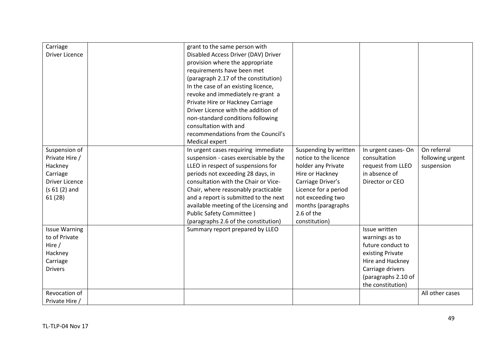| Carriage              | grant to the same person with          |                       |                     |                  |
|-----------------------|----------------------------------------|-----------------------|---------------------|------------------|
| <b>Driver Licence</b> | Disabled Access Driver (DAV) Driver    |                       |                     |                  |
|                       | provision where the appropriate        |                       |                     |                  |
|                       | requirements have been met             |                       |                     |                  |
|                       | (paragraph 2.17 of the constitution)   |                       |                     |                  |
|                       | In the case of an existing licence,    |                       |                     |                  |
|                       | revoke and immediately re-grant a      |                       |                     |                  |
|                       | Private Hire or Hackney Carriage       |                       |                     |                  |
|                       | Driver Licence with the addition of    |                       |                     |                  |
|                       | non-standard conditions following      |                       |                     |                  |
|                       | consultation with and                  |                       |                     |                  |
|                       | recommendations from the Council's     |                       |                     |                  |
|                       | Medical expert                         |                       |                     |                  |
| Suspension of         | In urgent cases requiring immediate    | Suspending by written | In urgent cases-On  | On referral      |
| Private Hire /        | suspension - cases exercisable by the  | notice to the licence | consultation        | following urgent |
| Hackney               | LLEO in respect of suspensions for     | holder any Private    | request from LLEO   | suspension       |
| Carriage              | periods not exceeding 28 days, in      | Hire or Hackney       | in absence of       |                  |
| <b>Driver Licence</b> | consultation with the Chair or Vice-   | Carriage Driver's     | Director or CEO     |                  |
| $(s 61 (2)$ and       | Chair, where reasonably practicable    | Licence for a period  |                     |                  |
| 61(2B)                | and a report is submitted to the next  | not exceeding two     |                     |                  |
|                       | available meeting of the Licensing and | months (paragraphs    |                     |                  |
|                       | Public Safety Committee)               | 2.6 of the            |                     |                  |
|                       | (paragraphs 2.6 of the constitution)   | constitution)         |                     |                  |
| <b>Issue Warning</b>  | Summary report prepared by LLEO        |                       | Issue written       |                  |
| to of Private         |                                        |                       | warnings as to      |                  |
| Hire $/$              |                                        |                       | future conduct to   |                  |
| Hackney               |                                        |                       | existing Private    |                  |
| Carriage              |                                        |                       | Hire and Hackney    |                  |
| <b>Drivers</b>        |                                        |                       | Carriage drivers    |                  |
|                       |                                        |                       | (paragraphs 2.10 of |                  |
|                       |                                        |                       | the constitution)   |                  |
| Revocation of         |                                        |                       |                     | All other cases  |
| Private Hire /        |                                        |                       |                     |                  |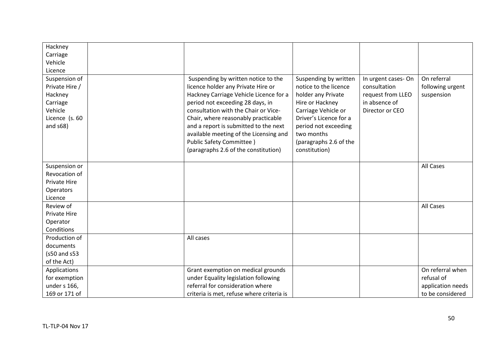| Hackney             |                                           |                        |                    |                   |
|---------------------|-------------------------------------------|------------------------|--------------------|-------------------|
| Carriage            |                                           |                        |                    |                   |
| Vehicle             |                                           |                        |                    |                   |
| Licence             |                                           |                        |                    |                   |
| Suspension of       | Suspending by written notice to the       | Suspending by written  | In urgent cases-On | On referral       |
| Private Hire /      | licence holder any Private Hire or        | notice to the licence  | consultation       | following urgent  |
| Hackney             | Hackney Carriage Vehicle Licence for a    | holder any Private     | request from LLEO  | suspension        |
| Carriage            | period not exceeding 28 days, in          | Hire or Hackney        | in absence of      |                   |
| Vehicle             | consultation with the Chair or Vice-      | Carriage Vehicle or    | Director or CEO    |                   |
| Licence (s. 60      | Chair, where reasonably practicable       | Driver's Licence for a |                    |                   |
| and $s68$ )         | and a report is submitted to the next     | period not exceeding   |                    |                   |
|                     | available meeting of the Licensing and    | two months             |                    |                   |
|                     | <b>Public Safety Committee)</b>           | (paragraphs 2.6 of the |                    |                   |
|                     | (paragraphs 2.6 of the constitution)      | constitution)          |                    |                   |
|                     |                                           |                        |                    |                   |
| Suspension or       |                                           |                        |                    | All Cases         |
| Revocation of       |                                           |                        |                    |                   |
| Private Hire        |                                           |                        |                    |                   |
| Operators           |                                           |                        |                    |                   |
| Licence             |                                           |                        |                    |                   |
| Review of           |                                           |                        |                    | All Cases         |
| <b>Private Hire</b> |                                           |                        |                    |                   |
| Operator            |                                           |                        |                    |                   |
| Conditions          |                                           |                        |                    |                   |
| Production of       | All cases                                 |                        |                    |                   |
| documents           |                                           |                        |                    |                   |
| (s50 and s53        |                                           |                        |                    |                   |
| of the Act)         |                                           |                        |                    |                   |
| Applications        | Grant exemption on medical grounds        |                        |                    | On referral when  |
| for exemption       | under Equality legislation following      |                        |                    | refusal of        |
| under s 166,        | referral for consideration where          |                        |                    | application needs |
| 169 or 171 of       | criteria is met, refuse where criteria is |                        |                    | to be considered  |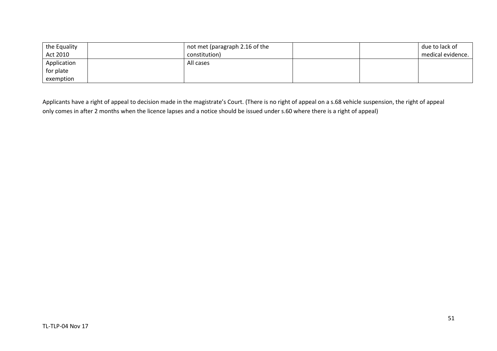| the Equality | not met (paragraph 2.16 of the |  | due to lack of    |
|--------------|--------------------------------|--|-------------------|
| Act 2010     | constitution)                  |  | medical evidence. |
| Application  | All cases                      |  |                   |
| for plate    |                                |  |                   |
| exemption    |                                |  |                   |

Applicants have a right of appeal to decision made in the magistrate's Court. (There is no right of appeal on a s.68 vehicle suspension, the right of appeal only comes in after 2 months when the licence lapses and a notice should be issued under s.60 where there is a right of appeal)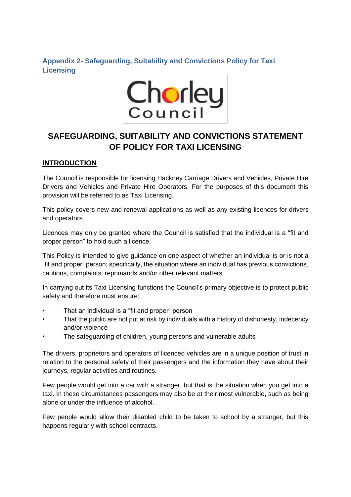# **Appendix 2- Safeguarding, Suitability and Convictions Policy for Taxi Licensing**



# **SAFEGUARDING, SUITABILITY AND CONVICTIONS STATEMENT OF POLICY FOR TAXI LICENSING**

# **INTRODUCTION**

The Council is responsible for licensing Hackney Carriage Drivers and Vehicles, Private Hire Drivers and Vehicles and Private Hire Operators. For the purposes of this document this provision will be referred to as Taxi Licensing.

This policy covers new and renewal applications as well as any existing licences for drivers and operators.

Licences may only be granted where the Council is satisfied that the individual is a "fit and proper person" to hold such a licence.

This Policy is intended to give guidance on one aspect of whether an individual is or is not a "fit and proper" person; specifically, the situation where an individual has previous convictions, cautions, complaints, reprimands and/or other relevant matters.

In carrying out its Taxi Licensing functions the Council's primary objective is to protect public safety and therefore must ensure:

- That an individual is a "fit and proper" person
- That the public are not put at risk by individuals with a history of dishonesty, indecency and/or violence
- The safeguarding of children, young persons and vulnerable adults

The drivers, proprietors and operators of licenced vehicles are in a unique position of trust in relation to the personal safety of their passengers and the information they have about their journeys, regular activities and routines.

Few people would get into a car with a stranger, but that is the situation when you get into a taxi. In these circumstances passengers may also be at their most vulnerable, such as being alone or under the influence of alcohol.

Few people would allow their disabled child to be taken to school by a stranger, but this happens regularly with school contracts.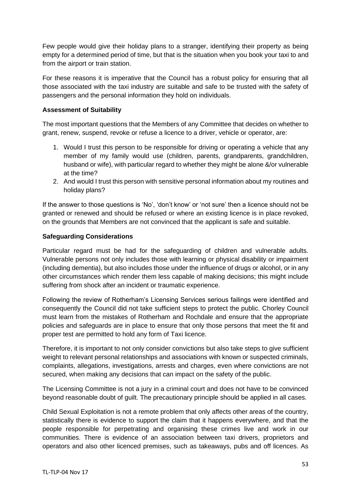Few people would give their holiday plans to a stranger, identifying their property as being empty for a determined period of time, but that is the situation when you book your taxi to and from the airport or train station.

For these reasons it is imperative that the Council has a robust policy for ensuring that all those associated with the taxi industry are suitable and safe to be trusted with the safety of passengers and the personal information they hold on individuals.

# **Assessment of Suitability**

The most important questions that the Members of any Committee that decides on whether to grant, renew, suspend, revoke or refuse a licence to a driver, vehicle or operator, are:

- 1. Would I trust this person to be responsible for driving or operating a vehicle that any member of my family would use (children, parents, grandparents, grandchildren, husband or wife), with particular regard to whether they might be alone &/or vulnerable at the time?
- 2. And would I trust this person with sensitive personal information about my routines and holiday plans?

If the answer to those questions is 'No', 'don't know' or 'not sure' then a licence should not be granted or renewed and should be refused or where an existing licence is in place revoked, on the grounds that Members are not convinced that the applicant is safe and suitable.

# **Safeguarding Considerations**

Particular regard must be had for the safeguarding of children and vulnerable adults. Vulnerable persons not only includes those with learning or physical disability or impairment (including dementia), but also includes those under the influence of drugs or alcohol, or in any other circumstances which render them less capable of making decisions; this might include suffering from shock after an incident or traumatic experience.

Following the review of Rotherham's Licensing Services serious failings were identified and consequently the Council did not take sufficient steps to protect the public. Chorley Council must learn from the mistakes of Rotherham and Rochdale and ensure that the appropriate policies and safeguards are in place to ensure that only those persons that meet the fit and proper test are permitted to hold any form of Taxi licence.

Therefore, it is important to not only consider convictions but also take steps to give sufficient weight to relevant personal relationships and associations with known or suspected criminals, complaints, allegations, investigations, arrests and charges, even where convictions are not secured, when making any decisions that can impact on the safety of the public.

The Licensing Committee is not a jury in a criminal court and does not have to be convinced beyond reasonable doubt of guilt. The precautionary principle should be applied in all cases.

Child Sexual Exploitation is not a remote problem that only affects other areas of the country, statistically there is evidence to support the claim that it happens everywhere, and that the people responsible for perpetrating and organising these crimes live and work in our communities. There is evidence of an association between taxi drivers, proprietors and operators and also other licenced premises, such as takeaways, pubs and off licences. As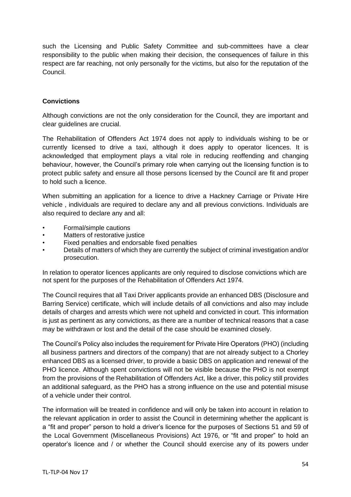such the Licensing and Public Safety Committee and sub-committees have a clear responsibility to the public when making their decision, the consequences of failure in this respect are far reaching, not only personally for the victims, but also for the reputation of the Council.

# **Convictions**

Although convictions are not the only consideration for the Council, they are important and clear guidelines are crucial.

The Rehabilitation of Offenders Act 1974 does not apply to individuals wishing to be or currently licensed to drive a taxi, although it does apply to operator licences. It is acknowledged that employment plays a vital role in reducing reoffending and changing behaviour, however, the Council's primary role when carrying out the licensing function is to protect public safety and ensure all those persons licensed by the Council are fit and proper to hold such a licence.

When submitting an application for a licence to drive a Hackney Carriage or Private Hire vehicle , individuals are required to declare any and all previous convictions. Individuals are also required to declare any and all:

- Formal/simple cautions
- Matters of restorative justice
- Fixed penalties and endorsable fixed penalties
- Details of matters of which they are currently the subject of criminal investigation and/or prosecution.

In relation to operator licences applicants are only required to disclose convictions which are not spent for the purposes of the Rehabilitation of Offenders Act 1974.

The Council requires that all Taxi Driver applicants provide an enhanced DBS (Disclosure and Barring Service) certificate, which will include details of all convictions and also may include details of charges and arrests which were not upheld and convicted in court. This information is just as pertinent as any convictions, as there are a number of technical reasons that a case may be withdrawn or lost and the detail of the case should be examined closely.

The Council's Policy also includes the requirement for Private Hire Operators (PHO) (including all business partners and directors of the company) that are not already subject to a Chorley enhanced DBS as a licensed driver, to provide a basic DBS on application and renewal of the PHO licence. Although spent convictions will not be visible because the PHO is not exempt from the provisions of the Rehabilitation of Offenders Act, like a driver, this policy still provides an additional safeguard, as the PHO has a strong influence on the use and potential misuse of a vehicle under their control.

The information will be treated in confidence and will only be taken into account in relation to the relevant application in order to assist the Council in determining whether the applicant is a "fit and proper" person to hold a driver's licence for the purposes of Sections 51 and 59 of the Local Government (Miscellaneous Provisions) Act 1976, or "fit and proper" to hold an operator's licence and / or whether the Council should exercise any of its powers under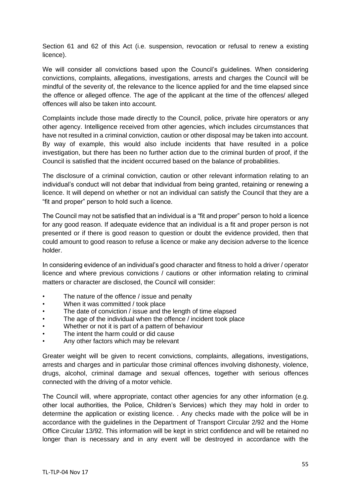Section 61 and 62 of this Act (i.e. suspension, revocation or refusal to renew a existing licence).

We will consider all convictions based upon the Council's guidelines. When considering convictions, complaints, allegations, investigations, arrests and charges the Council will be mindful of the severity of, the relevance to the licence applied for and the time elapsed since the offence or alleged offence. The age of the applicant at the time of the offences/ alleged offences will also be taken into account.

Complaints include those made directly to the Council, police, private hire operators or any other agency. Intelligence received from other agencies, which includes circumstances that have not resulted in a criminal conviction, caution or other disposal may be taken into account. By way of example, this would also include incidents that have resulted in a police investigation, but there has been no further action due to the criminal burden of proof, if the Council is satisfied that the incident occurred based on the balance of probabilities.

The disclosure of a criminal conviction, caution or other relevant information relating to an individual's conduct will not debar that individual from being granted, retaining or renewing a licence. It will depend on whether or not an individual can satisfy the Council that they are a "fit and proper" person to hold such a licence.

The Council may not be satisfied that an individual is a "fit and proper" person to hold a licence for any good reason. If adequate evidence that an individual is a fit and proper person is not presented or if there is good reason to question or doubt the evidence provided, then that could amount to good reason to refuse a licence or make any decision adverse to the licence holder.

In considering evidence of an individual's good character and fitness to hold a driver / operator licence and where previous convictions / cautions or other information relating to criminal matters or character are disclosed, the Council will consider:

- The nature of the offence / issue and penalty
- When it was committed / took place
- The date of conviction / issue and the length of time elapsed
- The age of the individual when the offence / incident took place
- Whether or not it is part of a pattern of behaviour
- The intent the harm could or did cause
- Any other factors which may be relevant

Greater weight will be given to recent convictions, complaints, allegations, investigations, arrests and charges and in particular those criminal offences involving dishonesty, violence, drugs, alcohol, criminal damage and sexual offences, together with serious offences connected with the driving of a motor vehicle.

The Council will, where appropriate, contact other agencies for any other information (e.g. other local authorities, the Police, Children's Services) which they may hold in order to determine the application or existing licence. . Any checks made with the police will be in accordance with the guidelines in the Department of Transport Circular 2/92 and the Home Office Circular 13/92. This information will be kept in strict confidence and will be retained no longer than is necessary and in any event will be destroyed in accordance with the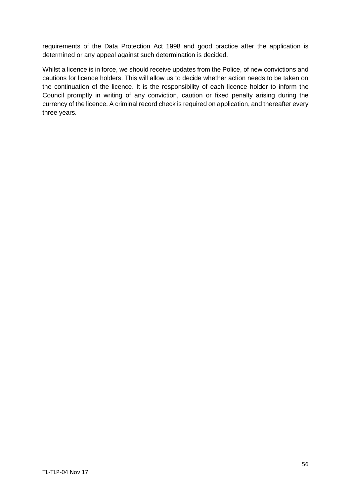requirements of the Data Protection Act 1998 and good practice after the application is determined or any appeal against such determination is decided.

Whilst a licence is in force, we should receive updates from the Police, of new convictions and cautions for licence holders. This will allow us to decide whether action needs to be taken on the continuation of the licence. It is the responsibility of each licence holder to inform the Council promptly in writing of any conviction, caution or fixed penalty arising during the currency of the licence. A criminal record check is required on application, and thereafter every three years.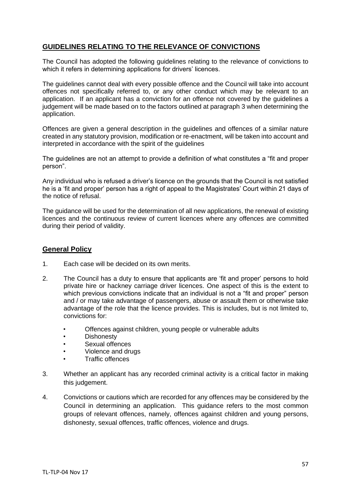# **GUIDELINES RELATING TO THE RELEVANCE OF CONVICTIONS**

The Council has adopted the following guidelines relating to the relevance of convictions to which it refers in determining applications for drivers' licences.

The guidelines cannot deal with every possible offence and the Council will take into account offences not specifically referred to, or any other conduct which may be relevant to an application. If an applicant has a conviction for an offence not covered by the guidelines a judgement will be made based on to the factors outlined at paragraph 3 when determining the application.

Offences are given a general description in the guidelines and offences of a similar nature created in any statutory provision, modification or re-enactment, will be taken into account and interpreted in accordance with the spirit of the guidelines

The guidelines are not an attempt to provide a definition of what constitutes a "fit and proper person".

Any individual who is refused a driver's licence on the grounds that the Council is not satisfied he is a 'fit and proper' person has a right of appeal to the Magistrates' Court within 21 days of the notice of refusal.

The guidance will be used for the determination of all new applications, the renewal of existing licences and the continuous review of current licences where any offences are committed during their period of validity.

## **General Policy**

- 1. Each case will be decided on its own merits.
- 2. The Council has a duty to ensure that applicants are 'fit and proper' persons to hold private hire or hackney carriage driver licences. One aspect of this is the extent to which previous convictions indicate that an individual is not a "fit and proper" person and / or may take advantage of passengers, abuse or assault them or otherwise take advantage of the role that the licence provides. This is includes, but is not limited to, convictions for:
	- Offences against children, young people or vulnerable adults
	- **Dishonesty**
	- Sexual offences
	- Violence and drugs
	- Traffic offences
- 3. Whether an applicant has any recorded criminal activity is a critical factor in making this judgement.
- 4. Convictions or cautions which are recorded for any offences may be considered by the Council in determining an application. This guidance refers to the most common groups of relevant offences, namely, offences against children and young persons, dishonesty, sexual offences, traffic offences, violence and drugs.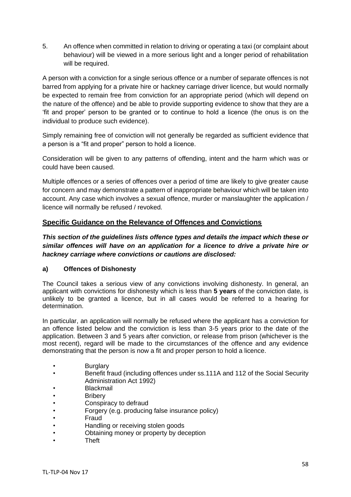5. An offence when committed in relation to driving or operating a taxi (or complaint about behaviour) will be viewed in a more serious light and a longer period of rehabilitation will be required.

A person with a conviction for a single serious offence or a number of separate offences is not barred from applying for a private hire or hackney carriage driver licence, but would normally be expected to remain free from conviction for an appropriate period (which will depend on the nature of the offence) and be able to provide supporting evidence to show that they are a 'fit and proper' person to be granted or to continue to hold a licence (the onus is on the individual to produce such evidence).

Simply remaining free of conviction will not generally be regarded as sufficient evidence that a person is a "fit and proper" person to hold a licence.

Consideration will be given to any patterns of offending, intent and the harm which was or could have been caused.

Multiple offences or a series of offences over a period of time are likely to give greater cause for concern and may demonstrate a pattern of inappropriate behaviour which will be taken into account. Any case which involves a sexual offence, murder or manslaughter the application / licence will normally be refused / revoked.

# **Specific Guidance on the Relevance of Offences and Convictions**

*This section of the guidelines lists offence types and details the impact which these or similar offences will have on an application for a licence to drive a private hire or hackney carriage where convictions or cautions are disclosed:*

#### **a) Offences of Dishonesty**

The Council takes a serious view of any convictions involving dishonesty. In general, an applicant with convictions for dishonesty which is less than **5 years** of the conviction date, is unlikely to be granted a licence, but in all cases would be referred to a hearing for determination.

In particular, an application will normally be refused where the applicant has a conviction for an offence listed below and the conviction is less than 3-5 years prior to the date of the application. Between 3 and 5 years after conviction, or release from prison (whichever is the most recent), regard will be made to the circumstances of the offence and any evidence demonstrating that the person is now a fit and proper person to hold a licence.

- **Burglary**
- Benefit fraud (including offences under ss.111A and 112 of the Social Security Administration Act 1992)
- **Blackmail**
- Bribery
- Conspiracy to defraud
- Forgery (e.g. producing false insurance policy)
- Fraud
- Handling or receiving stolen goods
- Obtaining money or property by deception
- Theft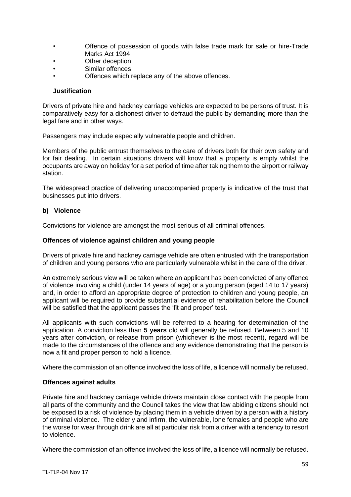- Offence of possession of goods with false trade mark for sale or hire-Trade Marks Act 1994
- Other deception
- Similar offences
- Offences which replace any of the above offences.

#### **Justification**

Drivers of private hire and hackney carriage vehicles are expected to be persons of trust. It is comparatively easy for a dishonest driver to defraud the public by demanding more than the legal fare and in other ways.

Passengers may include especially vulnerable people and children.

Members of the public entrust themselves to the care of drivers both for their own safety and for fair dealing. In certain situations drivers will know that a property is empty whilst the occupants are away on holiday for a set period of time after taking them to the airport or railway station.

The widespread practice of delivering unaccompanied property is indicative of the trust that businesses put into drivers.

#### **b) Violence**

Convictions for violence are amongst the most serious of all criminal offences.

#### **Offences of violence against children and young people**

Drivers of private hire and hackney carriage vehicle are often entrusted with the transportation of children and young persons who are particularly vulnerable whilst in the care of the driver.

An extremely serious view will be taken where an applicant has been convicted of any offence of violence involving a child (under 14 years of age) or a young person (aged 14 to 17 years) and, in order to afford an appropriate degree of protection to children and young people, an applicant will be required to provide substantial evidence of rehabilitation before the Council will be satisfied that the applicant passes the 'fit and proper' test.

All applicants with such convictions will be referred to a hearing for determination of the application. A conviction less than **5 years** old will generally be refused. Between 5 and 10 years after conviction, or release from prison (whichever is the most recent), regard will be made to the circumstances of the offence and any evidence demonstrating that the person is now a fit and proper person to hold a licence.

Where the commission of an offence involved the loss of life, a licence will normally be refused.

#### **Offences against adults**

Private hire and hackney carriage vehicle drivers maintain close contact with the people from all parts of the community and the Council takes the view that law abiding citizens should not be exposed to a risk of violence by placing them in a vehicle driven by a person with a history of criminal violence. The elderly and infirm, the vulnerable, lone females and people who are the worse for wear through drink are all at particular risk from a driver with a tendency to resort to violence.

Where the commission of an offence involved the loss of life, a licence will normally be refused.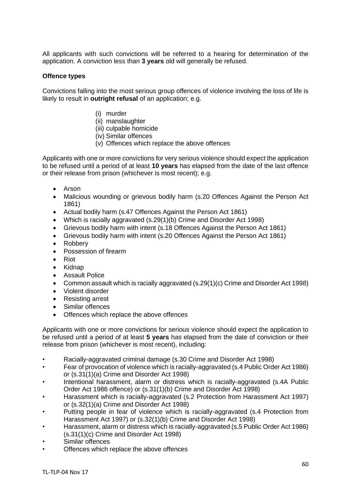All applicants with such convictions will be referred to a hearing for determination of the application. A conviction less than **3 years** old will generally be refused.

#### **Offence types**

Convictions falling into the most serious group offences of violence involving the loss of life is likely to result in **outright refusal** of an application; e.g.

- (i) murder
- (ii) manslaughter
- (iii) culpable homicide
- (iv) Similar offences
- (v) Offences which replace the above offences

Applicants with one or more convictions for very serious violence should expect the application to be refused until a period of at least **10 years** has elapsed from the date of the last offence or their release from prison (whichever is most recent); e.g.

- Arson
- Malicious wounding or grievous bodily harm (s.20 Offences Against the Person Act 1861)
- Actual bodily harm (s.47 Offences Against the Person Act 1861)
- Which is racially aggravated (s.29(1)(b) Crime and Disorder Act 1998)
- Grievous bodily harm with intent (s.18 Offences Against the Person Act 1861)
- Grievous bodily harm with intent (s.20 Offences Against the Person Act 1861)
- Robbery
- Possession of firearm
- Riot
- Kidnap
- Assault Police
- Common assault which is racially aggravated (s.29(1)(c) Crime and Disorder Act 1998)
- Violent disorder
- Resisting arrest
- Similar offences
- Offences which replace the above offences

Applicants with one or more convictions for serious violence should expect the application to be refused until a period of at least **5 years** has elapsed from the date of conviction or their release from prison (whichever is most recent), including:

- Racially-aggravated criminal damage (s.30 Crime and Disorder Act 1998)
- Fear of provocation of violence which is racially-aggravated (s.4 Public Order Act 1986) or (s.31(1)(a) Crime and Disorder Act 1998)
- Intentional harassment, alarm or distress which is racially-aggravated (s.4A Public Order Act 1986 offence) or (s.31(1)(b) Crime and Disorder Act 1998)
- Harassment which is racially-aggravated (s.2 Protection from Harassment Act 1997) or (s.32(1)(a) Crime and Disorder Act 1998)
- Putting people in fear of violence which is racially-aggravated (s.4 Protection from Harassment Act 1997) or (s.32(1)(b) Crime and Disorder Act 1998)
- Harassment, alarm or distress which is racially-aggravated (s.5 Public Order Act 1986) (s.31(1)(c) Crime and Disorder Act 1998)
- Similar offences
- Offences which replace the above offences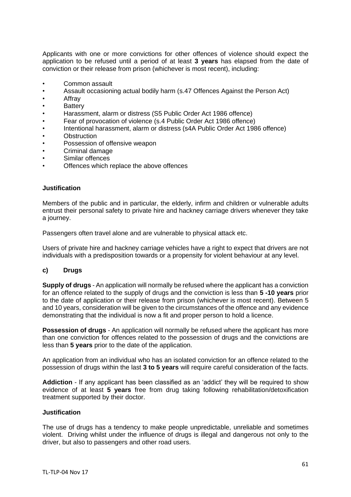Applicants with one or more convictions for other offences of violence should expect the application to be refused until a period of at least **3 years** has elapsed from the date of conviction or their release from prison (whichever is most recent), including:

- Common assault
- Assault occasioning actual bodily harm (s.47 Offences Against the Person Act)
- **Affrav**
- **Battery**
- Harassment, alarm or distress (S5 Public Order Act 1986 offence)
- Fear of provocation of violence (s.4 Public Order Act 1986 offence)
- Intentional harassment, alarm or distress (s4A Public Order Act 1986 offence)
- **Obstruction**
- Possession of offensive weapon
- Criminal damage
- Similar offences
- Offences which replace the above offences

#### **Justification**

Members of the public and in particular, the elderly, infirm and children or vulnerable adults entrust their personal safety to private hire and hackney carriage drivers whenever they take a journey.

Passengers often travel alone and are vulnerable to physical attack etc.

Users of private hire and hackney carriage vehicles have a right to expect that drivers are not individuals with a predisposition towards or a propensity for violent behaviour at any level.

#### **c) Drugs**

**Supply of drugs** - An application will normally be refused where the applicant has a conviction for an offence related to the supply of drugs and the conviction is less than **5 -10 years** prior to the date of application or their release from prison (whichever is most recent). Between 5 and 10 years, consideration will be given to the circumstances of the offence and any evidence demonstrating that the individual is now a fit and proper person to hold a licence.

**Possession of drugs** - An application will normally be refused where the applicant has more than one conviction for offences related to the possession of drugs and the convictions are less than **5 years** prior to the date of the application.

An application from an individual who has an isolated conviction for an offence related to the possession of drugs within the last **3 to 5 years** will require careful consideration of the facts.

**Addiction** - If any applicant has been classified as an 'addict' they will be required to show evidence of at least **5 years** free from drug taking following rehabilitation/detoxification treatment supported by their doctor.

#### **Justification**

The use of drugs has a tendency to make people unpredictable, unreliable and sometimes violent. Driving whilst under the influence of drugs is illegal and dangerous not only to the driver, but also to passengers and other road users.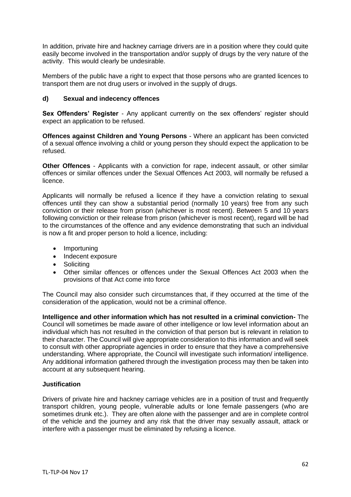In addition, private hire and hackney carriage drivers are in a position where they could quite easily become involved in the transportation and/or supply of drugs by the very nature of the activity. This would clearly be undesirable.

Members of the public have a right to expect that those persons who are granted licences to transport them are not drug users or involved in the supply of drugs.

## **d) Sexual and indecency offences**

**Sex Offenders' Register** - Any applicant currently on the sex offenders' register should expect an application to be refused.

**Offences against Children and Young Persons** - Where an applicant has been convicted of a sexual offence involving a child or young person they should expect the application to be refused.

**Other Offences** - Applicants with a conviction for rape, indecent assault, or other similar offences or similar offences under the Sexual Offences Act 2003, will normally be refused a licence.

Applicants will normally be refused a licence if they have a conviction relating to sexual offences until they can show a substantial period (normally 10 years) free from any such conviction or their release from prison (whichever is most recent). Between 5 and 10 years following conviction or their release from prison (whichever is most recent), regard will be had to the circumstances of the offence and any evidence demonstrating that such an individual is now a fit and proper person to hold a licence, including:

- Importuning
- Indecent exposure
- Soliciting
- Other similar offences or offences under the Sexual Offences Act 2003 when the provisions of that Act come into force

The Council may also consider such circumstances that, if they occurred at the time of the consideration of the application, would not be a criminal offence.

**Intelligence and other information which has not resulted in a criminal conviction-** The Council will sometimes be made aware of other intelligence or low level information about an individual which has not resulted in the conviction of that person but is relevant in relation to their character. The Council will give appropriate consideration to this information and will seek to consult with other appropriate agencies in order to ensure that they have a comprehensive understanding. Where appropriate, the Council will investigate such information/ intelligence. Any additional information gathered through the investigation process may then be taken into account at any subsequent hearing.

#### **Justification**

Drivers of private hire and hackney carriage vehicles are in a position of trust and frequently transport children, young people, vulnerable adults or lone female passengers (who are sometimes drunk etc.). They are often alone with the passenger and are in complete control of the vehicle and the journey and any risk that the driver may sexually assault, attack or interfere with a passenger must be eliminated by refusing a licence.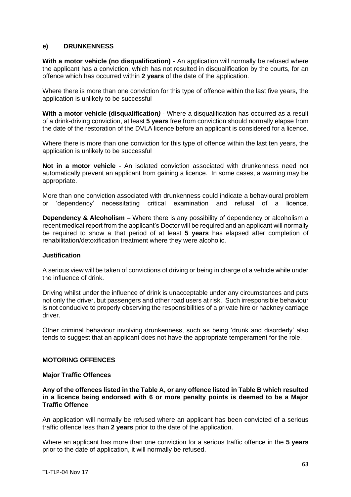#### **e) DRUNKENNESS**

**With a motor vehicle (no disqualification)** - An application will normally be refused where the applicant has a conviction, which has not resulted in disqualification by the courts, for an offence which has occurred within **2 years** of the date of the application.

Where there is more than one conviction for this type of offence within the last five years, the application is unlikely to be successful

**With a motor vehicle (disqualification***)* - Where a disqualification has occurred as a result of a drink-driving conviction, at least **5 years** free from conviction should normally elapse from the date of the restoration of the DVLA licence before an applicant is considered for a licence.

Where there is more than one conviction for this type of offence within the last ten years, the application is unlikely to be successful

**Not in a motor vehicle** - An isolated conviction associated with drunkenness need not automatically prevent an applicant from gaining a licence. In some cases, a warning may be appropriate.

More than one conviction associated with drunkenness could indicate a behavioural problem or 'dependency' necessitating critical examination and refusal of a licence.

**Dependency & Alcoholism** – Where there is any possibility of dependency or alcoholism a recent medical report from the applicant's Doctor will be required and an applicant will normally be required to show a that period of at least **5 years** has elapsed after completion of rehabilitation/detoxification treatment where they were alcoholic.

#### **Justification**

A serious view will be taken of convictions of driving or being in charge of a vehicle while under the influence of drink.

Driving whilst under the influence of drink is unacceptable under any circumstances and puts not only the driver, but passengers and other road users at risk. Such irresponsible behaviour is not conducive to properly observing the responsibilities of a private hire or hackney carriage driver.

Other criminal behaviour involving drunkenness, such as being 'drunk and disorderly' also tends to suggest that an applicant does not have the appropriate temperament for the role.

#### **MOTORING OFFENCES**

#### **Major Traffic Offences**

**Any of the offences listed in the Table A, or any offence listed in Table B which resulted in a licence being endorsed with 6 or more penalty points is deemed to be a Major Traffic Offence**

An application will normally be refused where an applicant has been convicted of a serious traffic offence less than **2 years** prior to the date of the application.

Where an applicant has more than one conviction for a serious traffic offence in the **5 years** prior to the date of application, it will normally be refused.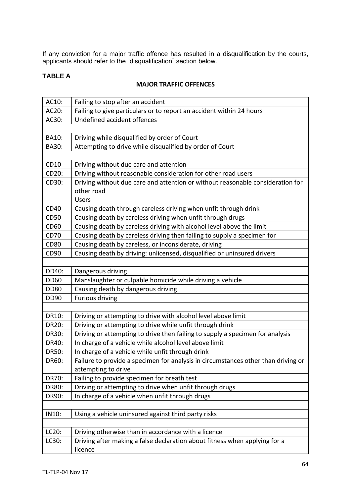If any conviction for a major traffic offence has resulted in a disqualification by the courts, applicants should refer to the "disqualification" section below.

# **TABLE A**

# **MAJOR TRAFFIC OFFENCES**

| AC10:        | Failing to stop after an accident                                                 |
|--------------|-----------------------------------------------------------------------------------|
| AC20:        | Failing to give particulars or to report an accident within 24 hours              |
| AC30:        | Undefined accident offences                                                       |
|              |                                                                                   |
| <b>BA10:</b> | Driving while disqualified by order of Court                                      |
| BA30:        | Attempting to drive while disqualified by order of Court                          |
|              |                                                                                   |
| CD10         | Driving without due care and attention                                            |
| CD20:        | Driving without reasonable consideration for other road users                     |
| CD30:        | Driving without due care and attention or without reasonable consideration for    |
|              | other road                                                                        |
|              | <b>Users</b>                                                                      |
| CD40         | Causing death through careless driving when unfit through drink                   |
| <b>CD50</b>  | Causing death by careless driving when unfit through drugs                        |
| CD60         | Causing death by careless driving with alcohol level above the limit              |
| <b>CD70</b>  | Causing death by careless driving then failing to supply a specimen for           |
| <b>CD80</b>  | Causing death by careless, or inconsiderate, driving                              |
| CD90         | Causing death by driving: unlicensed, disqualified or uninsured drivers           |
|              |                                                                                   |
| DD40:        | Dangerous driving                                                                 |
| <b>DD60</b>  | Manslaughter or culpable homicide while driving a vehicle                         |
| <b>DD80</b>  | Causing death by dangerous driving                                                |
| <b>DD90</b>  | <b>Furious driving</b>                                                            |
|              |                                                                                   |
| DR10:        | Driving or attempting to drive with alcohol level above limit                     |
| <b>DR20:</b> | Driving or attempting to drive while unfit through drink                          |
| DR30:        | Driving or attempting to drive then failing to supply a specimen for analysis     |
| DR40:        | In charge of a vehicle while alcohol level above limit                            |
| DR50:        | In charge of a vehicle while unfit through drink                                  |
| DR60:        | Failure to provide a specimen for analysis in circumstances other than driving or |
|              | attempting to drive                                                               |
| DR70:        | Failing to provide specimen for breath test                                       |
| DR80:        | Driving or attempting to drive when unfit through drugs                           |
| DR90:        | In charge of a vehicle when unfit through drugs                                   |
|              |                                                                                   |
| IN10:        | Using a vehicle uninsured against third party risks                               |
|              |                                                                                   |
| LC20:        | Driving otherwise than in accordance with a licence                               |
| LC30:        | Driving after making a false declaration about fitness when applying for a        |
|              | licence                                                                           |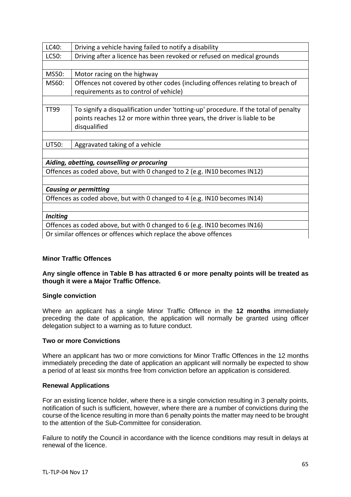| LC40:                                                                     | Driving a vehicle having failed to notify a disability                              |  |
|---------------------------------------------------------------------------|-------------------------------------------------------------------------------------|--|
| LC50:                                                                     | Driving after a licence has been revoked or refused on medical grounds              |  |
|                                                                           |                                                                                     |  |
| MS50:                                                                     | Motor racing on the highway                                                         |  |
| MS60:                                                                     | Offences not covered by other codes (including offences relating to breach of       |  |
|                                                                           | requirements as to control of vehicle)                                              |  |
|                                                                           |                                                                                     |  |
| <b>TT99</b>                                                               | To signify a disqualification under 'totting-up' procedure. If the total of penalty |  |
|                                                                           | points reaches 12 or more within three years, the driver is liable to be            |  |
|                                                                           | disqualified                                                                        |  |
|                                                                           |                                                                                     |  |
| UT50:                                                                     | Aggravated taking of a vehicle                                                      |  |
|                                                                           |                                                                                     |  |
| Aiding, abetting, counselling or procuring                                |                                                                                     |  |
| Offences as coded above, but with 0 changed to 2 (e.g. IN10 becomes IN12) |                                                                                     |  |
|                                                                           |                                                                                     |  |
| <b>Causing or permitting</b>                                              |                                                                                     |  |
| Offences as coded above, but with 0 changed to 4 (e.g. IN10 becomes IN14) |                                                                                     |  |
|                                                                           |                                                                                     |  |
| <b>Inciting</b>                                                           |                                                                                     |  |
| Offences as coded above, but with 0 changed to 6 (e.g. IN10 becomes IN16) |                                                                                     |  |
| Or similar offences or offences which replace the above offences          |                                                                                     |  |
|                                                                           |                                                                                     |  |

## **Minor Traffic Offences**

**Any single offence in Table B has attracted 6 or more penalty points will be treated as though it were a Major Traffic Offence.**

#### **Single conviction**

Where an applicant has a single Minor Traffic Offence in the **12 months** immediately preceding the date of application, the application will normally be granted using officer delegation subject to a warning as to future conduct.

### **Two or more Convictions**

Where an applicant has two or more convictions for Minor Traffic Offences in the 12 months immediately preceding the date of application an applicant will normally be expected to show a period of at least six months free from conviction before an application is considered.

#### **Renewal Applications**

For an existing licence holder, where there is a single conviction resulting in 3 penalty points, notification of such is sufficient, however, where there are a number of convictions during the course of the licence resulting in more than 6 penalty points the matter may need to be brought to the attention of the Sub-Committee for consideration.

Failure to notify the Council in accordance with the licence conditions may result in delays at renewal of the licence.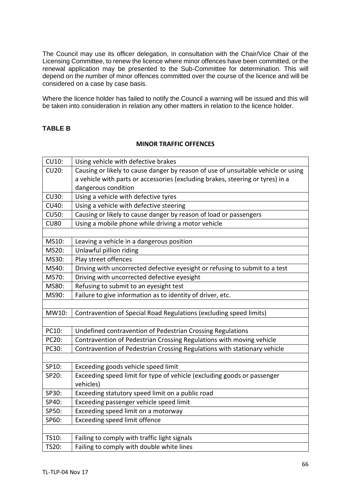The Council may use its officer delegation, in consultation with the Chair/Vice Chair of the Licensing Committee, to renew the licence where minor offences have been committed, or the renewal application may be presented to the Sub-Committee for determination. This will depend on the number of minor offences committed over the course of the licence and will be considered on a case by case basis.

Where the licence holder has failed to notify the Council a warning will be issued and this will be taken into consideration in relation any other matters in relation to the licence holder.

# **TABLE B**

#### **MINOR TRAFFIC OFFENCES**

| <b>CU10:</b> | Using vehicle with defective brakes                                               |
|--------------|-----------------------------------------------------------------------------------|
| <b>CU20:</b> | Causing or likely to cause danger by reason of use of unsuitable vehicle or using |
|              | a vehicle with parts or accessories (excluding brakes, steering or tyres) in a    |
|              | dangerous condition                                                               |
| <b>CU30:</b> | Using a vehicle with defective tyres                                              |
| <b>CU40:</b> | Using a vehicle with defective steering                                           |
| <b>CU50:</b> | Causing or likely to cause danger by reason of load or passengers                 |
| <b>CU80</b>  | Using a mobile phone while driving a motor vehicle                                |
|              |                                                                                   |
| MS10:        | Leaving a vehicle in a dangerous position                                         |
| MS20:        | Unlawful pillion riding                                                           |
| MS30:        | Play street offences                                                              |
| MS40:        | Driving with uncorrected defective eyesight or refusing to submit to a test       |
| MS70:        | Driving with uncorrected defective eyesight                                       |
| MS80:        | Refusing to submit to an eyesight test                                            |
| MS90:        | Failure to give information as to identity of driver, etc.                        |
|              |                                                                                   |
| MW10:        | Contravention of Special Road Regulations (excluding speed limits)                |
|              |                                                                                   |
| PC10:        | Undefined contravention of Pedestrian Crossing Regulations                        |
| PC20:        | Contravention of Pedestrian Crossing Regulations with moving vehicle              |
| PC30:        | Contravention of Pedestrian Crossing Regulations with stationary vehicle          |
|              |                                                                                   |
| SP10:        | Exceeding goods vehicle speed limit                                               |
| SP20:        | Exceeding speed limit for type of vehicle (excluding goods or passenger           |
|              | vehicles)                                                                         |
| SP30:        | Exceeding statutory speed limit on a public road                                  |
| SP40:        | Exceeding passenger vehicle speed limit                                           |
| SP50:        | Exceeding speed limit on a motorway                                               |
| SP60:        | Exceeding speed limit offence                                                     |
|              |                                                                                   |
| TS10:        | Failing to comply with traffic light signals                                      |
| TS20:        | Failing to comply with double white lines                                         |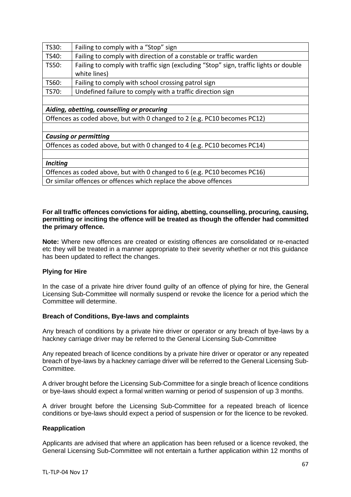| TS30:                                                                     | Failing to comply with a "Stop" sign                                                 |  |
|---------------------------------------------------------------------------|--------------------------------------------------------------------------------------|--|
| TS40:                                                                     | Failing to comply with direction of a constable or traffic warden                    |  |
| TS50:                                                                     | Failing to comply with traffic sign (excluding "Stop" sign, traffic lights or double |  |
|                                                                           | white lines)                                                                         |  |
| TS60:                                                                     | Failing to comply with school crossing patrol sign                                   |  |
| TS70:                                                                     | Undefined failure to comply with a traffic direction sign                            |  |
|                                                                           |                                                                                      |  |
| Aiding, abetting, counselling or procuring                                |                                                                                      |  |
| Offences as coded above, but with 0 changed to 2 (e.g. PC10 becomes PC12) |                                                                                      |  |
|                                                                           |                                                                                      |  |
| <b>Causing or permitting</b>                                              |                                                                                      |  |
| Offences as coded above, but with 0 changed to 4 (e.g. PC10 becomes PC14) |                                                                                      |  |
|                                                                           |                                                                                      |  |
| <b>Inciting</b>                                                           |                                                                                      |  |
| Offences as coded above, but with 0 changed to 6 (e.g. PC10 becomes PC16) |                                                                                      |  |
| Or similar offences or offences which replace the above offences          |                                                                                      |  |
|                                                                           |                                                                                      |  |

#### **For all traffic offences convictions for aiding, abetting, counselling, procuring, causing, permitting or inciting the offence will be treated as though the offender had committed the primary offence.**

**Note:** Where new offences are created or existing offences are consolidated or re-enacted etc they will be treated in a manner appropriate to their severity whether or not this guidance has been updated to reflect the changes.

#### **Plying for Hire**

In the case of a private hire driver found guilty of an offence of plying for hire, the General Licensing Sub-Committee will normally suspend or revoke the licence for a period which the Committee will determine.

#### **Breach of Conditions, Bye-laws and complaints**

Any breach of conditions by a private hire driver or operator or any breach of bye-laws by a hackney carriage driver may be referred to the General Licensing Sub-Committee

Any repeated breach of licence conditions by a private hire driver or operator or any repeated breach of bye-laws by a hackney carriage driver will be referred to the General Licensing Sub-Committee.

A driver brought before the Licensing Sub-Committee for a single breach of licence conditions or bye-laws should expect a formal written warning or period of suspension of up 3 months.

A driver brought before the Licensing Sub-Committee for a repeated breach of licence conditions or bye-laws should expect a period of suspension or for the licence to be revoked.

# **Reapplication**

Applicants are advised that where an application has been refused or a licence revoked, the General Licensing Sub-Committee will not entertain a further application within 12 months of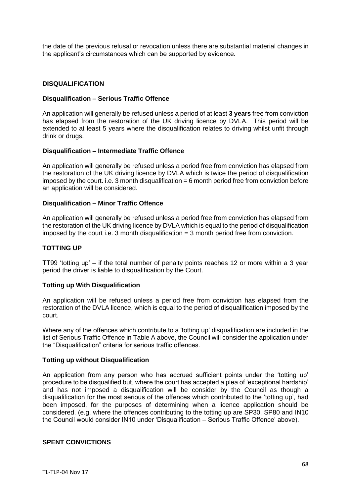the date of the previous refusal or revocation unless there are substantial material changes in the applicant's circumstances which can be supported by evidence.

#### **DISQUALIFICATION**

#### **Disqualification – Serious Traffic Offence**

An application will generally be refused unless a period of at least **3 years** free from conviction has elapsed from the restoration of the UK driving licence by DVLA. This period will be extended to at least 5 years where the disqualification relates to driving whilst unfit through drink or drugs.

#### **Disqualification – Intermediate Traffic Offence**

An application will generally be refused unless a period free from conviction has elapsed from the restoration of the UK driving licence by DVLA which is twice the period of disqualification imposed by the court. i.e. 3 month disqualification  $= 6$  month period free from conviction before an application will be considered.

#### **Disqualification – Minor Traffic Offence**

An application will generally be refused unless a period free from conviction has elapsed from the restoration of the UK driving licence by DVLA which is equal to the period of disqualification imposed by the court i.e. 3 month disqualification = 3 month period free from conviction.

#### **TOTTING UP**

TT99 'totting up' – if the total number of penalty points reaches 12 or more within a 3 year period the driver is liable to disqualification by the Court.

#### **Totting up With Disqualification**

An application will be refused unless a period free from conviction has elapsed from the restoration of the DVLA licence, which is equal to the period of disqualification imposed by the court.

Where any of the offences which contribute to a 'totting up' disqualification are included in the list of Serious Traffic Offence in Table A above, the Council will consider the application under the "Disqualification" criteria for serious traffic offences.

#### **Totting up without Disqualification**

An application from any person who has accrued sufficient points under the 'totting up' procedure to be disqualified but, where the court has accepted a plea of 'exceptional hardship' and has not imposed a disqualification will be consider by the Council as though a disqualification for the most serious of the offences which contributed to the 'totting up', had been imposed, for the purposes of determining when a licence application should be considered. (e.g. where the offences contributing to the totting up are SP30, SP80 and IN10 the Council would consider IN10 under 'Disqualification – Serious Traffic Offence' above).

#### **SPENT CONVICTIONS**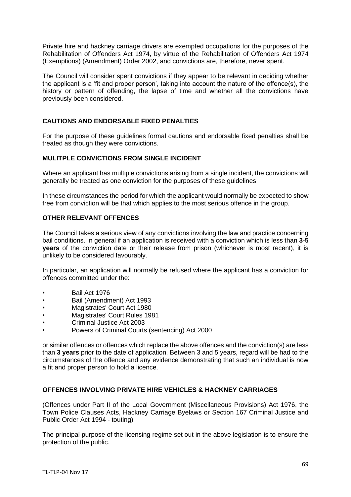Private hire and hackney carriage drivers are exempted occupations for the purposes of the Rehabilitation of Offenders Act 1974, by virtue of the Rehabilitation of Offenders Act 1974 (Exemptions) (Amendment) Order 2002, and convictions are, therefore, never spent.

The Council will consider spent convictions if they appear to be relevant in deciding whether the applicant is a 'fit and proper person', taking into account the nature of the offence(s), the history or pattern of offending, the lapse of time and whether all the convictions have previously been considered.

# **CAUTIONS AND ENDORSABLE FIXED PENALTIES**

For the purpose of these guidelines formal cautions and endorsable fixed penalties shall be treated as though they were convictions.

#### **MULITPLE CONVICTIONS FROM SINGLE INCIDENT**

Where an applicant has multiple convictions arising from a single incident, the convictions will generally be treated as one conviction for the purposes of these guidelines

In these circumstances the period for which the applicant would normally be expected to show free from conviction will be that which applies to the most serious offence in the group.

## **OTHER RELEVANT OFFENCES**

The Council takes a serious view of any convictions involving the law and practice concerning bail conditions. In general if an application is received with a conviction which is less than **3-5 years** of the conviction date or their release from prison (whichever is most recent), it is unlikely to be considered favourably.

In particular, an application will normally be refused where the applicant has a conviction for offences committed under the:

- Bail Act 1976
- Bail (Amendment) Act 1993
- Magistrates' Court Act 1980
- Magistrates' Court Rules 1981
- Criminal Justice Act 2003
- Powers of Criminal Courts (sentencing) Act 2000

or similar offences or offences which replace the above offences and the conviction(s) are less than **3 years** prior to the date of application. Between 3 and 5 years, regard will be had to the circumstances of the offence and any evidence demonstrating that such an individual is now a fit and proper person to hold a licence.

#### **OFFENCES INVOLVING PRIVATE HIRE VEHICLES & HACKNEY CARRIAGES**

(Offences under Part II of the Local Government (Miscellaneous Provisions) Act 1976, the Town Police Clauses Acts, Hackney Carriage Byelaws or Section 167 Criminal Justice and Public Order Act 1994 - touting)

The principal purpose of the licensing regime set out in the above legislation is to ensure the protection of the public.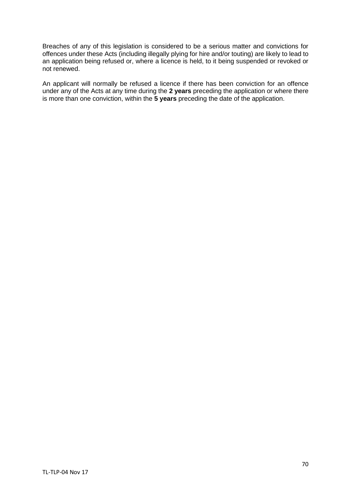Breaches of any of this legislation is considered to be a serious matter and convictions for offences under these Acts (including illegally plying for hire and/or touting) are likely to lead to an application being refused or, where a licence is held, to it being suspended or revoked or not renewed.

An applicant will normally be refused a licence if there has been conviction for an offence under any of the Acts at any time during the **2 years** preceding the application or where there is more than one conviction, within the **5 years** preceding the date of the application.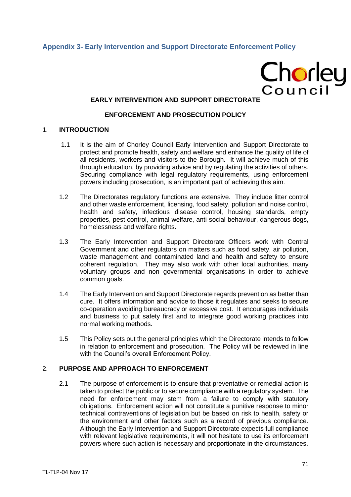# **Appendix 3- Early Intervention and Support Directorate Enforcement Policy**

# Chorley<br>Council

## **EARLY INTERVENTION AND SUPPORT DIRECTORATE**

#### **ENFORCEMENT AND PROSECUTION POLICY**

#### 1. **INTRODUCTION**

- 1.1 It is the aim of Chorley Council Early Intervention and Support Directorate to protect and promote health, safety and welfare and enhance the quality of life of all residents, workers and visitors to the Borough. It will achieve much of this through education, by providing advice and by regulating the activities of others. Securing compliance with legal regulatory requirements, using enforcement powers including prosecution, is an important part of achieving this aim.
- 1.2 The Directorates regulatory functions are extensive. They include litter control and other waste enforcement, licensing, food safety, pollution and noise control, health and safety, infectious disease control, housing standards, empty properties, pest control, animal welfare, anti-social behaviour, dangerous dogs, homelessness and welfare rights.
- 1.3 The Early Intervention and Support Directorate Officers work with Central Government and other regulators on matters such as food safety, air pollution, waste management and contaminated land and health and safety to ensure coherent regulation. They may also work with other local authorities, many voluntary groups and non governmental organisations in order to achieve common goals.
- 1.4 The Early Intervention and Support Directorate regards prevention as better than cure. It offers information and advice to those it regulates and seeks to secure co-operation avoiding bureaucracy or excessive cost. It encourages individuals and business to put safety first and to integrate good working practices into normal working methods.
- 1.5 This Policy sets out the general principles which the Directorate intends to follow in relation to enforcement and prosecution. The Policy will be reviewed in line with the Council's overall Enforcement Policy.

## 2. **PURPOSE AND APPROACH TO ENFORCEMENT**

2.1 The purpose of enforcement is to ensure that preventative or remedial action is taken to protect the public or to secure compliance with a regulatory system. The need for enforcement may stem from a failure to comply with statutory obligations. Enforcement action will not constitute a punitive response to minor technical contraventions of legislation but be based on risk to health, safety or the environment and other factors such as a record of previous compliance. Although the Early Intervention and Support Directorate expects full compliance with relevant legislative requirements, it will not hesitate to use its enforcement powers where such action is necessary and proportionate in the circumstances.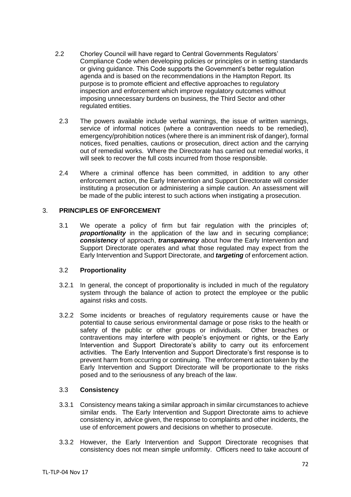- 2.2 Chorley Council will have regard to Central Governments Regulators' Compliance Code when developing policies or principles or in setting standards or giving guidance. This Code supports the Government's better regulation agenda and is based on the recommendations in the Hampton Report. Its purpose is to promote efficient and effective approaches to regulatory inspection and enforcement which improve regulatory outcomes without imposing unnecessary burdens on business, the Third Sector and other regulated entities.
	- 2.3 The powers available include verbal warnings, the issue of written warnings, service of informal notices (where a contravention needs to be remedied), emergency/prohibition notices (where there is an imminent risk of danger), formal notices, fixed penalties, cautions or prosecution, direct action and the carrying out of remedial works. Where the Directorate has carried out remedial works, it will seek to recover the full costs incurred from those responsible.
	- 2.4 Where a criminal offence has been committed, in addition to any other enforcement action, the Early Intervention and Support Directorate will consider instituting a prosecution or administering a simple caution. An assessment will be made of the public interest to such actions when instigating a prosecution.

#### 3. **PRINCIPLES OF ENFORCEMENT**

3.1 We operate a policy of firm but fair regulation with the principles of; **proportionality** in the application of the law and in securing compliance; *consistency* of approach, *transparency* about how the Early Intervention and Support Directorate operates and what those regulated may expect from the Early Intervention and Support Directorate, and *targeting* of enforcement action.

#### 3.2 **Proportionality**

- 3.2.1 In general, the concept of proportionality is included in much of the regulatory system through the balance of action to protect the employee or the public against risks and costs.
- 3.2.2 Some incidents or breaches of regulatory requirements cause or have the potential to cause serious environmental damage or pose risks to the health or safety of the public or other groups or individuals. Other breaches or contraventions may interfere with people's enjoyment or rights, or the Early Intervention and Support Directorate's ability to carry out its enforcement activities. The Early Intervention and Support Directorate's first response is to prevent harm from occurring or continuing. The enforcement action taken by the Early Intervention and Support Directorate will be proportionate to the risks posed and to the seriousness of any breach of the law.

#### 3.3 **Consistency**

- 3.3.1 Consistency means taking a similar approach in similar circumstances to achieve similar ends. The Early Intervention and Support Directorate aims to achieve consistency in, advice given, the response to complaints and other incidents, the use of enforcement powers and decisions on whether to prosecute.
- 3.3.2 However, the Early Intervention and Support Directorate recognises that consistency does not mean simple uniformity. Officers need to take account of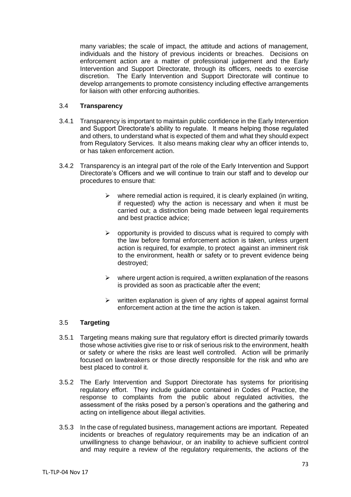many variables; the scale of impact, the attitude and actions of management, individuals and the history of previous incidents or breaches. Decisions on enforcement action are a matter of professional judgement and the Early Intervention and Support Directorate, through its officers, needs to exercise discretion. The Early Intervention and Support Directorate will continue to develop arrangements to promote consistency including effective arrangements for liaison with other enforcing authorities.

## 3.4 **Transparency**

- 3.4.1 Transparency is important to maintain public confidence in the Early Intervention and Support Directorate's ability to regulate. It means helping those regulated and others, to understand what is expected of them and what they should expect from Regulatory Services. It also means making clear why an officer intends to, or has taken enforcement action.
- 3.4.2 Transparency is an integral part of the role of the Early Intervention and Support Directorate's Officers and we will continue to train our staff and to develop our procedures to ensure that:
	- $\triangleright$  where remedial action is required, it is clearly explained (in writing, if requested) why the action is necessary and when it must be carried out; a distinction being made between legal requirements and best practice advice;
	- $\triangleright$  opportunity is provided to discuss what is required to comply with the law before formal enforcement action is taken, unless urgent action is required, for example, to protect against an imminent risk to the environment, health or safety or to prevent evidence being destroyed;
	- $\triangleright$  where urgent action is required, a written explanation of the reasons is provided as soon as practicable after the event;
	- $\triangleright$  written explanation is given of any rights of appeal against formal enforcement action at the time the action is taken.

# 3.5 **Targeting**

- 3.5.1 Targeting means making sure that regulatory effort is directed primarily towards those whose activities give rise to or risk of serious risk to the environment, health or safety or where the risks are least well controlled. Action will be primarily focused on lawbreakers or those directly responsible for the risk and who are best placed to control it.
- 3.5.2 The Early Intervention and Support Directorate has systems for prioritising regulatory effort. They include guidance contained in Codes of Practice, the response to complaints from the public about regulated activities, the assessment of the risks posed by a person's operations and the gathering and acting on intelligence about illegal activities.
- 3.5.3 In the case of regulated business, management actions are important. Repeated incidents or breaches of regulatory requirements may be an indication of an unwillingness to change behaviour, or an inability to achieve sufficient control and may require a review of the regulatory requirements, the actions of the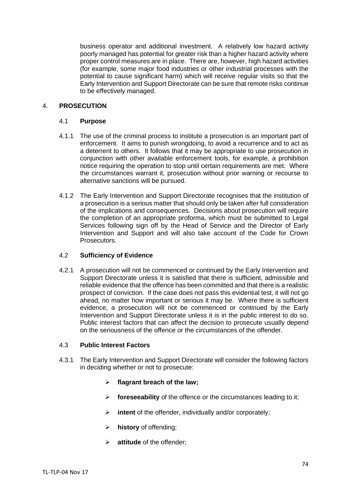business operator and additional investment. A relatively low hazard activity poorly managed has potential for greater risk than a higher hazard activity where proper control measures are in place. There are, however, high hazard activities (for example, some major food industries or other industrial processes with the potential to cause significant harm) which will receive regular visits so that the Early Intervention and Support Directorate can be sure that remote risks continue to be effectively managed.

## 4. **PROSECUTION**

## 4.1 **Purpose**

- 4.1.1 The use of the criminal process to institute a prosecution is an important part of enforcement. It aims to punish wrongdoing, to avoid a recurrence and to act as a deterrent to others. It follows that it may be appropriate to use prosecution in conjunction with other available enforcement tools, for example, a prohibition notice requiring the operation to stop until certain requirements are met. Where the circumstances warrant it, prosecution without prior warning or recourse to alternative sanctions will be pursued.
- 4.1.2 The Early Intervention and Support Directorate recognises that the institution of a prosecution is a serious matter that should only be taken after full consideration of the implications and consequences. Decisions about prosecution will require the completion of an appropriate proforma, which must be submitted to Legal Services following sign off by the Head of Service and the Director of Early Intervention and Support and will also take account of the Code for Crown Prosecutors.

## 4.2 **Sufficiency of Evidence**

4.2.1 A prosecution will not be commenced or continued by the Early Intervention and Support Directorate unless it is satisfied that there is sufficient, admissible and reliable evidence that the offence has been committed and that there is a realistic prospect of conviction. If the case does not pass this evidential test, it will not go ahead, no matter how important or serious it may be. Where there is sufficient evidence, a prosecution will not be commenced or continued by the Early Intervention and Support Directorate unless it is in the public interest to do so. Public interest factors that can affect the decision to prosecute usually depend on the seriousness of the offence or the circumstances of the offender.

## 4.3 **Public Interest Factors**

- 4.3.1 The Early Intervention and Support Directorate will consider the following factors in deciding whether or not to prosecute:
	- ➢ **flagrant breach of the law;**
	- ➢ **foreseeability** of the offence or the circumstances leading to it;
	- ➢ **intent** of the offender, individually and/or corporately;
	- ➢ **history** of offending;
	- ➢ **attitude** of the offender;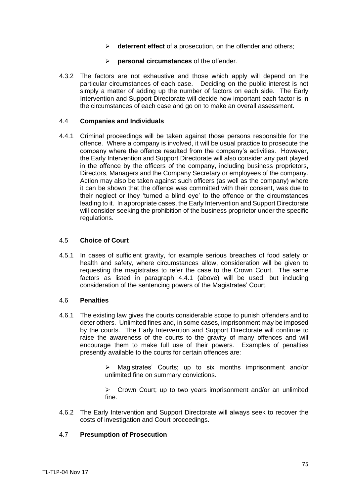- ➢ **deterrent effect** of a prosecution, on the offender and others;
- ➢ **personal circumstances** of the offender.
- 4.3.2 The factors are not exhaustive and those which apply will depend on the particular circumstances of each case. Deciding on the public interest is not simply a matter of adding up the number of factors on each side. The Early Intervention and Support Directorate will decide how important each factor is in the circumstances of each case and go on to make an overall assessment.

#### 4.4 **Companies and Individuals**

4.4.1 Criminal proceedings will be taken against those persons responsible for the offence. Where a company is involved, it will be usual practice to prosecute the company where the offence resulted from the company's activities. However, the Early Intervention and Support Directorate will also consider any part played in the offence by the officers of the company, including business proprietors, Directors, Managers and the Company Secretary or employees of the company. Action may also be taken against such officers (as well as the company) where it can be shown that the offence was committed with their consent, was due to their neglect or they 'turned a blind eye' to the offence or the circumstances leading to it. In appropriate cases, the Early Intervention and Support Directorate will consider seeking the prohibition of the business proprietor under the specific regulations.

## 4.5 **Choice of Court**

4.5.1 In cases of sufficient gravity, for example serious breaches of food safety or health and safety, where circumstances allow, consideration will be given to requesting the magistrates to refer the case to the Crown Court. The same factors as listed in paragraph 4.4.1 (above) will be used, but including consideration of the sentencing powers of the Magistrates' Court.

#### 4.6 **Penalties**

4.6.1 The existing law gives the courts considerable scope to punish offenders and to deter others. Unlimited fines and, in some cases, imprisonment may be imposed by the courts. The Early Intervention and Support Directorate will continue to raise the awareness of the courts to the gravity of many offences and will encourage them to make full use of their powers. Examples of penalties presently available to the courts for certain offences are:

> Magistrates' Courts: up to six months imprisonment and/or unlimited fine on summary convictions.

> ➢ Crown Court; up to two years imprisonment and/or an unlimited fine.

4.6.2 The Early Intervention and Support Directorate will always seek to recover the costs of investigation and Court proceedings.

#### 4.7 **Presumption of Prosecution**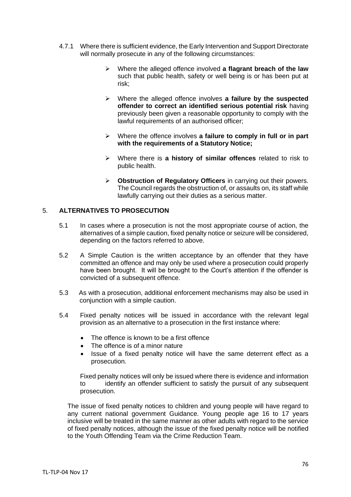- 4.7.1 Where there is sufficient evidence, the Early Intervention and Support Directorate will normally prosecute in any of the following circumstances:
	- ➢ Where the alleged offence involved **a flagrant breach of the law** such that public health, safety or well being is or has been put at risk;
	- ➢ Where the alleged offence involves **a failure by the suspected offender to correct an identified serious potential risk** having previously been given a reasonable opportunity to comply with the lawful requirements of an authorised officer;
	- ➢ Where the offence involves **a failure to comply in full or in part with the requirements of a Statutory Notice;**
	- ➢ Where there is **a history of similar offences** related to risk to public health.
	- ➢ **Obstruction of Regulatory Officers** in carrying out their powers. The Council regards the obstruction of, or assaults on, its staff while lawfully carrying out their duties as a serious matter.

## 5. **ALTERNATIVES TO PROSECUTION**

- 5.1 In cases where a prosecution is not the most appropriate course of action, the alternatives of a simple caution, fixed penalty notice or seizure will be considered, depending on the factors referred to above.
- 5.2 A Simple Caution is the written acceptance by an offender that they have committed an offence and may only be used where a prosecution could properly have been brought. It will be brought to the Court's attention if the offender is convicted of a subsequent offence.
- 5.3 As with a prosecution, additional enforcement mechanisms may also be used in conjunction with a simple caution.
- 5.4 Fixed penalty notices will be issued in accordance with the relevant legal provision as an alternative to a prosecution in the first instance where:
	- The offence is known to be a first offence
	- The offence is of a minor nature
	- Issue of a fixed penalty notice will have the same deterrent effect as a prosecution.

Fixed penalty notices will only be issued where there is evidence and information to identify an offender sufficient to satisfy the pursuit of any subsequent prosecution.

The issue of fixed penalty notices to children and young people will have regard to any current national government Guidance. Young people age 16 to 17 years inclusive will be treated in the same manner as other adults with regard to the service of fixed penalty notices, although the issue of the fixed penalty notice will be notified to the Youth Offending Team via the Crime Reduction Team.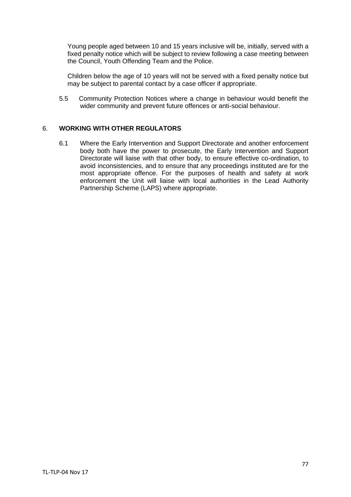Young people aged between 10 and 15 years inclusive will be, initially, served with a fixed penalty notice which will be subject to review following a case meeting between the Council, Youth Offending Team and the Police.

Children below the age of 10 years will not be served with a fixed penalty notice but may be subject to parental contact by a case officer if appropriate.

5.5 Community Protection Notices where a change in behaviour would benefit the wider community and prevent future offences or anti-social behaviour.

# 6. **WORKING WITH OTHER REGULATORS**

6.1 Where the Early Intervention and Support Directorate and another enforcement body both have the power to prosecute, the Early Intervention and Support Directorate will liaise with that other body, to ensure effective co-ordination, to avoid inconsistencies, and to ensure that any proceedings instituted are for the most appropriate offence. For the purposes of health and safety at work enforcement the Unit will liaise with local authorities in the Lead Authority Partnership Scheme (LAPS) where appropriate.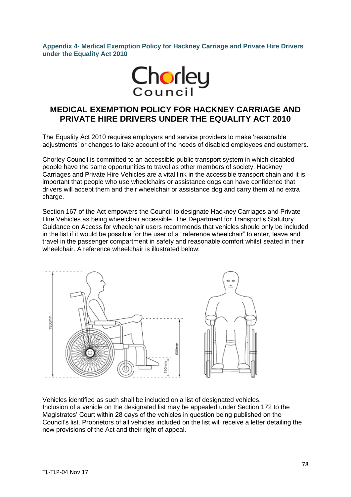**Appendix 4- Medical Exemption Policy for Hackney Carriage and Private Hire Drivers under the Equality Act 2010**



# **MEDICAL EXEMPTION POLICY FOR HACKNEY CARRIAGE AND PRIVATE HIRE DRIVERS UNDER THE EQUALITY ACT 2010**

The Equality Act 2010 requires employers and service providers to make 'reasonable adjustments' or changes to take account of the needs of disabled employees and customers.

Chorley Council is committed to an accessible public transport system in which disabled people have the same opportunities to travel as other members of society. Hackney Carriages and Private Hire Vehicles are a vital link in the accessible transport chain and it is important that people who use wheelchairs or assistance dogs can have confidence that drivers will accept them and their wheelchair or assistance dog and carry them at no extra charge.

Section 167 of the Act empowers the Council to designate Hackney Carriages and Private Hire Vehicles as being wheelchair accessible. The Department for Transport's Statutory Guidance on Access for wheelchair users recommends that vehicles should only be included in the list if it would be possible for the user of a "reference wheelchair" to enter, leave and travel in the passenger compartment in safety and reasonable comfort whilst seated in their wheelchair. A reference wheelchair is illustrated below:



Vehicles identified as such shall be included on a list of designated vehicles. Inclusion of a vehicle on the designated list may be appealed under Section 172 to the Magistrates' Court within 28 days of the vehicles in question being published on the Council's list. Proprietors of all vehicles included on the list will receive a letter detailing the new provisions of the Act and their right of appeal.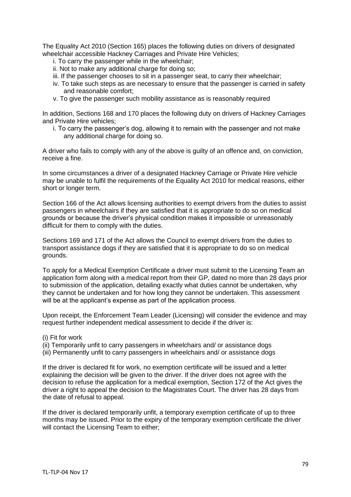The Equality Act 2010 (Section 165) places the following duties on drivers of designated wheelchair accessible Hackney Carriages and Private Hire Vehicles;

- i. To carry the passenger while in the wheelchair;
- ii. Not to make any additional charge for doing so;
- iii. If the passenger chooses to sit in a passenger seat, to carry their wheelchair;
- iv. To take such steps as are necessary to ensure that the passenger is carried in safety and reasonable comfort;
- v. To give the passenger such mobility assistance as is reasonably required

In addition, Sections 168 and 170 places the following duty on drivers of Hackney Carriages and Private Hire vehicles;

i. To carry the passenger's dog, allowing it to remain with the passenger and not make any additional charge for doing so.

A driver who fails to comply with any of the above is guilty of an offence and, on conviction, receive a fine.

In some circumstances a driver of a designated Hackney Carriage or Private Hire vehicle may be unable to fulfil the requirements of the Equality Act 2010 for medical reasons, either short or longer term.

Section 166 of the Act allows licensing authorities to exempt drivers from the duties to assist passengers in wheelchairs if they are satisfied that it is appropriate to do so on medical grounds or because the driver's physical condition makes it impossible or unreasonably difficult for them to comply with the duties.

Sections 169 and 171 of the Act allows the Council to exempt drivers from the duties to transport assistance dogs if they are satisfied that it is appropriate to do so on medical grounds.

To apply for a Medical Exemption Certificate a driver must submit to the Licensing Team an application form along with a medical report from their GP, dated no more than 28 days prior to submission of the application, detailing exactly what duties cannot be undertaken, why they cannot be undertaken and for how long they cannot be undertaken. This assessment will be at the applicant's expense as part of the application process.

Upon receipt, the Enforcement Team Leader (Licensing) will consider the evidence and may request further independent medical assessment to decide if the driver is:

- (i) Fit for work
- (ii) Temporarily unfit to carry passengers in wheelchairs and/ or assistance dogs
- (iii) Permanently unfit to carry passengers in wheelchairs and/ or assistance dogs

If the driver is declared fit for work, no exemption certificate will be issued and a letter explaining the decision will be given to the driver. If the driver does not agree with the decision to refuse the application for a medical exemption, Section 172 of the Act gives the driver a right to appeal the decision to the Magistrates Court. The driver has 28 days from the date of refusal to appeal.

If the driver is declared temporarily unfit, a temporary exemption certificate of up to three months may be issued. Prior to the expiry of the temporary exemption certificate the driver will contact the Licensing Team to either: